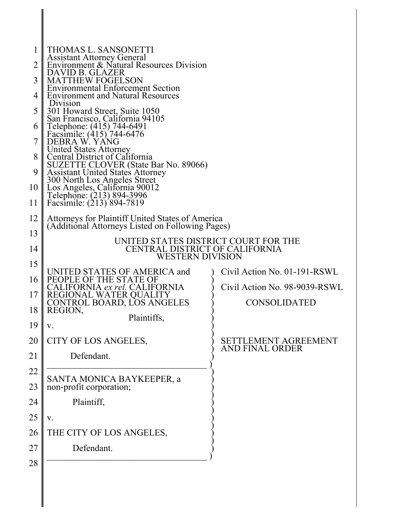| 1              | THOMAS L. SANSONETTI                                                                    |                               |  |
|----------------|-----------------------------------------------------------------------------------------|-------------------------------|--|
| $\overline{2}$ | Assistant Attorney General<br>Environment & Natural Resources Division                  |                               |  |
| 3              | DAVID B. GLAZER<br><b>MATTHEW FOGELSON</b>                                              |                               |  |
| 4              | <b>Environmental Enforcement Section</b><br><b>Environment and Natural Resources</b>    |                               |  |
| 5              | Division                                                                                |                               |  |
|                | 301 Howard Street, Suite 1050<br>San Francisco, California 94105                        |                               |  |
| 6              | Telephone: (415) 744-6491<br>Facsimile: (415) 744-6476                                  |                               |  |
| 7              | DEBRA W. YÁNG<br><b>United States Attorney</b>                                          |                               |  |
| 8              | Central District of California                                                          |                               |  |
| 9              | SUZETTE CLOVER (State Bar No. 89066)<br><b>Assistant United States Attorney</b>         |                               |  |
| 10             | 300 North Los Angeles Street                                                            |                               |  |
| 11             | Los Angeles, California 90012<br>Telephone: (213) 894-3996<br>Facsimile: (213) 894-7819 |                               |  |
| 12             | Attorneys for Plaintiff United States of America                                        |                               |  |
| 13             | (Additional Attorneys Listed on Following Pages)                                        |                               |  |
| 14             | UNITED STATES DISTRICT COURT FOR THE<br>CENTRAL DISTRICT OF CALIFORNIA                  |                               |  |
| 15             | WESTERN DIVISION                                                                        |                               |  |
| 16             | UNITED STATES OF AMERICA and<br>PEOPLE OF THE STATE OF                                  | Civil Action No. 01-191-RSWL  |  |
|                | CALIFORNIA ex rel. CALIFORNIA                                                           | Civil Action No. 98-9039-RSWL |  |
| 17             | REGIONAL WATER QUALITY<br>CONTROL BOARD, LOS ANGELES                                    | <b>CONSOLIDATED</b>           |  |
| 18             | REGION,<br>Plaintiffs,                                                                  |                               |  |
| 19             | V.                                                                                      |                               |  |
| 20             | CITY OF LOS ANGELES,                                                                    | SETTLEMENT AGREEMENT          |  |
| 21             | Defendant.                                                                              | <b>AND FINAL ORDER</b>        |  |
| 22             |                                                                                         |                               |  |
| 23             | SANTA MONICA BAYKEEPER, a non-profit corporation;                                       |                               |  |
| 24             | Plaintiff,                                                                              |                               |  |
| 25             | V.                                                                                      |                               |  |
|                |                                                                                         |                               |  |
| 26             | THE CITY OF LOS ANGELES,                                                                |                               |  |
| 27             | Defendant.                                                                              |                               |  |
| 28             |                                                                                         |                               |  |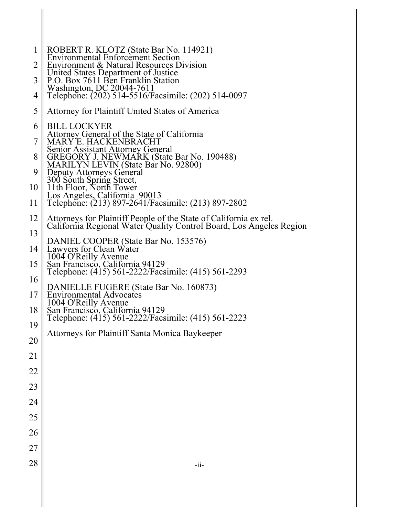| 1              | ROBERT R. KLOTZ (State Bar No. 114921)<br>Environmental Enforcement Section                                                              |
|----------------|------------------------------------------------------------------------------------------------------------------------------------------|
| $\overline{2}$ | Environment & Natural Resources Division                                                                                                 |
| 3              | United States Department of Justice<br>P.O. Box 7611 Ben Franklin Station                                                                |
| 4              | Washington, DC 20044-7611<br>Telephone: (202) 514-5516/Facsimile: (202) 514-0097                                                         |
| 5              | Attorney for Plaintiff United States of America                                                                                          |
| 6              | <b>BILL LOCKYER</b>                                                                                                                      |
| 7              | Attorney General of the State of California<br>MARY'E. HACKENBRACHT                                                                      |
| 8              | <b>Senior Assistant Attorney General</b><br>GREGORY J. NEWMARK (State Bar No. 190488)                                                    |
| 9              | MARILYN LEVIN (State Bàr No. 92800)<br>Deputy Attorneys General                                                                          |
| 10             | 300 South Spring Street,<br>11th Floor, North Tower                                                                                      |
| 11             | Los Angeles, California 90013<br>Telephone: (213) 897-2641/Facsimile: (213) 897-2802                                                     |
| 12             | Attorneys for Plaintiff People of the State of California ex rel.<br>California Regional Water Quality Control Board, Los Angeles Region |
| 13             |                                                                                                                                          |
| 14             | DANIEL COOPER (State Bar No. 153576)<br>Lawyers for Clean Water                                                                          |
| 15             | 1004 O'Reilly Avenue<br>San Francisco, California 94129<br>Telephone: (415) 561-2222/Facsimile: (415) 561-2293                           |
| 16             |                                                                                                                                          |
| 17             | DANIELLE FUGERE (State Bar No. 160873)<br>Environmental Advocates<br>1004 O'Reilly Avenue                                                |
| 18             | San Francisco, California 94129<br>Telephone: (415) 561-2222/Facsimile: (415) 561-2223                                                   |
| 19             | Attorneys for Plaintiff Santa Monica Baykeeper                                                                                           |
| 20             |                                                                                                                                          |
| 21             |                                                                                                                                          |
| 22             |                                                                                                                                          |
| 23             |                                                                                                                                          |
| 24             |                                                                                                                                          |
| 25             |                                                                                                                                          |
| 26             |                                                                                                                                          |
| 27             |                                                                                                                                          |
| 28             | $-i$ i-                                                                                                                                  |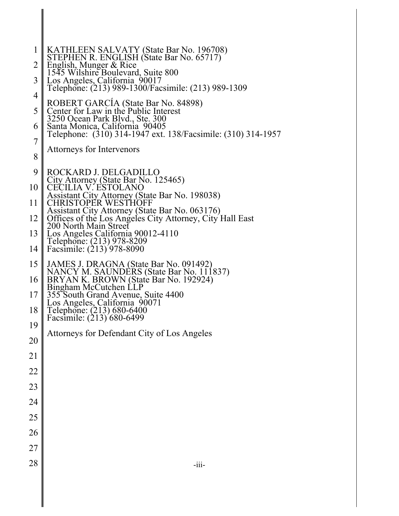| 1              | KATHLEEN SALVATY (State Bar No. 196708)<br>STEPHEN R. ENGLISH (State Bar No. 65717)                                                 |
|----------------|-------------------------------------------------------------------------------------------------------------------------------------|
| 2              | English, Munger & Rice                                                                                                              |
| 3              | 1545 Wilshire Boulevard, Suite 800<br>Los Angeles, California 90017<br>Telephone: (213) 989-1300/Facsimile: (213) 989-1309          |
| 4              |                                                                                                                                     |
| 5              | ROBERT GARCIA (State Bar No. 84898)<br>Center for Law in the Public Interest                                                        |
| 6              | 3250 Ocean Park Blvd., Ste. 300<br>Santa Monica, California 90405                                                                   |
| $\overline{7}$ | Telephone: (310) 314-1947 ext. 138/Facsimile: (310) 314-1957                                                                        |
| 8              | Attorneys for Intervenors                                                                                                           |
| 9              | ROCKARD J. DELGADILLO                                                                                                               |
| 10             | City Attorney (State Bar No. 125465)<br><b>CECILIA V. ESTOLANO</b>                                                                  |
| 11             | Assistant City Attorney (State Bar No. 198038)<br><b>CHRISTOPER WESTHOFF</b>                                                        |
| 12             | Assistant City Attorney (State Bar No. 063176)<br>Offices of the Los Angeles City Attorney, City Hall East<br>200 North Main Street |
| 13             | Los Angeles California 90012-4110                                                                                                   |
| 14             | Telephone: (213) 978-8209<br>Facsimile: (213) 978-8090                                                                              |
| 15             | JAMES J. DRAGNA (State Bar No. 091492)<br>NANCY M. SAUNDERS (State Bar No. 111837)<br>BRYAN K. BROWN (State Bar No. 192924)         |
| 16             | Bingham McCutchen LLP                                                                                                               |
| 17             | 355 South Grand Avenue, Suite 4400                                                                                                  |
| 18             | Los Angeles, California 90071<br>Telephone: (213) 680-6400<br>Facsimile: (213) 680-6499                                             |
| 19             |                                                                                                                                     |
| 20             | Attorneys for Defendant City of Los Angeles                                                                                         |
| 21             |                                                                                                                                     |
| 22             |                                                                                                                                     |
| 23             |                                                                                                                                     |
| 24             |                                                                                                                                     |
| 25             |                                                                                                                                     |
| 26             |                                                                                                                                     |
| 27             |                                                                                                                                     |
| 28             | $-iii-$                                                                                                                             |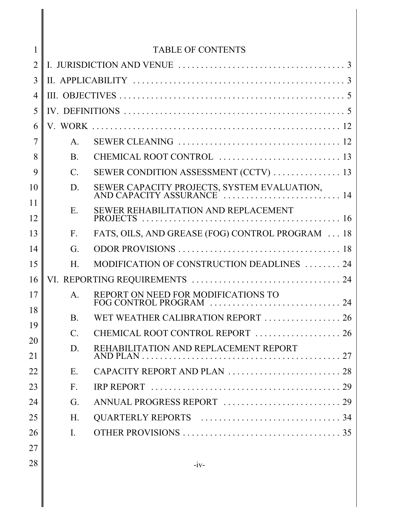| $\mathbf{1}$   |                 | <b>TABLE OF CONTENTS</b>                         |
|----------------|-----------------|--------------------------------------------------|
| $\overline{2}$ |                 |                                                  |
| 3              |                 |                                                  |
| $\overline{4}$ |                 |                                                  |
| 5              |                 |                                                  |
| 6              |                 |                                                  |
| 7              | $A_{\cdot}$     |                                                  |
| 8              | <b>B</b> .      |                                                  |
| 9              | $\mathcal{C}$ . | SEWER CONDITION ASSESSMENT (CCTV)  13            |
| 10             | D.              |                                                  |
| 11             | Ε.              | SEWER REHABILITATION AND REPLACEMENT             |
| 12             |                 |                                                  |
| 13             | $F_{\cdot}$     | FATS, OILS, AND GREASE (FOG) CONTROL PROGRAM  18 |
| 14             | G.              |                                                  |
| 15             | $H_{\cdot}$     | MODIFICATION OF CONSTRUCTION DEADLINES  24       |
| 16             |                 |                                                  |
| 17             | $\mathsf{A}$ .  | REPORT ON NEED FOR MODIFICATIONS TO              |
| 18             | $\mathbf{B}$    | WET WEATHER CALIBRATION REPORT  26               |
| 19             | $\mathcal{C}$ . | CHEMICAL ROOT CONTROL REPORT  26                 |
| 20<br>21       | D.              | REHABILITATION AND REPLACEMENT REPORT            |
| 22             | E.              |                                                  |
| 23             | $F_{\cdot}$     |                                                  |
| 24             | G.              |                                                  |
| 25             | H.              |                                                  |
| 26             | I.              |                                                  |
| 27             |                 |                                                  |
| 28             |                 | $-iv-$                                           |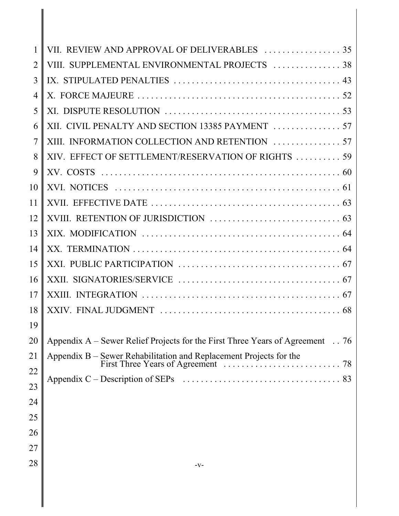| 1              |                                                                                                      |
|----------------|------------------------------------------------------------------------------------------------------|
| $\overline{2}$ | VIII. SUPPLEMENTAL ENVIRONMENTAL PROJECTS  38                                                        |
| 3              |                                                                                                      |
| $\overline{4}$ |                                                                                                      |
| 5              |                                                                                                      |
| 6              |                                                                                                      |
| $\overline{7}$ |                                                                                                      |
| 8              | XIV. EFFECT OF SETTLEMENT/RESERVATION OF RIGHTS  59                                                  |
| 9              |                                                                                                      |
| 10             |                                                                                                      |
| 11             |                                                                                                      |
| 12             |                                                                                                      |
| 13             |                                                                                                      |
| 14             |                                                                                                      |
| 15             |                                                                                                      |
| 16             |                                                                                                      |
| 17             |                                                                                                      |
| 18             |                                                                                                      |
| 19             |                                                                                                      |
| 20             | Appendix A – Sewer Relief Projects for the First Three Years of Agreement $\ldots$ 76                |
| 21             | Appendix B – Sewer Rehabilitation and Replacement Projects for the<br>First Three Years of Agreement |
| 22             |                                                                                                      |
| 23             |                                                                                                      |
| 24             |                                                                                                      |
| 25             |                                                                                                      |
| 26             |                                                                                                      |
| 27             |                                                                                                      |
| 28             | -V-                                                                                                  |
|                |                                                                                                      |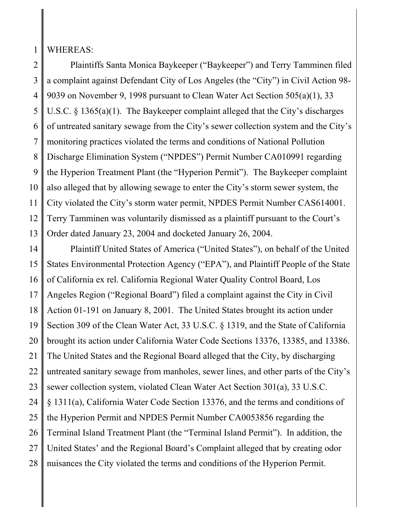1 WHEREAS:

2 3 4 5 6 7 8 9 10 11 12 13 Plaintiffs Santa Monica Baykeeper ("Baykeeper") and Terry Tamminen filed a complaint against Defendant City of Los Angeles (the "City") in Civil Action 98- 9039 on November 9, 1998 pursuant to Clean Water Act Section 505(a)(1), 33 U.S.C. § 1365(a)(1). The Baykeeper complaint alleged that the City's discharges of untreated sanitary sewage from the City's sewer collection system and the City's monitoring practices violated the terms and conditions of National Pollution Discharge Elimination System ("NPDES") Permit Number CA010991 regarding the Hyperion Treatment Plant (the "Hyperion Permit"). The Baykeeper complaint also alleged that by allowing sewage to enter the City's storm sewer system, the City violated the City's storm water permit, NPDES Permit Number CAS614001. Terry Tamminen was voluntarily dismissed as a plaintiff pursuant to the Court's Order dated January 23, 2004 and docketed January 26, 2004.

14 15 16 17 18 19 20 21 22 23 24 25 26 27 28 Plaintiff United States of America ("United States"), on behalf of the United States Environmental Protection Agency ("EPA"), and Plaintiff People of the State of California ex rel. California Regional Water Quality Control Board, Los Angeles Region ("Regional Board") filed a complaint against the City in Civil Action 01-191 on January 8, 2001. The United States brought its action under Section 309 of the Clean Water Act, 33 U.S.C. § 1319, and the State of California brought its action under California Water Code Sections 13376, 13385, and 13386. The United States and the Regional Board alleged that the City, by discharging untreated sanitary sewage from manholes, sewer lines, and other parts of the City's sewer collection system, violated Clean Water Act Section 301(a), 33 U.S.C. § 1311(a), California Water Code Section 13376, and the terms and conditions of the Hyperion Permit and NPDES Permit Number CA0053856 regarding the Terminal Island Treatment Plant (the "Terminal Island Permit"). In addition, the United States' and the Regional Board's Complaint alleged that by creating odor nuisances the City violated the terms and conditions of the Hyperion Permit.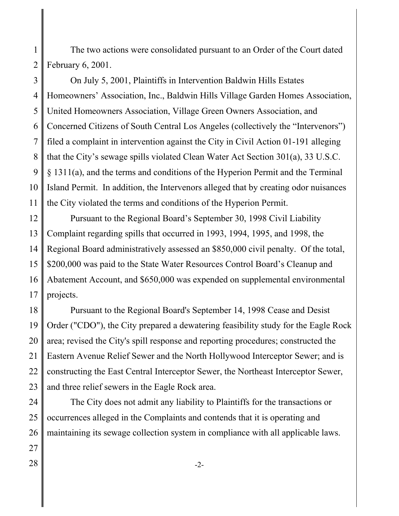1 2 The two actions were consolidated pursuant to an Order of the Court dated February 6, 2001.

3 4 5 6 7 8 9 10 11 On July 5, 2001, Plaintiffs in Intervention Baldwin Hills Estates Homeowners' Association, Inc., Baldwin Hills Village Garden Homes Association, United Homeowners Association, Village Green Owners Association, and Concerned Citizens of South Central Los Angeles (collectively the "Intervenors") filed a complaint in intervention against the City in Civil Action 01-191 alleging that the City's sewage spills violated Clean Water Act Section 301(a), 33 U.S.C. § 1311(a), and the terms and conditions of the Hyperion Permit and the Terminal Island Permit. In addition, the Intervenors alleged that by creating odor nuisances the City violated the terms and conditions of the Hyperion Permit.

12 13 14 15 16 17 Pursuant to the Regional Board's September 30, 1998 Civil Liability Complaint regarding spills that occurred in 1993, 1994, 1995, and 1998, the Regional Board administratively assessed an \$850,000 civil penalty. Of the total, \$200,000 was paid to the State Water Resources Control Board's Cleanup and Abatement Account, and \$650,000 was expended on supplemental environmental projects.

18 19 20 21 22 23 Pursuant to the Regional Board's September 14, 1998 Cease and Desist Order ("CDO"), the City prepared a dewatering feasibility study for the Eagle Rock area; revised the City's spill response and reporting procedures; constructed the Eastern Avenue Relief Sewer and the North Hollywood Interceptor Sewer; and is constructing the East Central Interceptor Sewer, the Northeast Interceptor Sewer, and three relief sewers in the Eagle Rock area.

24 25 26 The City does not admit any liability to Plaintiffs for the transactions or occurrences alleged in the Complaints and contends that it is operating and maintaining its sewage collection system in compliance with all applicable laws.

27  $28 \parallel$   $-2$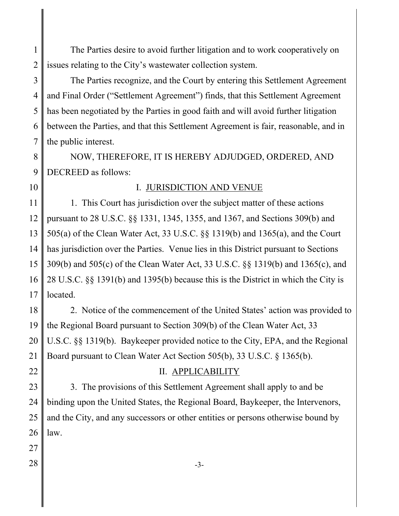1 2 The Parties desire to avoid further litigation and to work cooperatively on issues relating to the City's wastewater collection system.

3 4 5 6 7 The Parties recognize, and the Court by entering this Settlement Agreement and Final Order ("Settlement Agreement") finds, that this Settlement Agreement has been negotiated by the Parties in good faith and will avoid further litigation between the Parties, and that this Settlement Agreement is fair, reasonable, and in the public interest.

8 9 NOW, THEREFORE, IT IS HEREBY ADJUDGED, ORDERED, AND DECREED as follows:

10

### I. JURISDICTION AND VENUE

11 12 13 14 15 16 17 1. This Court has jurisdiction over the subject matter of these actions pursuant to 28 U.S.C. §§ 1331, 1345, 1355, and 1367, and Sections 309(b) and 505(a) of the Clean Water Act, 33 U.S.C. §§ 1319(b) and 1365(a), and the Court has jurisdiction over the Parties. Venue lies in this District pursuant to Sections 309(b) and 505(c) of the Clean Water Act, 33 U.S.C. §§ 1319(b) and 1365(c), and 28 U.S.C. §§ 1391(b) and 1395(b) because this is the District in which the City is located.

18 19 20 21 2. Notice of the commencement of the United States' action was provided to the Regional Board pursuant to Section 309(b) of the Clean Water Act, 33 U.S.C. §§ 1319(b). Baykeeper provided notice to the City, EPA, and the Regional Board pursuant to Clean Water Act Section 505(b), 33 U.S.C. § 1365(b).

22

# II. APPLICABILITY

23 24 25 26 3. The provisions of this Settlement Agreement shall apply to and be binding upon the United States, the Regional Board, Baykeeper, the Intervenors, and the City, and any successors or other entities or persons otherwise bound by law.

- 27
-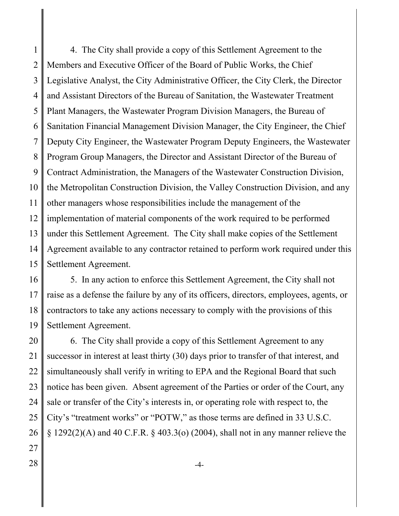1 2 3 4 5 6 7 8 9 10 11 12 13 14 15 4. The City shall provide a copy of this Settlement Agreement to the Members and Executive Officer of the Board of Public Works, the Chief Legislative Analyst, the City Administrative Officer, the City Clerk, the Director and Assistant Directors of the Bureau of Sanitation, the Wastewater Treatment Plant Managers, the Wastewater Program Division Managers, the Bureau of Sanitation Financial Management Division Manager, the City Engineer, the Chief Deputy City Engineer, the Wastewater Program Deputy Engineers, the Wastewater Program Group Managers, the Director and Assistant Director of the Bureau of Contract Administration, the Managers of the Wastewater Construction Division, the Metropolitan Construction Division, the Valley Construction Division, and any other managers whose responsibilities include the management of the implementation of material components of the work required to be performed under this Settlement Agreement. The City shall make copies of the Settlement Agreement available to any contractor retained to perform work required under this Settlement Agreement.

16 17 18 19 5. In any action to enforce this Settlement Agreement, the City shall not raise as a defense the failure by any of its officers, directors, employees, agents, or contractors to take any actions necessary to comply with the provisions of this Settlement Agreement.

20 21 22 23 24 25 26 27 6. The City shall provide a copy of this Settlement Agreement to any successor in interest at least thirty (30) days prior to transfer of that interest, and simultaneously shall verify in writing to EPA and the Regional Board that such notice has been given. Absent agreement of the Parties or order of the Court, any sale or transfer of the City's interests in, or operating role with respect to, the City's "treatment works" or "POTW," as those terms are defined in 33 U.S.C.  $\S 1292(2)$ (A) and 40 C.F.R.  $\S 403.3(0)$  (2004), shall not in any manner relieve the

- 
- $28 \parallel$   $-4$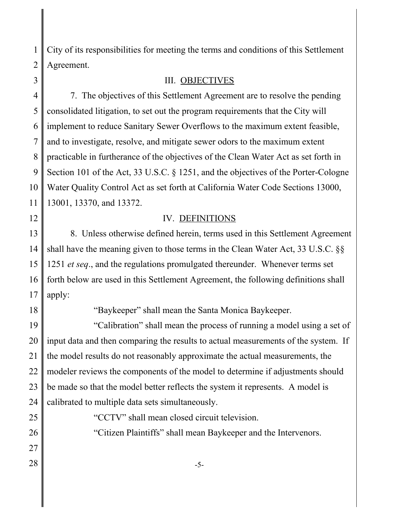1 2 City of its responsibilities for meeting the terms and conditions of this Settlement Agreement.

3

## III. OBJECTIVES

4 5 6 7 8 9 10 11 7. The objectives of this Settlement Agreement are to resolve the pending consolidated litigation, to set out the program requirements that the City will implement to reduce Sanitary Sewer Overflows to the maximum extent feasible, and to investigate, resolve, and mitigate sewer odors to the maximum extent practicable in furtherance of the objectives of the Clean Water Act as set forth in Section 101 of the Act, 33 U.S.C. § 1251, and the objectives of the Porter-Cologne Water Quality Control Act as set forth at California Water Code Sections 13000, 13001, 13370, and 13372.

12

# IV. DEFINITIONS

13 14 15 16 17 8. Unless otherwise defined herein, terms used in this Settlement Agreement shall have the meaning given to those terms in the Clean Water Act, 33 U.S.C. §§ 1251 *et seq*., and the regulations promulgated thereunder. Whenever terms set forth below are used in this Settlement Agreement, the following definitions shall apply:

18

"Baykeeper" shall mean the Santa Monica Baykeeper.

19 20 21 22 23 24 "Calibration" shall mean the process of running a model using a set of input data and then comparing the results to actual measurements of the system. If the model results do not reasonably approximate the actual measurements, the modeler reviews the components of the model to determine if adjustments should be made so that the model better reflects the system it represents. A model is calibrated to multiple data sets simultaneously.

"CCTV" shall mean closed circuit television.

26 27

25

 $28 \parallel$  -5-

"Citizen Plaintiffs" shall mean Baykeeper and the Intervenors.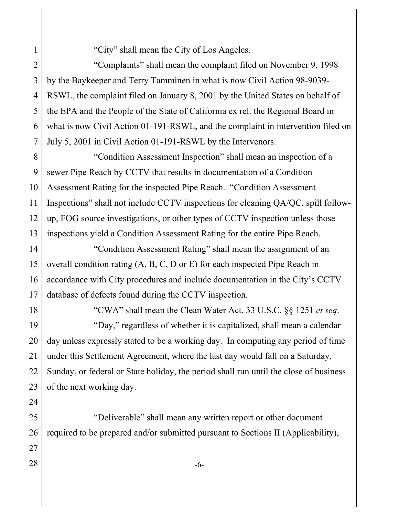"City" shall mean the City of Los Angeles.

2 3 4 5 6 7 "Complaints" shall mean the complaint filed on November 9, 1998 by the Baykeeper and Terry Tamminen in what is now Civil Action 98-9039- RSWL, the complaint filed on January 8, 2001 by the United States on behalf of the EPA and the People of the State of California ex rel. the Regional Board in what is now Civil Action 01-191-RSWL, and the complaint in intervention filed on July 5, 2001 in Civil Action 01-191-RSWL by the Intervenors.

8 9 10 11 12 13 "Condition Assessment Inspection" shall mean an inspection of a sewer Pipe Reach by CCTV that results in documentation of a Condition Assessment Rating for the inspected Pipe Reach. "Condition Assessment Inspections" shall not include CCTV inspections for cleaning QA/QC, spill followup, FOG source investigations, or other types of CCTV inspection unless those inspections yield a Condition Assessment Rating for the entire Pipe Reach.

14 15 16 17 "Condition Assessment Rating" shall mean the assignment of an overall condition rating (A, B, C, D or E) for each inspected Pipe Reach in accordance with City procedures and include documentation in the City's CCTV database of defects found during the CCTV inspection.

18

1

"CWA" shall mean the Clean Water Act, 33 U.S.C. §§ 1251 *et seq*.

19 20 21 22 23 "Day," regardless of whether it is capitalized, shall mean a calendar day unless expressly stated to be a working day. In computing any period of time under this Settlement Agreement, where the last day would fall on a Saturday, Sunday, or federal or State holiday, the period shall run until the close of business of the next working day.

24

25 26 27 "Deliverable" shall mean any written report or other document required to be prepared and/or submitted pursuant to Sections II (Applicability),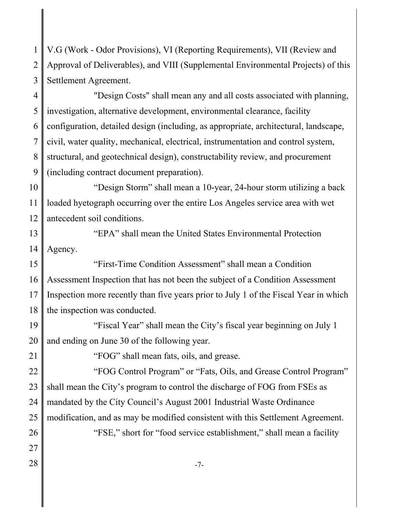1 2 3 V.G (Work - Odor Provisions), VI (Reporting Requirements), VII (Review and Approval of Deliverables), and VIII (Supplemental Environmental Projects) of this Settlement Agreement.

4 5 6 7 8 9 "Design Costs" shall mean any and all costs associated with planning, investigation, alternative development, environmental clearance, facility configuration, detailed design (including, as appropriate, architectural, landscape, civil, water quality, mechanical, electrical, instrumentation and control system, structural, and geotechnical design), constructability review, and procurement (including contract document preparation).

10 11 12 "Design Storm" shall mean a 10-year, 24-hour storm utilizing a back loaded hyetograph occurring over the entire Los Angeles service area with wet antecedent soil conditions.

13 14 "EPA" shall mean the United States Environmental Protection Agency.

15 16 17 18 "First-Time Condition Assessment" shall mean a Condition Assessment Inspection that has not been the subject of a Condition Assessment Inspection more recently than five years prior to July 1 of the Fiscal Year in which the inspection was conducted.

19 20 "Fiscal Year" shall mean the City's fiscal year beginning on July 1 and ending on June 30 of the following year.

21

"FOG" shall mean fats, oils, and grease.

22 23 24 25 26 "FOG Control Program" or "Fats, Oils, and Grease Control Program" shall mean the City's program to control the discharge of FOG from FSEs as mandated by the City Council's August 2001 Industrial Waste Ordinance modification, and as may be modified consistent with this Settlement Agreement. "FSE," short for "food service establishment," shall mean a facility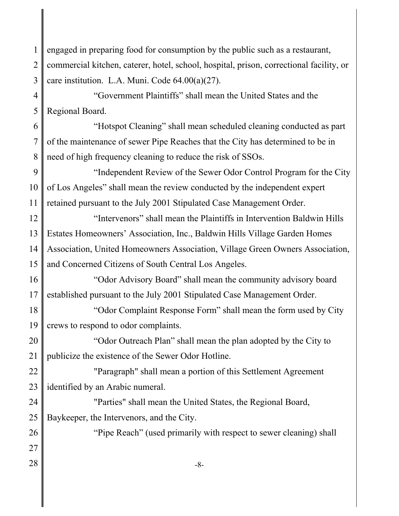1 2 3 engaged in preparing food for consumption by the public such as a restaurant, commercial kitchen, caterer, hotel, school, hospital, prison, correctional facility, or care institution. L.A. Muni. Code 64.00(a)(27).

4 5 "Government Plaintiffs" shall mean the United States and the Regional Board.

6 7 8 "Hotspot Cleaning" shall mean scheduled cleaning conducted as part of the maintenance of sewer Pipe Reaches that the City has determined to be in need of high frequency cleaning to reduce the risk of SSOs.

9 10 11 "Independent Review of the Sewer Odor Control Program for the City of Los Angeles" shall mean the review conducted by the independent expert retained pursuant to the July 2001 Stipulated Case Management Order.

12 13 14 15 "Intervenors" shall mean the Plaintiffs in Intervention Baldwin Hills Estates Homeowners' Association, Inc., Baldwin Hills Village Garden Homes Association, United Homeowners Association, Village Green Owners Association, and Concerned Citizens of South Central Los Angeles.

16 17 "Odor Advisory Board" shall mean the community advisory board established pursuant to the July 2001 Stipulated Case Management Order.

18 19 "Odor Complaint Response Form" shall mean the form used by City crews to respond to odor complaints.

20 21 "Odor Outreach Plan" shall mean the plan adopted by the City to publicize the existence of the Sewer Odor Hotline.

22 23 "Paragraph" shall mean a portion of this Settlement Agreement identified by an Arabic numeral.

24 25 "Parties" shall mean the United States, the Regional Board, Baykeeper, the Intervenors, and the City.

26 27 "Pipe Reach" (used primarily with respect to sewer cleaning) shall

 $28 \parallel -8$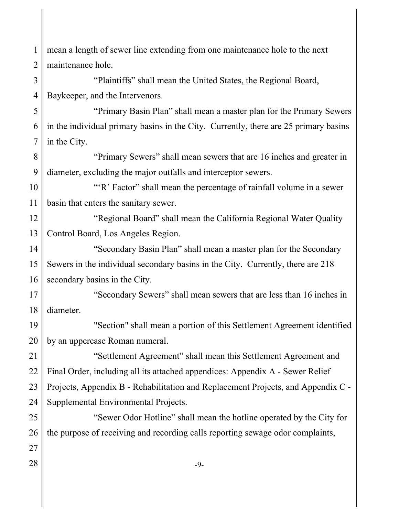1 2 mean a length of sewer line extending from one maintenance hole to the next maintenance hole.

3 4 "Plaintiffs" shall mean the United States, the Regional Board, Baykeeper, and the Intervenors.

5 6 7 "Primary Basin Plan" shall mean a master plan for the Primary Sewers in the individual primary basins in the City. Currently, there are 25 primary basins in the City.

8 9 "Primary Sewers" shall mean sewers that are 16 inches and greater in diameter, excluding the major outfalls and interceptor sewers.

10 11 "'R' Factor" shall mean the percentage of rainfall volume in a sewer basin that enters the sanitary sewer.

12 13 "Regional Board" shall mean the California Regional Water Quality Control Board, Los Angeles Region.

14 15 16 "Secondary Basin Plan" shall mean a master plan for the Secondary Sewers in the individual secondary basins in the City. Currently, there are 218 secondary basins in the City.

17 18 "Secondary Sewers" shall mean sewers that are less than 16 inches in diameter.

19 20 "Section" shall mean a portion of this Settlement Agreement identified by an uppercase Roman numeral.

21 22 23 24 "Settlement Agreement" shall mean this Settlement Agreement and Final Order, including all its attached appendices: Appendix A - Sewer Relief Projects, Appendix B - Rehabilitation and Replacement Projects, and Appendix C - Supplemental Environmental Projects.

25 26 27 "Sewer Odor Hotline" shall mean the hotline operated by the City for the purpose of receiving and recording calls reporting sewage odor complaints,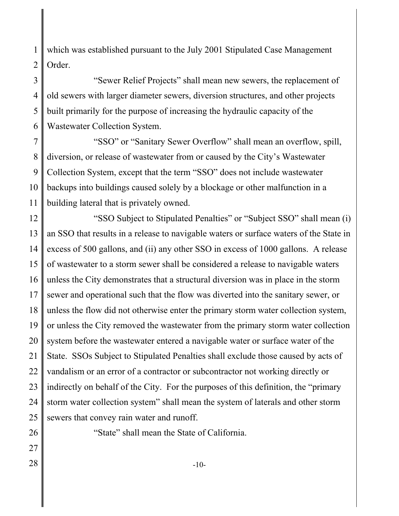1 2 which was established pursuant to the July 2001 Stipulated Case Management Order.

3 4 5 6 "Sewer Relief Projects" shall mean new sewers, the replacement of old sewers with larger diameter sewers, diversion structures, and other projects built primarily for the purpose of increasing the hydraulic capacity of the Wastewater Collection System.

7 8 9 10 11 "SSO" or "Sanitary Sewer Overflow" shall mean an overflow, spill, diversion, or release of wastewater from or caused by the City's Wastewater Collection System, except that the term "SSO" does not include wastewater backups into buildings caused solely by a blockage or other malfunction in a building lateral that is privately owned.

12 13 14 15 16 17 18 19 20 21 22 23 24 25 "SSO Subject to Stipulated Penalties" or "Subject SSO" shall mean (i) an SSO that results in a release to navigable waters or surface waters of the State in excess of 500 gallons, and (ii) any other SSO in excess of 1000 gallons. A release of wastewater to a storm sewer shall be considered a release to navigable waters unless the City demonstrates that a structural diversion was in place in the storm sewer and operational such that the flow was diverted into the sanitary sewer, or unless the flow did not otherwise enter the primary storm water collection system, or unless the City removed the wastewater from the primary storm water collection system before the wastewater entered a navigable water or surface water of the State. SSOs Subject to Stipulated Penalties shall exclude those caused by acts of vandalism or an error of a contractor or subcontractor not working directly or indirectly on behalf of the City. For the purposes of this definition, the "primary storm water collection system" shall mean the system of laterals and other storm sewers that convey rain water and runoff.

26 27

"State" shall mean the State of California.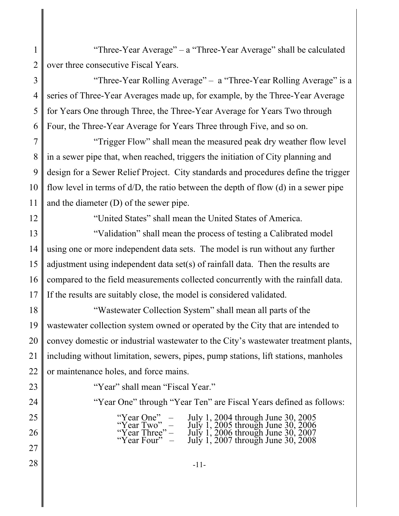1 2 "Three-Year Average" – a "Three-Year Average" shall be calculated over three consecutive Fiscal Years.

3 4 5 6 "Three-Year Rolling Average" – a "Three-Year Rolling Average" is a series of Three-Year Averages made up, for example, by the Three-Year Average for Years One through Three, the Three-Year Average for Years Two through Four, the Three-Year Average for Years Three through Five, and so on.

7 8 9 10 11 "Trigger Flow" shall mean the measured peak dry weather flow level in a sewer pipe that, when reached, triggers the initiation of City planning and design for a Sewer Relief Project. City standards and procedures define the trigger flow level in terms of d/D, the ratio between the depth of flow (d) in a sewer pipe and the diameter (D) of the sewer pipe.

12

"United States" shall mean the United States of America.

13 14 15 16 17 "Validation" shall mean the process of testing a Calibrated model using one or more independent data sets. The model is run without any further adjustment using independent data set(s) of rainfall data. Then the results are compared to the field measurements collected concurrently with the rainfall data. If the results are suitably close, the model is considered validated.

18 19 20 21 22 "Wastewater Collection System" shall mean all parts of the wastewater collection system owned or operated by the City that are intended to convey domestic or industrial wastewater to the City's wastewater treatment plants, including without limitation, sewers, pipes, pump stations, lift stations, manholes or maintenance holes, and force mains.

23 24

25

26

"Year" shall mean "Fiscal Year."

"Year One" through "Year Ten" are Fiscal Years defined as follows:

"Year  $\text{One}$ " – July 1, 2004 through June 30, 2005 "Year Two"  $-$  July 1, 2005 through June 30, 2006 "Year Three" – July 1, 2006 through June 30, 2007 "Year Four"  $-$  July 1, 2007 through June 30, 2008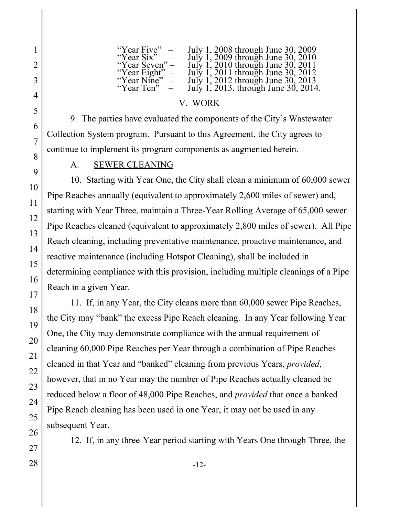| "Year Five"<br>$\sim$           | July 1, 2008 through June 30, 2009   |
|---------------------------------|--------------------------------------|
| "Year Six"                      | July 1, 2009 through June 30, 2010   |
| "Year Seven" –                  | July 1, 2010 through June 30, 2011   |
| "Year Eight"                    | July 1, 2011 through June 30, 2012   |
| "Year Nine"<br>$\hspace{0.1mm}$ | July 1, 2012 through June 30, 2013   |
| "Year Ten"                      | July 1, 2013, through June 30, 2014. |

# V. WORK

9. The parties have evaluated the components of the City's Wastewater Collection System program. Pursuant to this Agreement, the City agrees to continue to implement its program components as augmented herein.

# A. SEWER CLEANING

10. Starting with Year One, the City shall clean a minimum of 60,000 sewer Pipe Reaches annually (equivalent to approximately 2,600 miles of sewer) and, starting with Year Three, maintain a Three-Year Rolling Average of 65,000 sewer Pipe Reaches cleaned (equivalent to approximately 2,800 miles of sewer). All Pipe Reach cleaning, including preventative maintenance, proactive maintenance, and reactive maintenance (including Hotspot Cleaning), shall be included in determining compliance with this provision, including multiple cleanings of a Pipe Reach in a given Year.

11. If, in any Year, the City cleans more than 60,000 sewer Pipe Reaches, the City may "bank" the excess Pipe Reach cleaning. In any Year following Year One, the City may demonstrate compliance with the annual requirement of cleaning 60,000 Pipe Reaches per Year through a combination of Pipe Reaches cleaned in that Year and "banked" cleaning from previous Years, *provided*, however, that in no Year may the number of Pipe Reaches actually cleaned be reduced below a floor of 48,000 Pipe Reaches, and *provided* that once a banked Pipe Reach cleaning has been used in one Year, it may not be used in any subsequent Year.

12. If, in any three-Year period starting with Years One through Three, the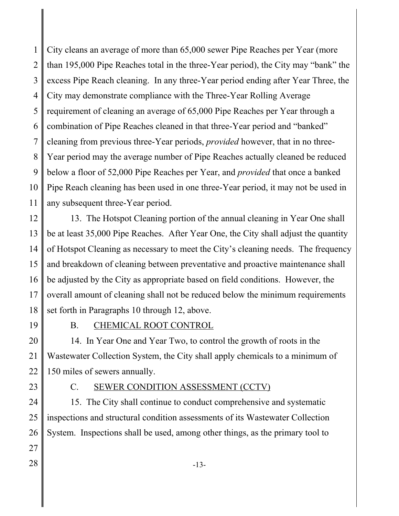1 2 3 4 5 6 7 8 9 10 11 City cleans an average of more than 65,000 sewer Pipe Reaches per Year (more than 195,000 Pipe Reaches total in the three-Year period), the City may "bank" the excess Pipe Reach cleaning. In any three-Year period ending after Year Three, the City may demonstrate compliance with the Three-Year Rolling Average requirement of cleaning an average of 65,000 Pipe Reaches per Year through a combination of Pipe Reaches cleaned in that three-Year period and "banked" cleaning from previous three-Year periods, *provided* however, that in no three-Year period may the average number of Pipe Reaches actually cleaned be reduced below a floor of 52,000 Pipe Reaches per Year, and *provided* that once a banked Pipe Reach cleaning has been used in one three-Year period, it may not be used in any subsequent three-Year period.

12 13 14 15 16 17 18 13. The Hotspot Cleaning portion of the annual cleaning in Year One shall be at least 35,000 Pipe Reaches. After Year One, the City shall adjust the quantity of Hotspot Cleaning as necessary to meet the City's cleaning needs. The frequency and breakdown of cleaning between preventative and proactive maintenance shall be adjusted by the City as appropriate based on field conditions. However, the overall amount of cleaning shall not be reduced below the minimum requirements set forth in Paragraphs 10 through 12, above.

19

B. CHEMICAL ROOT CONTROL

20 21 22 14. In Year One and Year Two, to control the growth of roots in the Wastewater Collection System, the City shall apply chemicals to a minimum of 150 miles of sewers annually.

23

# C. SEWER CONDITION ASSESSMENT (CCTV)

24 25 26 27 15. The City shall continue to conduct comprehensive and systematic inspections and structural condition assessments of its Wastewater Collection System. Inspections shall be used, among other things, as the primary tool to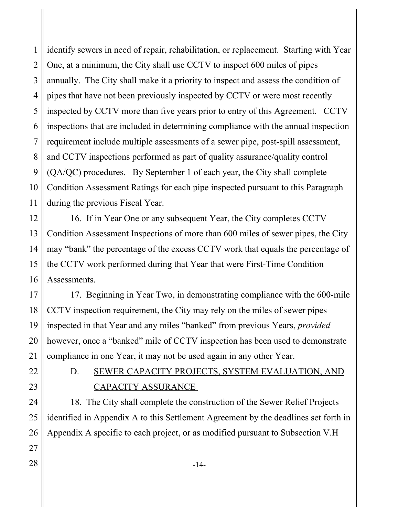1 2 3 4 5 6 7 8 9 10 11 identify sewers in need of repair, rehabilitation, or replacement. Starting with Year One, at a minimum, the City shall use CCTV to inspect 600 miles of pipes annually. The City shall make it a priority to inspect and assess the condition of pipes that have not been previously inspected by CCTV or were most recently inspected by CCTV more than five years prior to entry of this Agreement. CCTV inspections that are included in determining compliance with the annual inspection requirement include multiple assessments of a sewer pipe, post-spill assessment, and CCTV inspections performed as part of quality assurance/quality control (QA/QC) procedures. By September 1 of each year, the City shall complete Condition Assessment Ratings for each pipe inspected pursuant to this Paragraph during the previous Fiscal Year.

12 13 14 15 16 16. If in Year One or any subsequent Year, the City completes CCTV Condition Assessment Inspections of more than 600 miles of sewer pipes, the City may "bank" the percentage of the excess CCTV work that equals the percentage of the CCTV work performed during that Year that were First-Time Condition Assessments.

17 18 19 20 21 17. Beginning in Year Two, in demonstrating compliance with the 600-mile CCTV inspection requirement, the City may rely on the miles of sewer pipes inspected in that Year and any miles "banked" from previous Years, *provided* however, once a "banked" mile of CCTV inspection has been used to demonstrate compliance in one Year, it may not be used again in any other Year.

- 22
- 23

# D. SEWER CAPACITY PROJECTS, SYSTEM EVALUATION, AND CAPACITY ASSURANCE

24 25 26 27  $28 \parallel$  -14-18. The City shall complete the construction of the Sewer Relief Projects identified in Appendix A to this Settlement Agreement by the deadlines set forth in Appendix A specific to each project, or as modified pursuant to Subsection V.H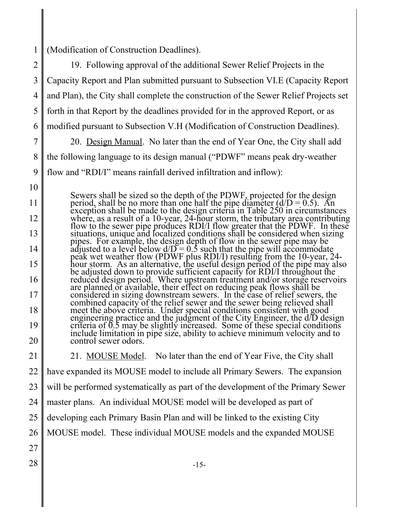1 (Modification of Construction Deadlines).

2 3 4 5 6 7 8 9 10 11 12 13 14 15 16 17 18 19 20 21 22 23 24 25 26 27  $28 \parallel$  -15-19. Following approval of the additional Sewer Relief Projects in the Capacity Report and Plan submitted pursuant to Subsection VI.E (Capacity Report and Plan), the City shall complete the construction of the Sewer Relief Projects set forth in that Report by the deadlines provided for in the approved Report, or as modified pursuant to Subsection V.H (Modification of Construction Deadlines). 20. Design Manual. No later than the end of Year One, the City shall add the following language to its design manual ("PDWF" means peak dry-weather flow and "RDI/I" means rainfall derived infiltration and inflow): Sewers shall be sized so the depth of the PDWF, projected for the design period, shall be no more than one half the pipe diameter ( $d/D = 0.5$ ). An exception shall be made to the design criteria in Table 250 in circumstances where, as a result of a 10-year, 24-hour storm, the tributary area contributing<br>flow to the sewer pipe produces RDI/I flow greater that the PDWF. In these<br>situations, unique and localized conditions shall be considered whe adjusted to a level below  $d/D = 0.5$  such that the pipe will accommodate peak wet weather flow (PDWF plus RDI/I) resulting from the 10-year, 24hour storm. As an alternative, the useful design period of the pipe may also be adjusted down to provide sufficient capacity for RDI/I throughout the reduced design period. Where upstream treatment and/or storage reservoirs considered in sizing downstream sewers. In the case of relief sewers, the<br>combined capacity of the relief sewer and the sewer being relieved shall<br>meet the above criteria. Under special conditions consistent with good engineering practice and the judgment of the City Engineer, the d/D design<br>criteria of 0.5 may be slightly increased. Some of these special conditions<br>include limitation in pipe size, ability to achieve minimum velocity an control sewer odors. 21. MOUSE Model. No later than the end of Year Five, the City shall have expanded its MOUSE model to include all Primary Sewers. The expansion will be performed systematically as part of the development of the Primary Sewer master plans. An individual MOUSE model will be developed as part of developing each Primary Basin Plan and will be linked to the existing City MOUSE model. These individual MOUSE models and the expanded MOUSE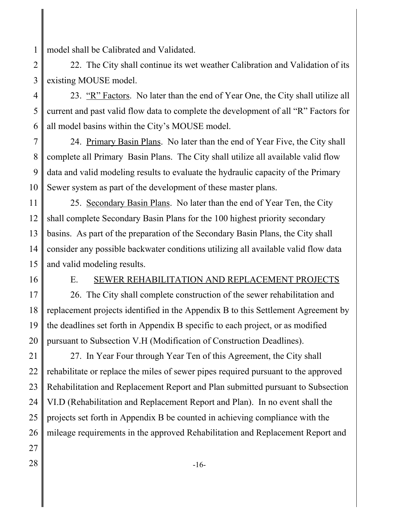1 model shall be Calibrated and Validated.

2 3 22. The City shall continue its wet weather Calibration and Validation of its existing MOUSE model.

4 5 6 23. "R" Factors. No later than the end of Year One, the City shall utilize all current and past valid flow data to complete the development of all "R" Factors for all model basins within the City's MOUSE model.

7 8 9 10 24. Primary Basin Plans. No later than the end of Year Five, the City shall complete all Primary Basin Plans. The City shall utilize all available valid flow data and valid modeling results to evaluate the hydraulic capacity of the Primary Sewer system as part of the development of these master plans.

11 12 13 14 15 25. Secondary Basin Plans. No later than the end of Year Ten, the City shall complete Secondary Basin Plans for the 100 highest priority secondary basins. As part of the preparation of the Secondary Basin Plans, the City shall consider any possible backwater conditions utilizing all available valid flow data and valid modeling results.

16

#### E. SEWER REHABILITATION AND REPLACEMENT PROJECTS

17 18 19 20 26. The City shall complete construction of the sewer rehabilitation and replacement projects identified in the Appendix B to this Settlement Agreement by the deadlines set forth in Appendix B specific to each project, or as modified pursuant to Subsection V.H (Modification of Construction Deadlines).

21 22 23 24 25 26 27 27. In Year Four through Year Ten of this Agreement, the City shall rehabilitate or replace the miles of sewer pipes required pursuant to the approved Rehabilitation and Replacement Report and Plan submitted pursuant to Subsection VI.D (Rehabilitation and Replacement Report and Plan). In no event shall the projects set forth in Appendix B be counted in achieving compliance with the mileage requirements in the approved Rehabilitation and Replacement Report and

- 
-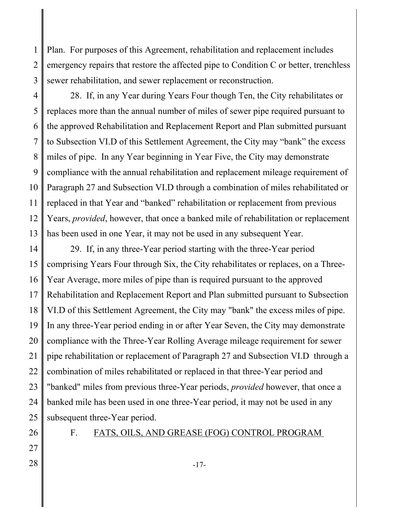1 2 3 Plan. For purposes of this Agreement, rehabilitation and replacement includes emergency repairs that restore the affected pipe to Condition C or better, trenchless sewer rehabilitation, and sewer replacement or reconstruction.

4 5 6 7 8 9 10 11 12 13 28. If, in any Year during Years Four though Ten, the City rehabilitates or replaces more than the annual number of miles of sewer pipe required pursuant to the approved Rehabilitation and Replacement Report and Plan submitted pursuant to Subsection VI.D of this Settlement Agreement, the City may "bank" the excess miles of pipe. In any Year beginning in Year Five, the City may demonstrate compliance with the annual rehabilitation and replacement mileage requirement of Paragraph 27 and Subsection VI.D through a combination of miles rehabilitated or replaced in that Year and "banked" rehabilitation or replacement from previous Years, *provided*, however, that once a banked mile of rehabilitation or replacement has been used in one Year, it may not be used in any subsequent Year.

14 15 16 17 18 19 20 21 22 23 24 25 29. If, in any three-Year period starting with the three-Year period comprising Years Four through Six, the City rehabilitates or replaces, on a Three-Year Average, more miles of pipe than is required pursuant to the approved Rehabilitation and Replacement Report and Plan submitted pursuant to Subsection VI.D of this Settlement Agreement, the City may "bank" the excess miles of pipe. In any three-Year period ending in or after Year Seven, the City may demonstrate compliance with the Three-Year Rolling Average mileage requirement for sewer pipe rehabilitation or replacement of Paragraph 27 and Subsection VI.D through a combination of miles rehabilitated or replaced in that three-Year period and "banked" miles from previous three-Year periods, *provided* however, that once a banked mile has been used in one three-Year period, it may not be used in any subsequent three-Year period.

27

26

# F. FATS, OILS, AND GREASE (FOG) CONTROL PROGRAM

 $28 \parallel$  -17-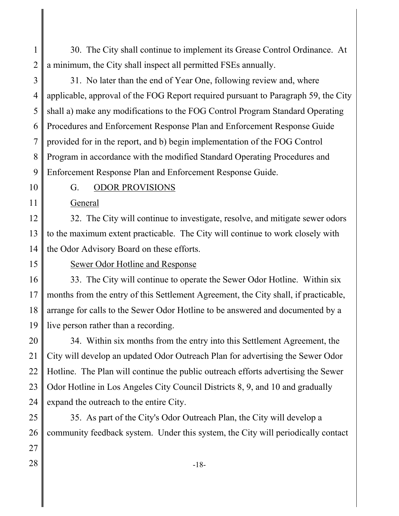1 2 30. The City shall continue to implement its Grease Control Ordinance. At a minimum, the City shall inspect all permitted FSEs annually.

3 4 5 6 7 8 9 31. No later than the end of Year One, following review and, where applicable, approval of the FOG Report required pursuant to Paragraph 59, the City shall a) make any modifications to the FOG Control Program Standard Operating Procedures and Enforcement Response Plan and Enforcement Response Guide provided for in the report, and b) begin implementation of the FOG Control Program in accordance with the modified Standard Operating Procedures and Enforcement Response Plan and Enforcement Response Guide.

10

11

#### G. ODOR PROVISIONS

General

12 13 14 32. The City will continue to investigate, resolve, and mitigate sewer odors to the maximum extent practicable. The City will continue to work closely with the Odor Advisory Board on these efforts.

15

#### Sewer Odor Hotline and Response

16 17 18 19 33. The City will continue to operate the Sewer Odor Hotline. Within six months from the entry of this Settlement Agreement, the City shall, if practicable, arrange for calls to the Sewer Odor Hotline to be answered and documented by a live person rather than a recording.

20 21 22 23 24 34. Within six months from the entry into this Settlement Agreement, the City will develop an updated Odor Outreach Plan for advertising the Sewer Odor Hotline. The Plan will continue the public outreach efforts advertising the Sewer Odor Hotline in Los Angeles City Council Districts 8, 9, and 10 and gradually expand the outreach to the entire City.

25 26 35. As part of the City's Odor Outreach Plan, the City will develop a community feedback system. Under this system, the City will periodically contact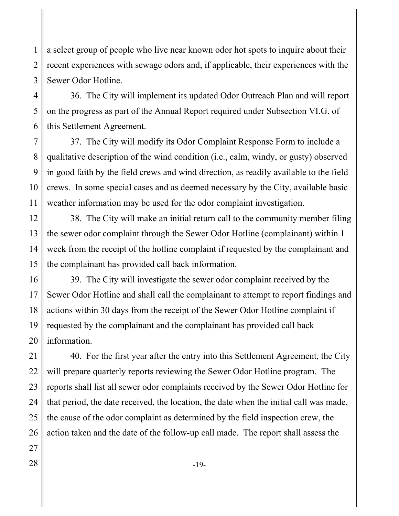1 2 3 a select group of people who live near known odor hot spots to inquire about their recent experiences with sewage odors and, if applicable, their experiences with the Sewer Odor Hotline.

4 5 6 36. The City will implement its updated Odor Outreach Plan and will report on the progress as part of the Annual Report required under Subsection VI.G. of this Settlement Agreement.

7 8 9 10 11 37. The City will modify its Odor Complaint Response Form to include a qualitative description of the wind condition (i.e., calm, windy, or gusty) observed in good faith by the field crews and wind direction, as readily available to the field crews. In some special cases and as deemed necessary by the City, available basic weather information may be used for the odor complaint investigation.

12 13 14 15 38. The City will make an initial return call to the community member filing the sewer odor complaint through the Sewer Odor Hotline (complainant) within 1 week from the receipt of the hotline complaint if requested by the complainant and the complainant has provided call back information.

16 17 18 19 20 39. The City will investigate the sewer odor complaint received by the Sewer Odor Hotline and shall call the complainant to attempt to report findings and actions within 30 days from the receipt of the Sewer Odor Hotline complaint if requested by the complainant and the complainant has provided call back information.

21 22 23 24 25 26 40. For the first year after the entry into this Settlement Agreement, the City will prepare quarterly reports reviewing the Sewer Odor Hotline program. The reports shall list all sewer odor complaints received by the Sewer Odor Hotline for that period, the date received, the location, the date when the initial call was made, the cause of the odor complaint as determined by the field inspection crew, the action taken and the date of the follow-up call made. The report shall assess the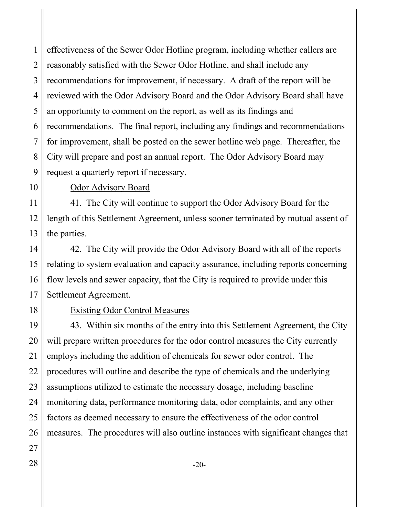1 2 3 4 5 6 7 8 9 effectiveness of the Sewer Odor Hotline program, including whether callers are reasonably satisfied with the Sewer Odor Hotline, and shall include any recommendations for improvement, if necessary. A draft of the report will be reviewed with the Odor Advisory Board and the Odor Advisory Board shall have an opportunity to comment on the report, as well as its findings and recommendations. The final report, including any findings and recommendations for improvement, shall be posted on the sewer hotline web page. Thereafter, the City will prepare and post an annual report. The Odor Advisory Board may request a quarterly report if necessary.

10

# Odor Advisory Board

11 12 13 41. The City will continue to support the Odor Advisory Board for the length of this Settlement Agreement, unless sooner terminated by mutual assent of the parties.

14 15 16 17 42. The City will provide the Odor Advisory Board with all of the reports relating to system evaluation and capacity assurance, including reports concerning flow levels and sewer capacity, that the City is required to provide under this Settlement Agreement.

18

#### Existing Odor Control Measures

19 20 21 22 23 24 25 26 27 43. Within six months of the entry into this Settlement Agreement, the City will prepare written procedures for the odor control measures the City currently employs including the addition of chemicals for sewer odor control. The procedures will outline and describe the type of chemicals and the underlying assumptions utilized to estimate the necessary dosage, including baseline monitoring data, performance monitoring data, odor complaints, and any other factors as deemed necessary to ensure the effectiveness of the odor control measures. The procedures will also outline instances with significant changes that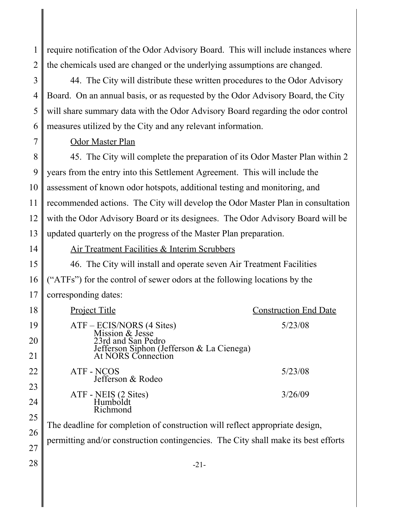1 2 require notification of the Odor Advisory Board. This will include instances where the chemicals used are changed or the underlying assumptions are changed.

3 4 5 6 44. The City will distribute these written procedures to the Odor Advisory Board. On an annual basis, or as requested by the Odor Advisory Board, the City will share summary data with the Odor Advisory Board regarding the odor control measures utilized by the City and any relevant information.

Odor Master Plan

8 9 10 11 12 13 45. The City will complete the preparation of its Odor Master Plan within 2 years from the entry into this Settlement Agreement. This will include the assessment of known odor hotspots, additional testing and monitoring, and recommended actions. The City will develop the Odor Master Plan in consultation with the Odor Advisory Board or its designees. The Odor Advisory Board will be updated quarterly on the progress of the Master Plan preparation.

14

7

Air Treatment Facilities & Interim Scrubbers

15 16 17 46. The City will install and operate seven Air Treatment Facilities ("ATFs") for the control of sewer odors at the following locations by the corresponding dates:

| 18 | <b>Project Title</b>                                                               | <b>Construction End Date</b> |
|----|------------------------------------------------------------------------------------|------------------------------|
| 19 | ATF – ECIS/NORS (4 Sites)<br>Mission & Jesse                                       | 5/23/08                      |
| 20 | 23rd and San Pedro                                                                 |                              |
| 21 | Jefferson Siphon (Jefferson & La Cienega)<br>At NORS Connection                    |                              |
| 22 | ATF - NCOS<br>Jefferson & Rodeo                                                    | 5/23/08                      |
| 23 |                                                                                    |                              |
| 24 | ATF - NEIS (2 Sites)<br>Humboldt<br>Richmond                                       | 3/26/09                      |
| 25 |                                                                                    |                              |
| 26 | The deadline for completion of construction will reflect appropriate design,       |                              |
| 27 | permitting and/or construction contingencies. The City shall make its best efforts |                              |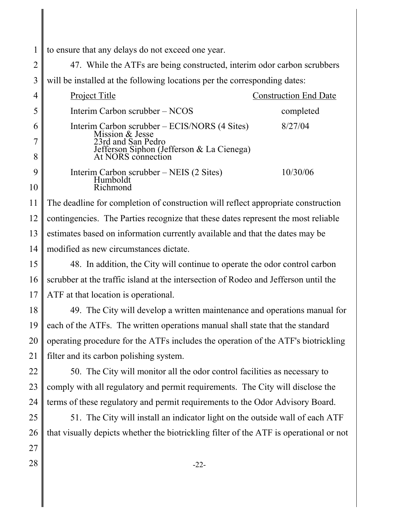1 to ensure that any delays do not exceed one year.

2 3 47. While the ATFs are being constructed, interim odor carbon scrubbers will be installed at the following locations per the corresponding dates:

|   | Project Title                                                    | <b>Construction End Date</b> |
|---|------------------------------------------------------------------|------------------------------|
|   | Interim Carbon scrubber – NCOS                                   | completed                    |
|   | Interim Carbon scrubber – ECIS/NORS (4 Sites)<br>Mission & Jesse | 8/27/04                      |
|   | 23rd and San Pedro                                               |                              |
| 8 | Jefferson Siphon (Jefferson & La Cienega)<br>At NORS connection  |                              |
|   | Interim Carbon scrubber – NEIS (2 Sites)                         | 10/30/06                     |
|   | Humboldt<br>$R$ <i>ichmond</i>                                   |                              |

11 12 13 14 The deadline for completion of construction will reflect appropriate construction contingencies. The Parties recognize that these dates represent the most reliable estimates based on information currently available and that the dates may be modified as new circumstances dictate.

15 16 17 48. In addition, the City will continue to operate the odor control carbon scrubber at the traffic island at the intersection of Rodeo and Jefferson until the ATF at that location is operational.

18 19 20 21 49. The City will develop a written maintenance and operations manual for each of the ATFs. The written operations manual shall state that the standard operating procedure for the ATFs includes the operation of the ATF's biotrickling filter and its carbon polishing system.

22 23 24 50. The City will monitor all the odor control facilities as necessary to comply with all regulatory and permit requirements. The City will disclose the terms of these regulatory and permit requirements to the Odor Advisory Board.

25 26 51. The City will install an indicator light on the outside wall of each ATF that visually depicts whether the biotrickling filter of the ATF is operational or not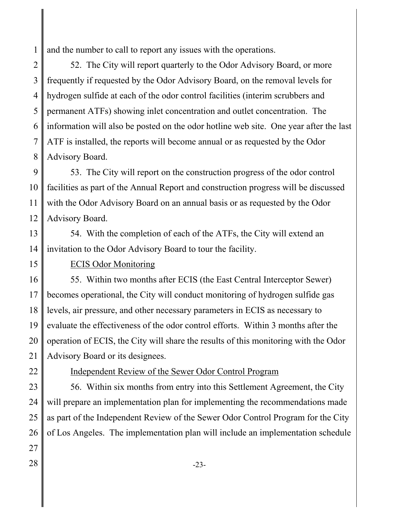1 and the number to call to report any issues with the operations.

2 3 4 5 6 7 8 52. The City will report quarterly to the Odor Advisory Board, or more frequently if requested by the Odor Advisory Board, on the removal levels for hydrogen sulfide at each of the odor control facilities (interim scrubbers and permanent ATFs) showing inlet concentration and outlet concentration. The information will also be posted on the odor hotline web site. One year after the last ATF is installed, the reports will become annual or as requested by the Odor Advisory Board.

9 10 11 12 53. The City will report on the construction progress of the odor control facilities as part of the Annual Report and construction progress will be discussed with the Odor Advisory Board on an annual basis or as requested by the Odor Advisory Board.

13 14 54. With the completion of each of the ATFs, the City will extend an invitation to the Odor Advisory Board to tour the facility.

15

#### ECIS Odor Monitoring

16 17 18 19 20 21 55. Within two months after ECIS (the East Central Interceptor Sewer) becomes operational, the City will conduct monitoring of hydrogen sulfide gas levels, air pressure, and other necessary parameters in ECIS as necessary to evaluate the effectiveness of the odor control efforts. Within 3 months after the operation of ECIS, the City will share the results of this monitoring with the Odor Advisory Board or its designees.

22

# Independent Review of the Sewer Odor Control Program

23 24 25 26 56. Within six months from entry into this Settlement Agreement, the City will prepare an implementation plan for implementing the recommendations made as part of the Independent Review of the Sewer Odor Control Program for the City of Los Angeles. The implementation plan will include an implementation schedule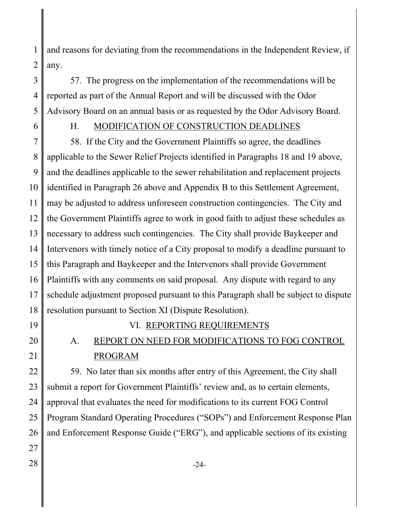1 2 and reasons for deviating from the recommendations in the Independent Review, if any.

3 4 5 57. The progress on the implementation of the recommendations will be reported as part of the Annual Report and will be discussed with the Odor Advisory Board on an annual basis or as requested by the Odor Advisory Board.

6

# H. MODIFICATION OF CONSTRUCTION DEADLINES

7 8 9 10 11 12 13 14 15 16 17 18 58. If the City and the Government Plaintiffs so agree, the deadlines applicable to the Sewer Relief Projects identified in Paragraphs 18 and 19 above, and the deadlines applicable to the sewer rehabilitation and replacement projects identified in Paragraph 26 above and Appendix B to this Settlement Agreement, may be adjusted to address unforeseen construction contingencies. The City and the Government Plaintiffs agree to work in good faith to adjust these schedules as necessary to address such contingencies. The City shall provide Baykeeper and Intervenors with timely notice of a City proposal to modify a deadline pursuant to this Paragraph and Baykeeper and the Intervenors shall provide Government Plaintiffs with any comments on said proposal. Any dispute with regard to any schedule adjustment proposed pursuant to this Paragraph shall be subject to dispute resolution pursuant to Section XI (Dispute Resolution).

- 19
- 20

21

# VI. REPORTING REQUIREMENTS

# A. REPORT ON NEED FOR MODIFICATIONS TO FOG CONTROL PROGRAM

22 23 24 25 26 27 59. No later than six months after entry of this Agreement, the City shall submit a report for Government Plaintiffs' review and, as to certain elements, approval that evaluates the need for modifications to its current FOG Control Program Standard Operating Procedures ("SOPs") and Enforcement Response Plan and Enforcement Response Guide ("ERG"), and applicable sections of its existing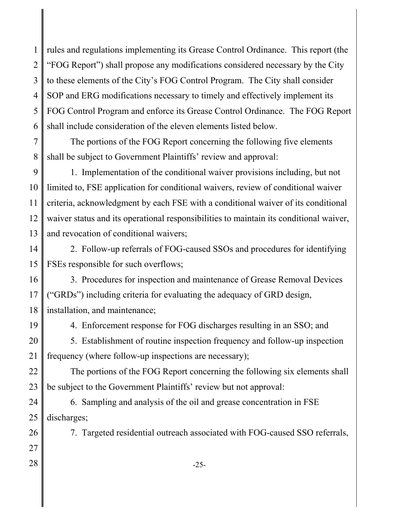1 2 3 4 5 6 rules and regulations implementing its Grease Control Ordinance. This report (the "FOG Report") shall propose any modifications considered necessary by the City to these elements of the City's FOG Control Program. The City shall consider SOP and ERG modifications necessary to timely and effectively implement its FOG Control Program and enforce its Grease Control Ordinance. The FOG Report shall include consideration of the eleven elements listed below.

7 8 The portions of the FOG Report concerning the following five elements shall be subject to Government Plaintiffs' review and approval:

9 10 11 12 13 1. Implementation of the conditional waiver provisions including, but not limited to, FSE application for conditional waivers, review of conditional waiver criteria, acknowledgment by each FSE with a conditional waiver of its conditional waiver status and its operational responsibilities to maintain its conditional waiver, and revocation of conditional waivers;

14 15 2. Follow-up referrals of FOG-caused SSOs and procedures for identifying FSEs responsible for such overflows;

16 17 18 3. Procedures for inspection and maintenance of Grease Removal Devices ("GRDs") including criteria for evaluating the adequacy of GRD design, installation, and maintenance;

19

4. Enforcement response for FOG discharges resulting in an SSO; and

20 21 5. Establishment of routine inspection frequency and follow-up inspection frequency (where follow-up inspections are necessary);

22 23 The portions of the FOG Report concerning the following six elements shall be subject to the Government Plaintiffs' review but not approval:

24 25 6. Sampling and analysis of the oil and grease concentration in FSE discharges;

7. Targeted residential outreach associated with FOG-caused SSO referrals,

27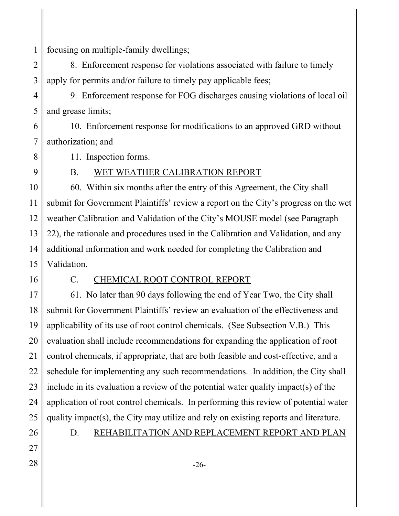1 focusing on multiple-family dwellings;

2 3 8. Enforcement response for violations associated with failure to timely apply for permits and/or failure to timely pay applicable fees;

4 5 9. Enforcement response for FOG discharges causing violations of local oil and grease limits;

6 7 10. Enforcement response for modifications to an approved GRD without authorization; and

11. Inspection forms.

9

8

### B. WET WEATHER CALIBRATION REPORT

10 11 12 13 14 15 60. Within six months after the entry of this Agreement, the City shall submit for Government Plaintiffs' review a report on the City's progress on the wet weather Calibration and Validation of the City's MOUSE model (see Paragraph 22), the rationale and procedures used in the Calibration and Validation, and any additional information and work needed for completing the Calibration and Validation.

16

# C. CHEMICAL ROOT CONTROL REPORT

17 18 19 20 21 22 23 24 25 61. No later than 90 days following the end of Year Two, the City shall submit for Government Plaintiffs' review an evaluation of the effectiveness and applicability of its use of root control chemicals. (See Subsection V.B.) This evaluation shall include recommendations for expanding the application of root control chemicals, if appropriate, that are both feasible and cost-effective, and a schedule for implementing any such recommendations. In addition, the City shall include in its evaluation a review of the potential water quality impact(s) of the application of root control chemicals. In performing this review of potential water quality impact(s), the City may utilize and rely on existing reports and literature.

26 27

#### D. REHABILITATION AND REPLACEMENT REPORT AND PLAN

 $28 \parallel$  -26-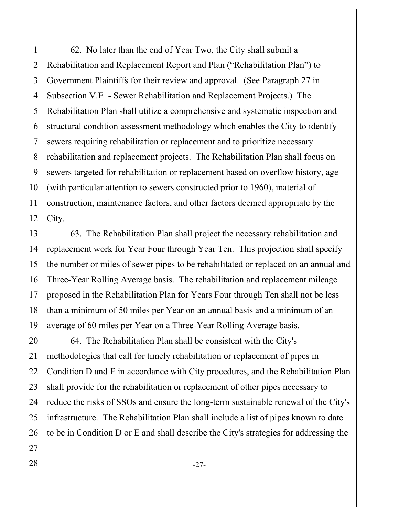1 2 3 4 5 6 7 8 9 10 11 12 62. No later than the end of Year Two, the City shall submit a Rehabilitation and Replacement Report and Plan ("Rehabilitation Plan") to Government Plaintiffs for their review and approval. (See Paragraph 27 in Subsection V.E - Sewer Rehabilitation and Replacement Projects.) The Rehabilitation Plan shall utilize a comprehensive and systematic inspection and structural condition assessment methodology which enables the City to identify sewers requiring rehabilitation or replacement and to prioritize necessary rehabilitation and replacement projects. The Rehabilitation Plan shall focus on sewers targeted for rehabilitation or replacement based on overflow history, age (with particular attention to sewers constructed prior to 1960), material of construction, maintenance factors, and other factors deemed appropriate by the City.

13 14 15 16 17 18 19 63. The Rehabilitation Plan shall project the necessary rehabilitation and replacement work for Year Four through Year Ten. This projection shall specify the number or miles of sewer pipes to be rehabilitated or replaced on an annual and Three-Year Rolling Average basis. The rehabilitation and replacement mileage proposed in the Rehabilitation Plan for Years Four through Ten shall not be less than a minimum of 50 miles per Year on an annual basis and a minimum of an average of 60 miles per Year on a Three-Year Rolling Average basis.

20 21 22 23 24 25 26 27 64. The Rehabilitation Plan shall be consistent with the City's methodologies that call for timely rehabilitation or replacement of pipes in Condition D and E in accordance with City procedures, and the Rehabilitation Plan shall provide for the rehabilitation or replacement of other pipes necessary to reduce the risks of SSOs and ensure the long-term sustainable renewal of the City's infrastructure. The Rehabilitation Plan shall include a list of pipes known to date to be in Condition D or E and shall describe the City's strategies for addressing the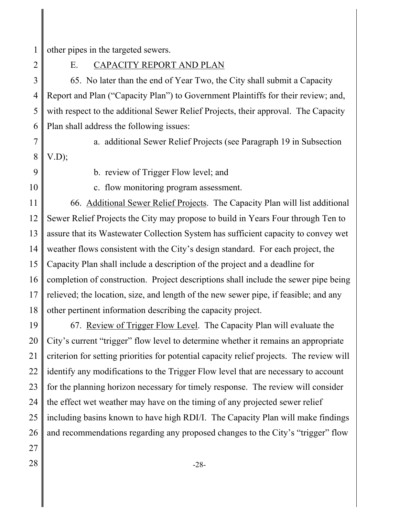1 other pipes in the targeted sewers.

2

E. CAPACITY REPORT AND PLAN

3 4 5 6 65. No later than the end of Year Two, the City shall submit a Capacity Report and Plan ("Capacity Plan") to Government Plaintiffs for their review; and, with respect to the additional Sewer Relief Projects, their approval. The Capacity Plan shall address the following issues:

a. additional Sewer Relief Projects (see Paragraph 19 in Subsection

7 8  $V.D$ :

9

10

b. review of Trigger Flow level; and

c. flow monitoring program assessment.

11 12 13 14 15 16 17 18 66. Additional Sewer Relief Projects. The Capacity Plan will list additional Sewer Relief Projects the City may propose to build in Years Four through Ten to assure that its Wastewater Collection System has sufficient capacity to convey wet weather flows consistent with the City's design standard. For each project, the Capacity Plan shall include a description of the project and a deadline for completion of construction. Project descriptions shall include the sewer pipe being relieved; the location, size, and length of the new sewer pipe, if feasible; and any other pertinent information describing the capacity project.

19 20 21 22 23 24 25 26 67. Review of Trigger Flow Level. The Capacity Plan will evaluate the City's current "trigger" flow level to determine whether it remains an appropriate criterion for setting priorities for potential capacity relief projects. The review will identify any modifications to the Trigger Flow level that are necessary to account for the planning horizon necessary for timely response. The review will consider the effect wet weather may have on the timing of any projected sewer relief including basins known to have high RDI/I. The Capacity Plan will make findings and recommendations regarding any proposed changes to the City's "trigger" flow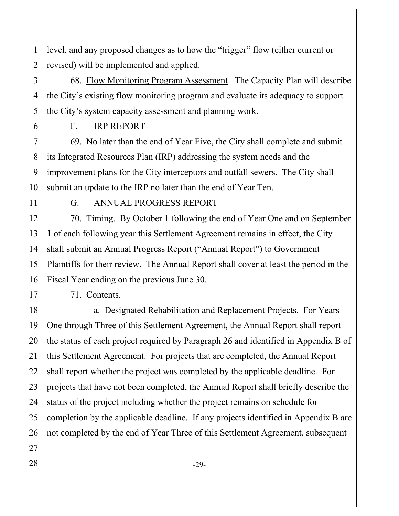1 2 level, and any proposed changes as to how the "trigger" flow (either current or revised) will be implemented and applied.

3 4 5 68. Flow Monitoring Program Assessment. The Capacity Plan will describe the City's existing flow monitoring program and evaluate its adequacy to support the City's system capacity assessment and planning work.

6

### F. IRP REPORT

7 8 9 10 69. No later than the end of Year Five, the City shall complete and submit its Integrated Resources Plan (IRP) addressing the system needs and the improvement plans for the City interceptors and outfall sewers. The City shall submit an update to the IRP no later than the end of Year Ten.

11

# G. ANNUAL PROGRESS REPORT

12 13 14 15 16 70. Timing. By October 1 following the end of Year One and on September 1 of each following year this Settlement Agreement remains in effect, the City shall submit an Annual Progress Report ("Annual Report") to Government Plaintiffs for their review. The Annual Report shall cover at least the period in the Fiscal Year ending on the previous June 30.

17

# 71. Contents.

18 19 20 21 22 23 24 25 26 27 a. Designated Rehabilitation and Replacement Projects. For Years One through Three of this Settlement Agreement, the Annual Report shall report the status of each project required by Paragraph 26 and identified in Appendix B of this Settlement Agreement. For projects that are completed, the Annual Report shall report whether the project was completed by the applicable deadline. For projects that have not been completed, the Annual Report shall briefly describe the status of the project including whether the project remains on schedule for completion by the applicable deadline. If any projects identified in Appendix B are not completed by the end of Year Three of this Settlement Agreement, subsequent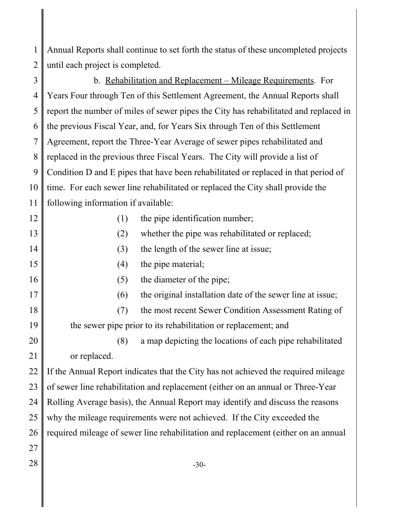1 2 Annual Reports shall continue to set forth the status of these uncompleted projects until each project is completed.

3 4 5 6 7 8 9 10 11 12 13 14 15 16 17 18 19 20 21 22 23 24 25 b. Rehabilitation and Replacement – Mileage Requirements. For Years Four through Ten of this Settlement Agreement, the Annual Reports shall report the number of miles of sewer pipes the City has rehabilitated and replaced in the previous Fiscal Year, and, for Years Six through Ten of this Settlement Agreement, report the Three-Year Average of sewer pipes rehabilitated and replaced in the previous three Fiscal Years. The City will provide a list of Condition D and E pipes that have been rehabilitated or replaced in that period of time. For each sewer line rehabilitated or replaced the City shall provide the following information if available: (1) the pipe identification number; (2) whether the pipe was rehabilitated or replaced; (3) the length of the sewer line at issue; (4) the pipe material; (5) the diameter of the pipe; (6) the original installation date of the sewer line at issue; (7) the most recent Sewer Condition Assessment Rating of the sewer pipe prior to its rehabilitation or replacement; and (8) a map depicting the locations of each pipe rehabilitated or replaced. If the Annual Report indicates that the City has not achieved the required mileage of sewer line rehabilitation and replacement (either on an annual or Three-Year Rolling Average basis), the Annual Report may identify and discuss the reasons why the mileage requirements were not achieved. If the City exceeded the

26 required mileage of sewer line rehabilitation and replacement (either on an annual

- 27
-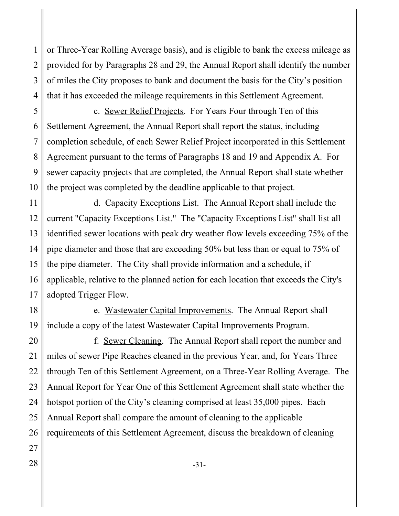1 2 3 4 or Three-Year Rolling Average basis), and is eligible to bank the excess mileage as provided for by Paragraphs 28 and 29, the Annual Report shall identify the number of miles the City proposes to bank and document the basis for the City's position that it has exceeded the mileage requirements in this Settlement Agreement.

5 6 7 8 9 10 c. Sewer Relief Projects. For Years Four through Ten of this Settlement Agreement, the Annual Report shall report the status, including completion schedule, of each Sewer Relief Project incorporated in this Settlement Agreement pursuant to the terms of Paragraphs 18 and 19 and Appendix A. For sewer capacity projects that are completed, the Annual Report shall state whether the project was completed by the deadline applicable to that project.

11 12 13 14 15 16 17 d. Capacity Exceptions List. The Annual Report shall include the current "Capacity Exceptions List." The "Capacity Exceptions List" shall list all identified sewer locations with peak dry weather flow levels exceeding 75% of the pipe diameter and those that are exceeding 50% but less than or equal to 75% of the pipe diameter. The City shall provide information and a schedule, if applicable, relative to the planned action for each location that exceeds the City's adopted Trigger Flow.

18 19 e. Wastewater Capital Improvements. The Annual Report shall include a copy of the latest Wastewater Capital Improvements Program.

20 21 22 23 24 25 26 27 f. Sewer Cleaning. The Annual Report shall report the number and miles of sewer Pipe Reaches cleaned in the previous Year, and, for Years Three through Ten of this Settlement Agreement, on a Three-Year Rolling Average. The Annual Report for Year One of this Settlement Agreement shall state whether the hotspot portion of the City's cleaning comprised at least 35,000 pipes. Each Annual Report shall compare the amount of cleaning to the applicable requirements of this Settlement Agreement, discuss the breakdown of cleaning

- 
-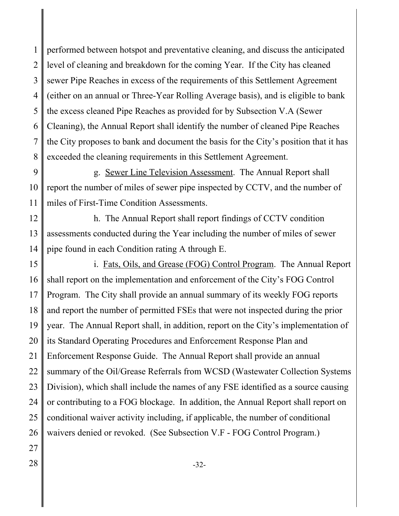1 2 3 4 5 6 7 8 performed between hotspot and preventative cleaning, and discuss the anticipated level of cleaning and breakdown for the coming Year. If the City has cleaned sewer Pipe Reaches in excess of the requirements of this Settlement Agreement (either on an annual or Three-Year Rolling Average basis), and is eligible to bank the excess cleaned Pipe Reaches as provided for by Subsection V.A (Sewer Cleaning), the Annual Report shall identify the number of cleaned Pipe Reaches the City proposes to bank and document the basis for the City's position that it has exceeded the cleaning requirements in this Settlement Agreement.

9 10 11 g. Sewer Line Television Assessment. The Annual Report shall report the number of miles of sewer pipe inspected by CCTV, and the number of miles of First-Time Condition Assessments.

12 13 14 h. The Annual Report shall report findings of CCTV condition assessments conducted during the Year including the number of miles of sewer pipe found in each Condition rating A through E.

15 16 17 18 19 20 21 22 23 24 25 26 i. Fats, Oils, and Grease (FOG) Control Program. The Annual Report shall report on the implementation and enforcement of the City's FOG Control Program. The City shall provide an annual summary of its weekly FOG reports and report the number of permitted FSEs that were not inspected during the prior year. The Annual Report shall, in addition, report on the City's implementation of its Standard Operating Procedures and Enforcement Response Plan and Enforcement Response Guide. The Annual Report shall provide an annual summary of the Oil/Grease Referrals from WCSD (Wastewater Collection Systems Division), which shall include the names of any FSE identified as a source causing or contributing to a FOG blockage. In addition, the Annual Report shall report on conditional waiver activity including, if applicable, the number of conditional waivers denied or revoked. (See Subsection V.F - FOG Control Program.)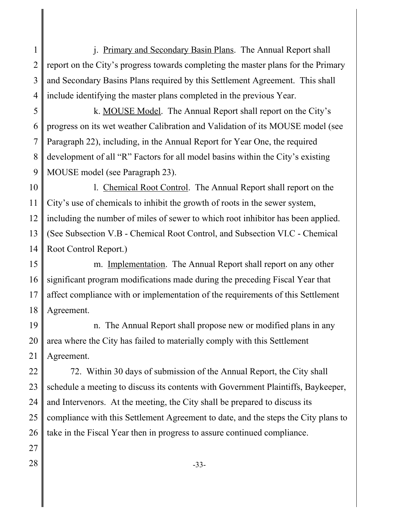1 2 3 4 j. Primary and Secondary Basin Plans. The Annual Report shall report on the City's progress towards completing the master plans for the Primary and Secondary Basins Plans required by this Settlement Agreement. This shall include identifying the master plans completed in the previous Year.

5 6 7 8 9 k. MOUSE Model. The Annual Report shall report on the City's progress on its wet weather Calibration and Validation of its MOUSE model (see Paragraph 22), including, in the Annual Report for Year One, the required development of all "R" Factors for all model basins within the City's existing MOUSE model (see Paragraph 23).

10 11 12 13 14 l. Chemical Root Control. The Annual Report shall report on the City's use of chemicals to inhibit the growth of roots in the sewer system, including the number of miles of sewer to which root inhibitor has been applied. (See Subsection V.B - Chemical Root Control, and Subsection VI.C - Chemical Root Control Report.)

15 16 17 18 m. Implementation. The Annual Report shall report on any other significant program modifications made during the preceding Fiscal Year that affect compliance with or implementation of the requirements of this Settlement Agreement.

19 20 21 n. The Annual Report shall propose new or modified plans in any area where the City has failed to materially comply with this Settlement Agreement.

22 23 24 25 26 72. Within 30 days of submission of the Annual Report, the City shall schedule a meeting to discuss its contents with Government Plaintiffs, Baykeeper, and Intervenors. At the meeting, the City shall be prepared to discuss its compliance with this Settlement Agreement to date, and the steps the City plans to take in the Fiscal Year then in progress to assure continued compliance.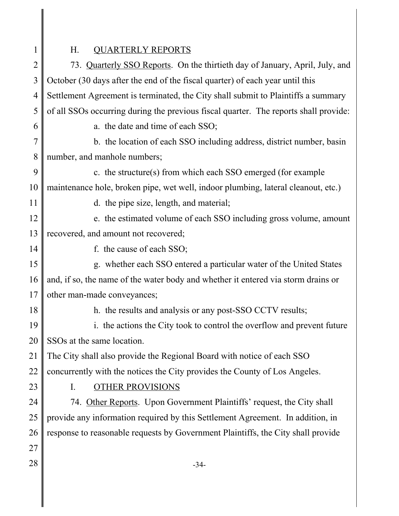1

# H. QUARTERLY REPORTS

2 3 4 5 6 7 8 9 10 11 12 13 14 15 16 17 18 19 20 21 22 23 24 25 26 27  $28 \parallel$  -34-73. Quarterly SSO Reports. On the thirtieth day of January, April, July, and October (30 days after the end of the fiscal quarter) of each year until this Settlement Agreement is terminated, the City shall submit to Plaintiffs a summary of all SSOs occurring during the previous fiscal quarter. The reports shall provide: a. the date and time of each SSO; b. the location of each SSO including address, district number, basin number, and manhole numbers; c. the structure(s) from which each SSO emerged (for example maintenance hole, broken pipe, wet well, indoor plumbing, lateral cleanout, etc.) d. the pipe size, length, and material; e. the estimated volume of each SSO including gross volume, amount recovered, and amount not recovered; f. the cause of each SSO; g. whether each SSO entered a particular water of the United States and, if so, the name of the water body and whether it entered via storm drains or other man-made conveyances; h. the results and analysis or any post-SSO CCTV results; i. the actions the City took to control the overflow and prevent future SSOs at the same location. The City shall also provide the Regional Board with notice of each SSO concurrently with the notices the City provides the County of Los Angeles. I. OTHER PROVISIONS 74. Other Reports. Upon Government Plaintiffs' request, the City shall provide any information required by this Settlement Agreement. In addition, in response to reasonable requests by Government Plaintiffs, the City shall provide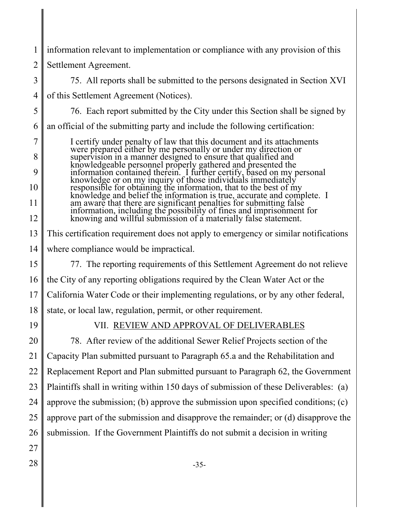1 2 3 4 5 6 7 8 9 10 11 12 13 14 15 16 17 18 19 20 21 22 23 24 25 26 27  $28 \parallel$  -35information relevant to implementation or compliance with any provision of this Settlement Agreement. 75. All reports shall be submitted to the persons designated in Section XVI of this Settlement Agreement (Notices). 76. Each report submitted by the City under this Section shall be signed by an official of the submitting party and include the following certification: I certify under penalty of law that this document and its attachments were prepared either by me personally or under my direction or supervision in a manner designed to ensure that qualified and knowledgeable personnel properly gathered and presented the information contained therein. I further certify, based on my personal knowledge or on my inquiry of those individuals immediately responsible for obtaining the information, that to the best of my knowledge and belief the information is true, accurate and complete. I am aware that there are significant penalties for submitting false information, including the possibility of fines and imprisonment for knowing and willful submission of a materially false statement. This certification requirement does not apply to emergency or similar notifications where compliance would be impractical. 77. The reporting requirements of this Settlement Agreement do not relieve the City of any reporting obligations required by the Clean Water Act or the California Water Code or their implementing regulations, or by any other federal, state, or local law, regulation, permit, or other requirement. VII. REVIEW AND APPROVAL OF DELIVERABLES 78. After review of the additional Sewer Relief Projects section of the Capacity Plan submitted pursuant to Paragraph 65.a and the Rehabilitation and Replacement Report and Plan submitted pursuant to Paragraph 62, the Government Plaintiffs shall in writing within 150 days of submission of these Deliverables: (a) approve the submission; (b) approve the submission upon specified conditions; (c) approve part of the submission and disapprove the remainder; or (d) disapprove the submission. If the Government Plaintiffs do not submit a decision in writing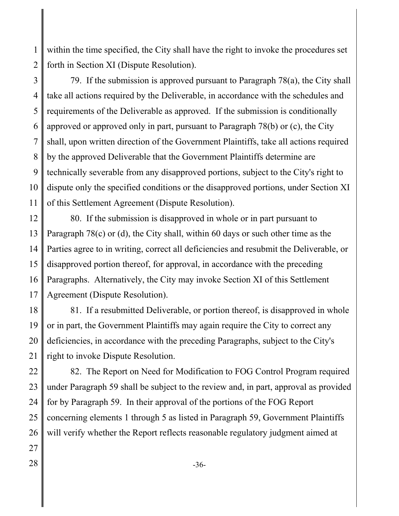1 2 within the time specified, the City shall have the right to invoke the procedures set forth in Section XI (Dispute Resolution).

3 4 5 6 7 8 9 10 11 79. If the submission is approved pursuant to Paragraph 78(a), the City shall take all actions required by the Deliverable, in accordance with the schedules and requirements of the Deliverable as approved. If the submission is conditionally approved or approved only in part, pursuant to Paragraph 78(b) or (c), the City shall, upon written direction of the Government Plaintiffs, take all actions required by the approved Deliverable that the Government Plaintiffs determine are technically severable from any disapproved portions, subject to the City's right to dispute only the specified conditions or the disapproved portions, under Section XI of this Settlement Agreement (Dispute Resolution).

12 13 14 15 16 17 80. If the submission is disapproved in whole or in part pursuant to Paragraph 78(c) or (d), the City shall, within 60 days or such other time as the Parties agree to in writing, correct all deficiencies and resubmit the Deliverable, or disapproved portion thereof, for approval, in accordance with the preceding Paragraphs. Alternatively, the City may invoke Section XI of this Settlement Agreement (Dispute Resolution).

18 19 20 21 81. If a resubmitted Deliverable, or portion thereof, is disapproved in whole or in part, the Government Plaintiffs may again require the City to correct any deficiencies, in accordance with the preceding Paragraphs, subject to the City's right to invoke Dispute Resolution.

22 23 24 25 26 82. The Report on Need for Modification to FOG Control Program required under Paragraph 59 shall be subject to the review and, in part, approval as provided for by Paragraph 59. In their approval of the portions of the FOG Report concerning elements 1 through 5 as listed in Paragraph 59, Government Plaintiffs will verify whether the Report reflects reasonable regulatory judgment aimed at

- 27
-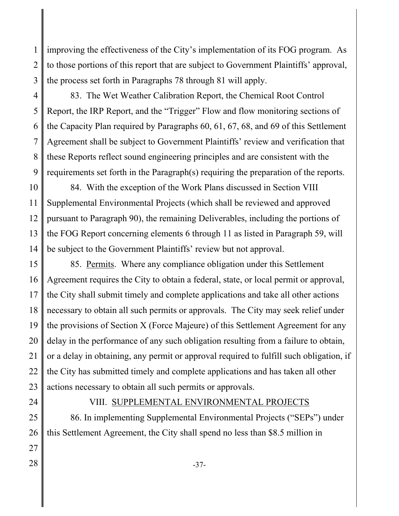1 2 3 improving the effectiveness of the City's implementation of its FOG program. As to those portions of this report that are subject to Government Plaintiffs' approval, the process set forth in Paragraphs 78 through 81 will apply.

4 5 6 7 8 9 83. The Wet Weather Calibration Report, the Chemical Root Control Report, the IRP Report, and the "Trigger" Flow and flow monitoring sections of the Capacity Plan required by Paragraphs 60, 61, 67, 68, and 69 of this Settlement Agreement shall be subject to Government Plaintiffs' review and verification that these Reports reflect sound engineering principles and are consistent with the requirements set forth in the Paragraph(s) requiring the preparation of the reports.

10 11 12 13 14 84. With the exception of the Work Plans discussed in Section VIII Supplemental Environmental Projects (which shall be reviewed and approved pursuant to Paragraph 90), the remaining Deliverables, including the portions of the FOG Report concerning elements 6 through 11 as listed in Paragraph 59, will be subject to the Government Plaintiffs' review but not approval.

15 16 17 18 19 20 21 22 23 85. Permits. Where any compliance obligation under this Settlement Agreement requires the City to obtain a federal, state, or local permit or approval, the City shall submit timely and complete applications and take all other actions necessary to obtain all such permits or approvals. The City may seek relief under the provisions of Section X (Force Majeure) of this Settlement Agreement for any delay in the performance of any such obligation resulting from a failure to obtain, or a delay in obtaining, any permit or approval required to fulfill such obligation, if the City has submitted timely and complete applications and has taken all other actions necessary to obtain all such permits or approvals.

24

## VIII. SUPPLEMENTAL ENVIRONMENTAL PROJECTS

25 26 86. In implementing Supplemental Environmental Projects ("SEPs") under this Settlement Agreement, the City shall spend no less than \$8.5 million in

- 27
-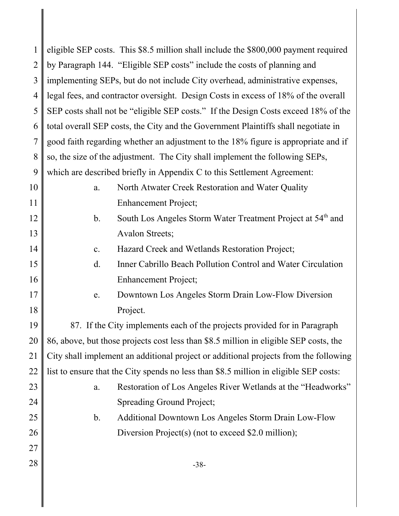| 1              | eligible SEP costs. This \$8.5 million shall include the \$800,000 payment required      |
|----------------|------------------------------------------------------------------------------------------|
| $\overline{2}$ | by Paragraph 144. "Eligible SEP costs" include the costs of planning and                 |
| 3              | implementing SEPs, but do not include City overhead, administrative expenses,            |
| $\overline{4}$ | legal fees, and contractor oversight. Design Costs in excess of 18% of the overall       |
| 5              | SEP costs shall not be "eligible SEP costs." If the Design Costs exceed 18% of the       |
| 6              | total overall SEP costs, the City and the Government Plaintiffs shall negotiate in       |
| 7              | good faith regarding whether an adjustment to the 18% figure is appropriate and if       |
| 8              | so, the size of the adjustment. The City shall implement the following SEPs,             |
| 9              | which are described briefly in Appendix C to this Settlement Agreement:                  |
| 10             | North Atwater Creek Restoration and Water Quality<br>a.                                  |
| 11             | <b>Enhancement Project;</b>                                                              |
| 12             | South Los Angeles Storm Water Treatment Project at 54 <sup>th</sup> and<br>$\mathbf b$ . |
| 13             | <b>Avalon Streets;</b>                                                                   |
| 14             | Hazard Creek and Wetlands Restoration Project;<br>c.                                     |
| 15             | $\mathbf{d}$ .<br>Inner Cabrillo Beach Pollution Control and Water Circulation           |
| 16             | <b>Enhancement Project;</b>                                                              |
| 17             | Downtown Los Angeles Storm Drain Low-Flow Diversion<br>e.                                |
| 18             | Project.                                                                                 |
| 19             | 87. If the City implements each of the projects provided for in Paragraph                |
| 20             | 86, above, but those projects cost less than \$8.5 million in eligible SEP costs, the    |
| 21             | City shall implement an additional project or additional projects from the following     |
| 22             | list to ensure that the City spends no less than \$8.5 million in eligible SEP costs:    |
| 23             | Restoration of Los Angeles River Wetlands at the "Headworks"<br>a.                       |
| 24             | Spreading Ground Project;                                                                |
| 25             | $\mathbf b$ .<br><b>Additional Downtown Los Angeles Storm Drain Low-Flow</b>             |
| 26             | Diversion Project(s) (not to exceed \$2.0 million);                                      |
| 27             |                                                                                          |
| 28             | $-38-$                                                                                   |
|                |                                                                                          |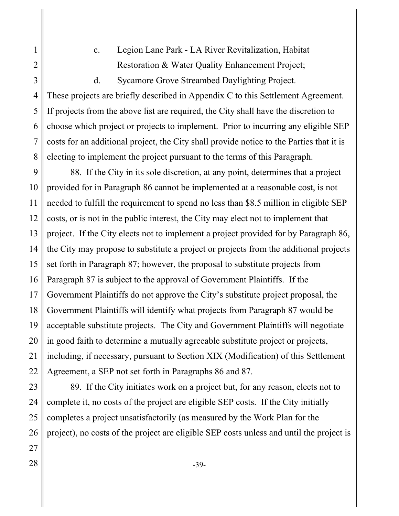2

3

1

c. Legion Lane Park - LA River Revitalization, Habitat Restoration & Water Quality Enhancement Project;

d. Sycamore Grove Streambed Daylighting Project.

4 5 6 7 8 These projects are briefly described in Appendix C to this Settlement Agreement. If projects from the above list are required, the City shall have the discretion to choose which project or projects to implement. Prior to incurring any eligible SEP costs for an additional project, the City shall provide notice to the Parties that it is electing to implement the project pursuant to the terms of this Paragraph.

9 10 11 12 13 14 15 16 17 18 19 20 21 22 88. If the City in its sole discretion, at any point, determines that a project provided for in Paragraph 86 cannot be implemented at a reasonable cost, is not needed to fulfill the requirement to spend no less than \$8.5 million in eligible SEP costs, or is not in the public interest, the City may elect not to implement that project. If the City elects not to implement a project provided for by Paragraph 86, the City may propose to substitute a project or projects from the additional projects set forth in Paragraph 87; however, the proposal to substitute projects from Paragraph 87 is subject to the approval of Government Plaintiffs. If the Government Plaintiffs do not approve the City's substitute project proposal, the Government Plaintiffs will identify what projects from Paragraph 87 would be acceptable substitute projects. The City and Government Plaintiffs will negotiate in good faith to determine a mutually agreeable substitute project or projects, including, if necessary, pursuant to Section XIX (Modification) of this Settlement Agreement, a SEP not set forth in Paragraphs 86 and 87.

89. If the City initiates work on a project but, for any reason, elects not to complete it, no costs of the project are eligible SEP costs. If the City initially completes a project unsatisfactorily (as measured by the Work Plan for the project), no costs of the project are eligible SEP costs unless and until the project is

 $28 \parallel$  -39-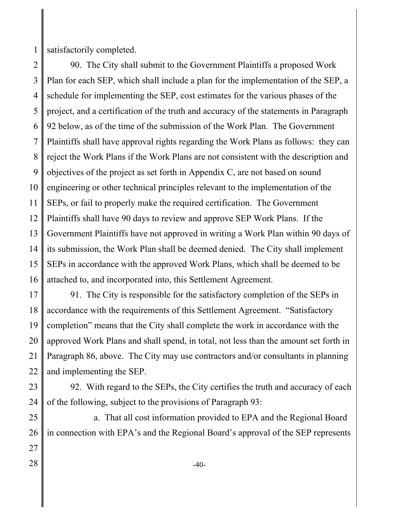1 satisfactorily completed.

2 3 4 5 6 7 8 9 10 11 12 13 14 15 16 90. The City shall submit to the Government Plaintiffs a proposed Work Plan for each SEP, which shall include a plan for the implementation of the SEP, a schedule for implementing the SEP, cost estimates for the various phases of the project, and a certification of the truth and accuracy of the statements in Paragraph 92 below, as of the time of the submission of the Work Plan. The Government Plaintiffs shall have approval rights regarding the Work Plans as follows: they can reject the Work Plans if the Work Plans are not consistent with the description and objectives of the project as set forth in Appendix C, are not based on sound engineering or other technical principles relevant to the implementation of the SEPs, or fail to properly make the required certification. The Government Plaintiffs shall have 90 days to review and approve SEP Work Plans. If the Government Plaintiffs have not approved in writing a Work Plan within 90 days of its submission, the Work Plan shall be deemed denied. The City shall implement SEPs in accordance with the approved Work Plans, which shall be deemed to be attached to, and incorporated into, this Settlement Agreement.

17 18 19 20 21 22 91. The City is responsible for the satisfactory completion of the SEPs in accordance with the requirements of this Settlement Agreement. "Satisfactory completion" means that the City shall complete the work in accordance with the approved Work Plans and shall spend, in total, not less than the amount set forth in Paragraph 86, above. The City may use contractors and/or consultants in planning and implementing the SEP.

23 24 92. With regard to the SEPs, the City certifies the truth and accuracy of each of the following, subject to the provisions of Paragraph 93:

25 26 27 a. That all cost information provided to EPA and the Regional Board in connection with EPA's and the Regional Board's approval of the SEP represents

 $28 \parallel$   $-40^{-1}$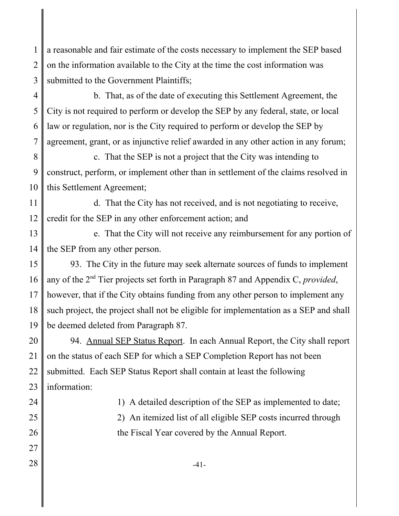1 2 3 a reasonable and fair estimate of the costs necessary to implement the SEP based on the information available to the City at the time the cost information was submitted to the Government Plaintiffs;

4 5 6 7 b. That, as of the date of executing this Settlement Agreement, the City is not required to perform or develop the SEP by any federal, state, or local law or regulation, nor is the City required to perform or develop the SEP by agreement, grant, or as injunctive relief awarded in any other action in any forum;

8 9 10 c. That the SEP is not a project that the City was intending to construct, perform, or implement other than in settlement of the claims resolved in this Settlement Agreement;

11 12 d. That the City has not received, and is not negotiating to receive, credit for the SEP in any other enforcement action; and

13 14 e. That the City will not receive any reimbursement for any portion of the SEP from any other person.

15 16 17 18 19 93. The City in the future may seek alternate sources of funds to implement any of the 2nd Tier projects set forth in Paragraph 87 and Appendix C, *provided*, however, that if the City obtains funding from any other person to implement any such project, the project shall not be eligible for implementation as a SEP and shall be deemed deleted from Paragraph 87.

20 21 22 23 94. Annual SEP Status Report. In each Annual Report, the City shall report on the status of each SEP for which a SEP Completion Report has not been submitted. Each SEP Status Report shall contain at least the following information:

24 25

26 27

the Fiscal Year covered by the Annual Report.

1) A detailed description of the SEP as implemented to date;

2) An itemized list of all eligible SEP costs incurred through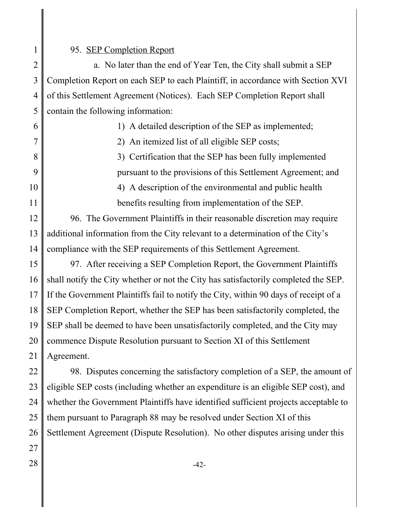### 95. SEP Completion Report

2 3 4 5 a. No later than the end of Year Ten, the City shall submit a SEP Completion Report on each SEP to each Plaintiff, in accordance with Section XVI of this Settlement Agreement (Notices). Each SEP Completion Report shall contain the following information:

|    | 1) A detailed description of the SEP as implemented;         |
|----|--------------------------------------------------------------|
|    | 2) An itemized list of all eligible SEP costs;               |
|    | 3) Certification that the SEP has been fully implemented     |
|    | pursuant to the provisions of this Settlement Agreement; and |
| 10 | 4) A description of the environmental and public health      |
|    | benefits resulting from implementation of the SEP.           |

12 13 14 96. The Government Plaintiffs in their reasonable discretion may require additional information from the City relevant to a determination of the City's compliance with the SEP requirements of this Settlement Agreement.

15 16 17 18 19 20 21 97. After receiving a SEP Completion Report, the Government Plaintiffs shall notify the City whether or not the City has satisfactorily completed the SEP. If the Government Plaintiffs fail to notify the City, within 90 days of receipt of a SEP Completion Report, whether the SEP has been satisfactorily completed, the SEP shall be deemed to have been unsatisfactorily completed, and the City may commence Dispute Resolution pursuant to Section XI of this Settlement Agreement.

22 23 24 25 26 98. Disputes concerning the satisfactory completion of a SEP, the amount of eligible SEP costs (including whether an expenditure is an eligible SEP cost), and whether the Government Plaintiffs have identified sufficient projects acceptable to them pursuant to Paragraph 88 may be resolved under Section XI of this Settlement Agreement (Dispute Resolution). No other disputes arising under this

27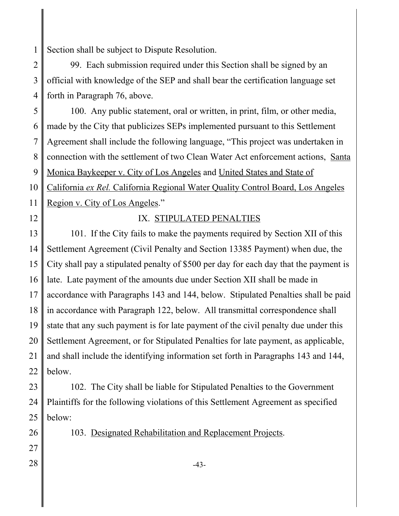1 Section shall be subject to Dispute Resolution.

2 3 4 99. Each submission required under this Section shall be signed by an official with knowledge of the SEP and shall bear the certification language set forth in Paragraph 76, above.

5 6 7 8 9 10 11 100. Any public statement, oral or written, in print, film, or other media, made by the City that publicizes SEPs implemented pursuant to this Settlement Agreement shall include the following language, "This project was undertaken in connection with the settlement of two Clean Water Act enforcement actions, Santa Monica Baykeeper v. City of Los Angeles and United States and State of California *ex Rel.* California Regional Water Quality Control Board, Los Angeles Region v. City of Los Angeles."

12

# IX. STIPULATED PENALTIES

13 14 15 16 17 18 19 20 21 22 101. If the City fails to make the payments required by Section XII of this Settlement Agreement (Civil Penalty and Section 13385 Payment) when due, the City shall pay a stipulated penalty of \$500 per day for each day that the payment is late. Late payment of the amounts due under Section XII shall be made in accordance with Paragraphs 143 and 144, below. Stipulated Penalties shall be paid in accordance with Paragraph 122, below. All transmittal correspondence shall state that any such payment is for late payment of the civil penalty due under this Settlement Agreement, or for Stipulated Penalties for late payment, as applicable, and shall include the identifying information set forth in Paragraphs 143 and 144, below.

23 24 25 102. The City shall be liable for Stipulated Penalties to the Government Plaintiffs for the following violations of this Settlement Agreement as specified below:

103. Designated Rehabilitation and Replacement Projects.

27  $28 \parallel$   $-43-$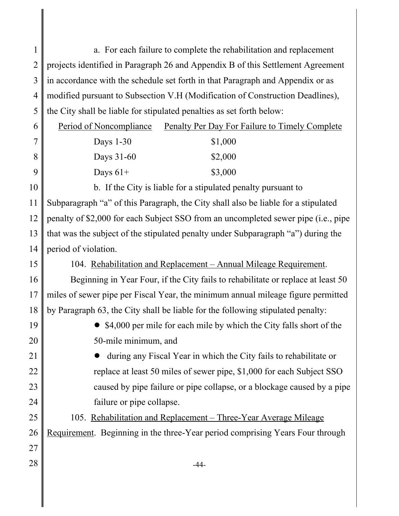1 2 3 4 5 6 7 8 9 10 11 12 13 14 15 16 17 18 19 20 21 22 23 24 25 26 27  $28 \parallel$   $-44$ a. For each failure to complete the rehabilitation and replacement projects identified in Paragraph 26 and Appendix B of this Settlement Agreement in accordance with the schedule set forth in that Paragraph and Appendix or as modified pursuant to Subsection V.H (Modification of Construction Deadlines), the City shall be liable for stipulated penalties as set forth below: Period of Noncompliance Penalty Per Day For Failure to Timely Complete Days 1-30 \$1,000 Days 31-60 \$2,000 Days  $61+$  \$3,000 b. If the City is liable for a stipulated penalty pursuant to Subparagraph "a" of this Paragraph, the City shall also be liable for a stipulated penalty of \$2,000 for each Subject SSO from an uncompleted sewer pipe (i.e., pipe that was the subject of the stipulated penalty under Subparagraph "a") during the period of violation. 104. Rehabilitation and Replacement – Annual Mileage Requirement. Beginning in Year Four, if the City fails to rehabilitate or replace at least 50 miles of sewer pipe per Fiscal Year, the minimum annual mileage figure permitted by Paragraph 63, the City shall be liable for the following stipulated penalty: • \$4,000 per mile for each mile by which the City falls short of the 50-mile minimum, and ! during any Fiscal Year in which the City fails to rehabilitate or replace at least 50 miles of sewer pipe, \$1,000 for each Subject SSO caused by pipe failure or pipe collapse, or a blockage caused by a pipe failure or pipe collapse. 105. Rehabilitation and Replacement – Three-Year Average Mileage Requirement. Beginning in the three-Year period comprising Years Four through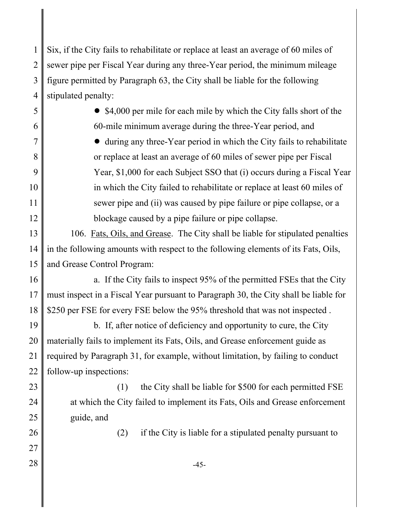1 2 3 4 Six, if the City fails to rehabilitate or replace at least an average of 60 miles of sewer pipe per Fiscal Year during any three-Year period, the minimum mileage figure permitted by Paragraph 63, the City shall be liable for the following stipulated penalty:

5 6 7 8 9 10 11 12  $\bullet$  \$4,000 per mile for each mile by which the City falls short of the 60-mile minimum average during the three-Year period, and • during any three-Year period in which the City fails to rehabilitate or replace at least an average of 60 miles of sewer pipe per Fiscal Year, \$1,000 for each Subject SSO that (i) occurs during a Fiscal Year in which the City failed to rehabilitate or replace at least 60 miles of sewer pipe and (ii) was caused by pipe failure or pipe collapse, or a blockage caused by a pipe failure or pipe collapse.

13 14 15 106. Fats, Oils, and Grease. The City shall be liable for stipulated penalties in the following amounts with respect to the following elements of its Fats, Oils, and Grease Control Program:

16 17 18 a. If the City fails to inspect 95% of the permitted FSEs that the City must inspect in a Fiscal Year pursuant to Paragraph 30, the City shall be liable for \$250 per FSE for every FSE below the 95% threshold that was not inspected.

19 20 21 22 b. If, after notice of deficiency and opportunity to cure, the City materially fails to implement its Fats, Oils, and Grease enforcement guide as required by Paragraph 31, for example, without limitation, by failing to conduct follow-up inspections:

23

24

25

26

27

(1) the City shall be liable for \$500 for each permitted FSE at which the City failed to implement its Fats, Oils and Grease enforcement guide, and

(2) if the City is liable for a stipulated penalty pursuant to

 $28 \parallel$   $-45$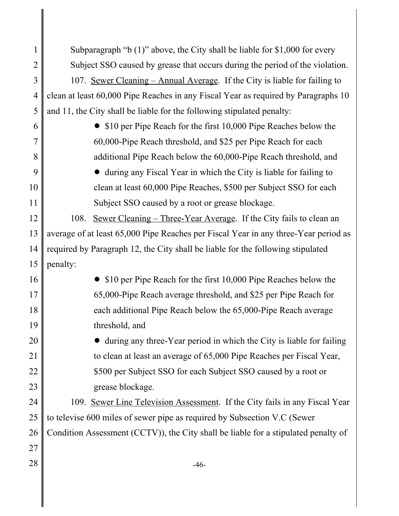1 2 3 4 5 6 7 8 9 10 11 12 13 14 15 16 17 18 19 20 21 22 23 24 25 26 27  $28 \parallel$   $-46 -$ Subparagraph "b (1)" above, the City shall be liable for \$1,000 for every Subject SSO caused by grease that occurs during the period of the violation. 107. Sewer Cleaning – Annual Average. If the City is liable for failing to clean at least 60,000 Pipe Reaches in any Fiscal Year as required by Paragraphs 10 and 11, the City shall be liable for the following stipulated penalty: • \$10 per Pipe Reach for the first 10,000 Pipe Reaches below the 60,000-Pipe Reach threshold, and \$25 per Pipe Reach for each additional Pipe Reach below the 60,000-Pipe Reach threshold, and • during any Fiscal Year in which the City is liable for failing to clean at least 60,000 Pipe Reaches, \$500 per Subject SSO for each Subject SSO caused by a root or grease blockage. 108. Sewer Cleaning – Three-Year Average. If the City fails to clean an average of at least 65,000 Pipe Reaches per Fiscal Year in any three-Year period as required by Paragraph 12, the City shall be liable for the following stipulated penalty: • \$10 per Pipe Reach for the first 10,000 Pipe Reaches below the 65,000-Pipe Reach average threshold, and \$25 per Pipe Reach for each additional Pipe Reach below the 65,000-Pipe Reach average threshold, and • during any three-Year period in which the City is liable for failing to clean at least an average of 65,000 Pipe Reaches per Fiscal Year, \$500 per Subject SSO for each Subject SSO caused by a root or grease blockage. 109. Sewer Line Television Assessment. If the City fails in any Fiscal Year to televise 600 miles of sewer pipe as required by Subsection V.C (Sewer Condition Assessment (CCTV)), the City shall be liable for a stipulated penalty of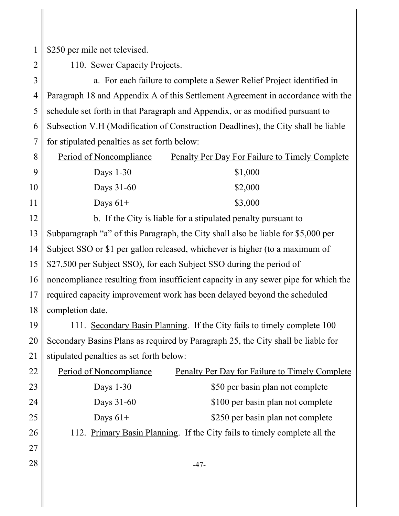1 \$250 per mile not televised.

2

110. Sewer Capacity Projects.

3 4 5 6 7 a. For each failure to complete a Sewer Relief Project identified in Paragraph 18 and Appendix A of this Settlement Agreement in accordance with the schedule set forth in that Paragraph and Appendix, or as modified pursuant to Subsection V.H (Modification of Construction Deadlines), the City shall be liable for stipulated penalties as set forth below:

| 8  | Period of Noncompliance | <b>Penalty Per Day For Failure to Timely Complete</b> |
|----|-------------------------|-------------------------------------------------------|
|    | Days $1-30$             | \$1,000                                               |
| 10 | Days $31-60$            | \$2,000                                               |
| 11 | Days $61+$              | \$3,000                                               |

12 13 14 15 16 17 18 b. If the City is liable for a stipulated penalty pursuant to Subparagraph "a" of this Paragraph, the City shall also be liable for \$5,000 per Subject SSO or \$1 per gallon released, whichever is higher (to a maximum of \$27,500 per Subject SSO), for each Subject SSO during the period of noncompliance resulting from insufficient capacity in any sewer pipe for which the required capacity improvement work has been delayed beyond the scheduled completion date.

19 20 21 111. Secondary Basin Planning. If the City fails to timely complete 100 Secondary Basins Plans as required by Paragraph 25, the City shall be liable for stipulated penalties as set forth below:

| 22 | Period of Noncompliance | <b>Penalty Per Day for Failure to Timely Complete</b>                     |
|----|-------------------------|---------------------------------------------------------------------------|
| 23 | Days $1-30$             | \$50 per basin plan not complete                                          |
| 24 | Days 31-60              | \$100 per basin plan not complete                                         |
| 25 | Days $61+$              | \$250 per basin plan not complete                                         |
| 26 |                         | 112. Primary Basin Planning. If the City fails to timely complete all the |
| 27 |                         |                                                                           |
| 28 |                         | -47-                                                                      |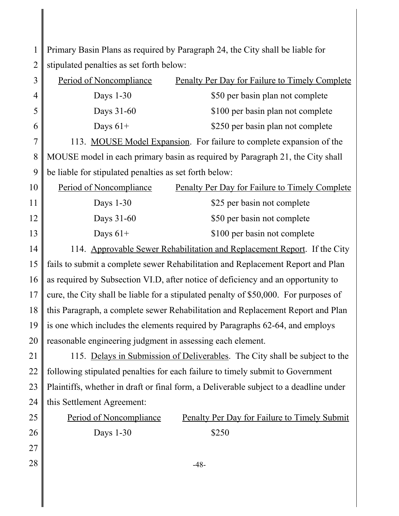1 2 Primary Basin Plans as required by Paragraph 24, the City shall be liable for stipulated penalties as set forth below:

| 3              | Period of Noncompliance                                    | <b>Penalty Per Day for Failure to Timely Complete</b>                                 |
|----------------|------------------------------------------------------------|---------------------------------------------------------------------------------------|
| $\overline{4}$ | Days $1-30$                                                | \$50 per basin plan not complete                                                      |
| 5              | Days 31-60                                                 | \$100 per basin plan not complete                                                     |
| 6              | Days $61+$                                                 | \$250 per basin plan not complete                                                     |
| 7              |                                                            | 113. MOUSE Model Expansion. For failure to complete expansion of the                  |
| 8              |                                                            | MOUSE model in each primary basin as required by Paragraph 21, the City shall         |
| 9              | be liable for stipulated penalties as set forth below:     |                                                                                       |
| 10             | Period of Noncompliance                                    | <b>Penalty Per Day for Failure to Timely Complete</b>                                 |
| 11             | Days 1-30                                                  | \$25 per basin not complete                                                           |
| 12             | Days 31-60                                                 | \$50 per basin not complete                                                           |
| 13             | Days $61+$                                                 | \$100 per basin not complete                                                          |
| 14             |                                                            | 114. Approvable Sewer Rehabilitation and Replacement Report. If the City              |
| 15             |                                                            | fails to submit a complete sewer Rehabilitation and Replacement Report and Plan       |
| 16             |                                                            | as required by Subsection VI.D, after notice of deficiency and an opportunity to      |
| 17             |                                                            | cure, the City shall be liable for a stipulated penalty of \$50,000. For purposes of  |
| 18             |                                                            | this Paragraph, a complete sewer Rehabilitation and Replacement Report and Plan       |
| 19             |                                                            | is one which includes the elements required by Paragraphs 62-64, and employs          |
| 20             | reasonable engineering judgment in assessing each element. |                                                                                       |
| 21             |                                                            | 115. Delays in Submission of Deliverables. The City shall be subject to the           |
| 22             |                                                            | following stipulated penalties for each failure to timely submit to Government        |
| 23             |                                                            | Plaintiffs, whether in draft or final form, a Deliverable subject to a deadline under |
| 24             | this Settlement Agreement:                                 |                                                                                       |
| 25             | Period of Noncompliance                                    | <b>Penalty Per Day for Failure to Timely Submit</b>                                   |
| 26             | Days 1-30                                                  | \$250                                                                                 |
| 27             |                                                            |                                                                                       |
| 28             |                                                            | $-48-$                                                                                |
|                |                                                            |                                                                                       |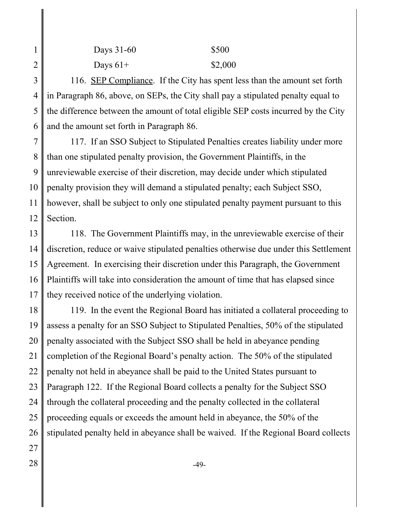| Days 31-60 | \$500   |
|------------|---------|
| Days $61+$ | \$2,000 |

3 4 5 6 116. SEP Compliance. If the City has spent less than the amount set forth in Paragraph 86, above, on SEPs, the City shall pay a stipulated penalty equal to the difference between the amount of total eligible SEP costs incurred by the City and the amount set forth in Paragraph 86.

7 8 9 10 11 12 117. If an SSO Subject to Stipulated Penalties creates liability under more than one stipulated penalty provision, the Government Plaintiffs, in the unreviewable exercise of their discretion, may decide under which stipulated penalty provision they will demand a stipulated penalty; each Subject SSO, however, shall be subject to only one stipulated penalty payment pursuant to this Section.

13 14 15 16 17 118. The Government Plaintiffs may, in the unreviewable exercise of their discretion, reduce or waive stipulated penalties otherwise due under this Settlement Agreement. In exercising their discretion under this Paragraph, the Government Plaintiffs will take into consideration the amount of time that has elapsed since they received notice of the underlying violation.

18 19 20 21 22 23 24 25 26 27 119. In the event the Regional Board has initiated a collateral proceeding to assess a penalty for an SSO Subject to Stipulated Penalties, 50% of the stipulated penalty associated with the Subject SSO shall be held in abeyance pending completion of the Regional Board's penalty action. The 50% of the stipulated penalty not held in abeyance shall be paid to the United States pursuant to Paragraph 122. If the Regional Board collects a penalty for the Subject SSO through the collateral proceeding and the penalty collected in the collateral proceeding equals or exceeds the amount held in abeyance, the 50% of the stipulated penalty held in abeyance shall be waived. If the Regional Board collects

1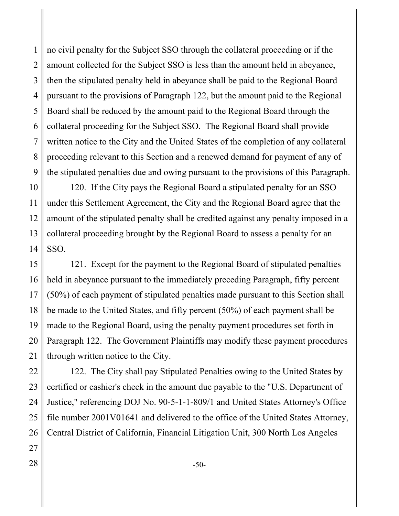1 2 3 4 5 6 7 8 9 no civil penalty for the Subject SSO through the collateral proceeding or if the amount collected for the Subject SSO is less than the amount held in abeyance, then the stipulated penalty held in abeyance shall be paid to the Regional Board pursuant to the provisions of Paragraph 122, but the amount paid to the Regional Board shall be reduced by the amount paid to the Regional Board through the collateral proceeding for the Subject SSO. The Regional Board shall provide written notice to the City and the United States of the completion of any collateral proceeding relevant to this Section and a renewed demand for payment of any of the stipulated penalties due and owing pursuant to the provisions of this Paragraph.

10 11 12 13 14 120. If the City pays the Regional Board a stipulated penalty for an SSO under this Settlement Agreement, the City and the Regional Board agree that the amount of the stipulated penalty shall be credited against any penalty imposed in a collateral proceeding brought by the Regional Board to assess a penalty for an SSO.

15 16 17 18 19 20 21 121. Except for the payment to the Regional Board of stipulated penalties held in abeyance pursuant to the immediately preceding Paragraph, fifty percent (50%) of each payment of stipulated penalties made pursuant to this Section shall be made to the United States, and fifty percent (50%) of each payment shall be made to the Regional Board, using the penalty payment procedures set forth in Paragraph 122. The Government Plaintiffs may modify these payment procedures through written notice to the City.

22 23 24 25 26 122. The City shall pay Stipulated Penalties owing to the United States by certified or cashier's check in the amount due payable to the "U.S. Department of Justice," referencing DOJ No. 90-5-1-1-809/1 and United States Attorney's Office file number 2001V01641 and delivered to the office of the United States Attorney, Central District of California, Financial Litigation Unit, 300 North Los Angeles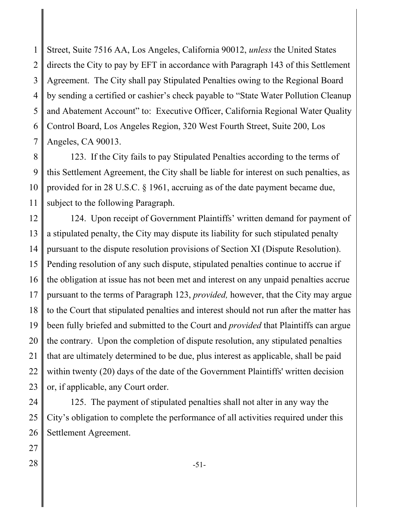1 2 3 4 5 6 7 Street, Suite 7516 AA, Los Angeles, California 90012, *unless* the United States directs the City to pay by EFT in accordance with Paragraph 143 of this Settlement Agreement. The City shall pay Stipulated Penalties owing to the Regional Board by sending a certified or cashier's check payable to "State Water Pollution Cleanup and Abatement Account" to: Executive Officer, California Regional Water Quality Control Board, Los Angeles Region, 320 West Fourth Street, Suite 200, Los Angeles, CA 90013.

8 9 10 11 123. If the City fails to pay Stipulated Penalties according to the terms of this Settlement Agreement, the City shall be liable for interest on such penalties, as provided for in 28 U.S.C. § 1961, accruing as of the date payment became due, subject to the following Paragraph.

12 13 14 15 16 17 18 19 20 21 22 23 124. Upon receipt of Government Plaintiffs' written demand for payment of a stipulated penalty, the City may dispute its liability for such stipulated penalty pursuant to the dispute resolution provisions of Section XI (Dispute Resolution). Pending resolution of any such dispute, stipulated penalties continue to accrue if the obligation at issue has not been met and interest on any unpaid penalties accrue pursuant to the terms of Paragraph 123, *provided,* however, that the City may argue to the Court that stipulated penalties and interest should not run after the matter has been fully briefed and submitted to the Court and *provided* that Plaintiffs can argue the contrary. Upon the completion of dispute resolution, any stipulated penalties that are ultimately determined to be due, plus interest as applicable, shall be paid within twenty (20) days of the date of the Government Plaintiffs' written decision or, if applicable, any Court order.

24 25 26 125. The payment of stipulated penalties shall not alter in any way the City's obligation to complete the performance of all activities required under this Settlement Agreement.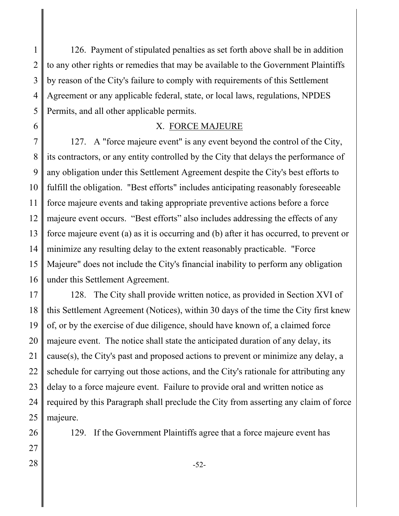1 2 3 4 5 126. Payment of stipulated penalties as set forth above shall be in addition to any other rights or remedies that may be available to the Government Plaintiffs by reason of the City's failure to comply with requirements of this Settlement Agreement or any applicable federal, state, or local laws, regulations, NPDES Permits, and all other applicable permits.

# X. FORCE MAJEURE

6

26

27

7 8 9 10 11 12 13 14 15 16 127. A "force majeure event" is any event beyond the control of the City, its contractors, or any entity controlled by the City that delays the performance of any obligation under this Settlement Agreement despite the City's best efforts to fulfill the obligation. "Best efforts" includes anticipating reasonably foreseeable force majeure events and taking appropriate preventive actions before a force majeure event occurs. "Best efforts" also includes addressing the effects of any force majeure event (a) as it is occurring and (b) after it has occurred, to prevent or minimize any resulting delay to the extent reasonably practicable. "Force Majeure" does not include the City's financial inability to perform any obligation under this Settlement Agreement.

17 18 19 20 21 22 23 24 25 128. The City shall provide written notice, as provided in Section XVI of this Settlement Agreement (Notices), within 30 days of the time the City first knew of, or by the exercise of due diligence, should have known of, a claimed force majeure event. The notice shall state the anticipated duration of any delay, its cause(s), the City's past and proposed actions to prevent or minimize any delay, a schedule for carrying out those actions, and the City's rationale for attributing any delay to a force majeure event. Failure to provide oral and written notice as required by this Paragraph shall preclude the City from asserting any claim of force majeure.

129. If the Government Plaintiffs agree that a force majeure event has

 $28 \parallel -52$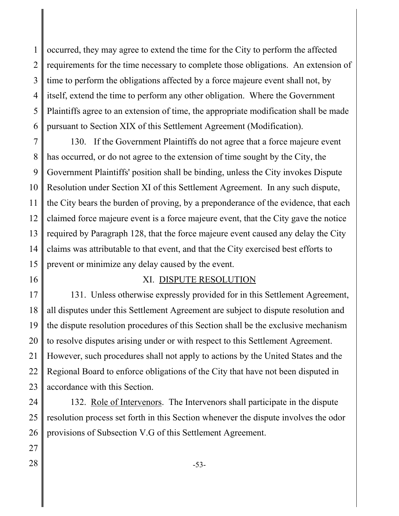1 2 3 4 5 6 occurred, they may agree to extend the time for the City to perform the affected requirements for the time necessary to complete those obligations. An extension of time to perform the obligations affected by a force majeure event shall not, by itself, extend the time to perform any other obligation. Where the Government Plaintiffs agree to an extension of time, the appropriate modification shall be made pursuant to Section XIX of this Settlement Agreement (Modification).

7 8 9 10 11 12 13 14 15 130. If the Government Plaintiffs do not agree that a force majeure event has occurred, or do not agree to the extension of time sought by the City, the Government Plaintiffs' position shall be binding, unless the City invokes Dispute Resolution under Section XI of this Settlement Agreement. In any such dispute, the City bears the burden of proving, by a preponderance of the evidence, that each claimed force majeure event is a force majeure event, that the City gave the notice required by Paragraph 128, that the force majeure event caused any delay the City claims was attributable to that event, and that the City exercised best efforts to prevent or minimize any delay caused by the event.

16

#### XI. DISPUTE RESOLUTION

17 18 19 20 21 22 23 131. Unless otherwise expressly provided for in this Settlement Agreement, all disputes under this Settlement Agreement are subject to dispute resolution and the dispute resolution procedures of this Section shall be the exclusive mechanism to resolve disputes arising under or with respect to this Settlement Agreement. However, such procedures shall not apply to actions by the United States and the Regional Board to enforce obligations of the City that have not been disputed in accordance with this Section.

24 25 26 132. Role of Intervenors. The Intervenors shall participate in the dispute resolution process set forth in this Section whenever the dispute involves the odor provisions of Subsection V.G of this Settlement Agreement.

27

 $28 \parallel$  -53-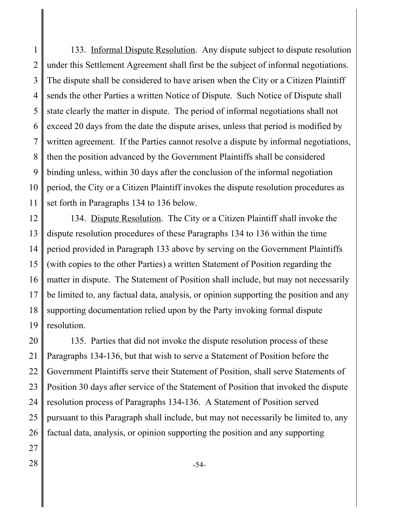1 2 3 4 5 6 7 8 9 10 11 133. Informal Dispute Resolution. Any dispute subject to dispute resolution under this Settlement Agreement shall first be the subject of informal negotiations. The dispute shall be considered to have arisen when the City or a Citizen Plaintiff sends the other Parties a written Notice of Dispute. Such Notice of Dispute shall state clearly the matter in dispute. The period of informal negotiations shall not exceed 20 days from the date the dispute arises, unless that period is modified by written agreement. If the Parties cannot resolve a dispute by informal negotiations, then the position advanced by the Government Plaintiffs shall be considered binding unless, within 30 days after the conclusion of the informal negotiation period, the City or a Citizen Plaintiff invokes the dispute resolution procedures as set forth in Paragraphs 134 to 136 below.

12 13 14 15 16 17 18 19 134. Dispute Resolution. The City or a Citizen Plaintiff shall invoke the dispute resolution procedures of these Paragraphs 134 to 136 within the time period provided in Paragraph 133 above by serving on the Government Plaintiffs (with copies to the other Parties) a written Statement of Position regarding the matter in dispute. The Statement of Position shall include, but may not necessarily be limited to, any factual data, analysis, or opinion supporting the position and any supporting documentation relied upon by the Party invoking formal dispute resolution.

20 21 22 23 24 25 26 135. Parties that did not invoke the dispute resolution process of these Paragraphs 134-136, but that wish to serve a Statement of Position before the Government Plaintiffs serve their Statement of Position, shall serve Statements of Position 30 days after service of the Statement of Position that invoked the dispute resolution process of Paragraphs 134-136. A Statement of Position served pursuant to this Paragraph shall include, but may not necessarily be limited to, any factual data, analysis, or opinion supporting the position and any supporting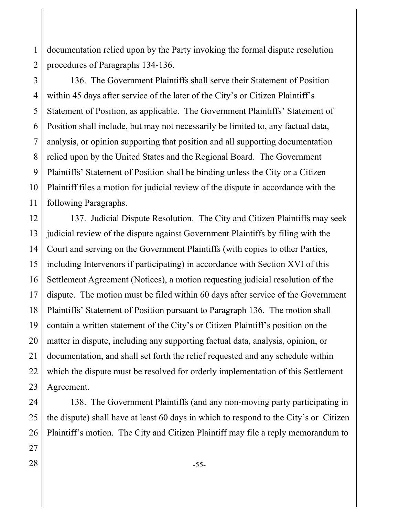1 2 documentation relied upon by the Party invoking the formal dispute resolution procedures of Paragraphs 134-136.

3 4 5 6 7 8 9 10 11 136. The Government Plaintiffs shall serve their Statement of Position within 45 days after service of the later of the City's or Citizen Plaintiff's Statement of Position, as applicable. The Government Plaintiffs' Statement of Position shall include, but may not necessarily be limited to, any factual data, analysis, or opinion supporting that position and all supporting documentation relied upon by the United States and the Regional Board. The Government Plaintiffs' Statement of Position shall be binding unless the City or a Citizen Plaintiff files a motion for judicial review of the dispute in accordance with the following Paragraphs.

12 13 14 15 16 17 18 19 20 21 22 23 137. Judicial Dispute Resolution. The City and Citizen Plaintiffs may seek judicial review of the dispute against Government Plaintiffs by filing with the Court and serving on the Government Plaintiffs (with copies to other Parties, including Intervenors if participating) in accordance with Section XVI of this Settlement Agreement (Notices), a motion requesting judicial resolution of the dispute. The motion must be filed within 60 days after service of the Government Plaintiffs' Statement of Position pursuant to Paragraph 136. The motion shall contain a written statement of the City's or Citizen Plaintiff's position on the matter in dispute, including any supporting factual data, analysis, opinion, or documentation, and shall set forth the relief requested and any schedule within which the dispute must be resolved for orderly implementation of this Settlement Agreement.

24 25 26 27 138. The Government Plaintiffs (and any non-moving party participating in the dispute) shall have at least 60 days in which to respond to the City's or Citizen Plaintiff's motion. The City and Citizen Plaintiff may file a reply memorandum to

 $28 \parallel$  -55-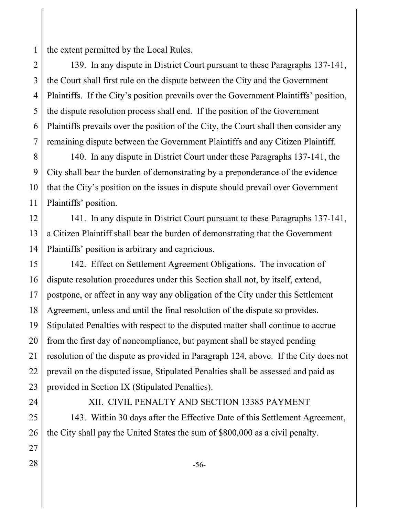1 the extent permitted by the Local Rules.

2 3 4 5 6 7 139. In any dispute in District Court pursuant to these Paragraphs 137-141, the Court shall first rule on the dispute between the City and the Government Plaintiffs. If the City's position prevails over the Government Plaintiffs' position, the dispute resolution process shall end. If the position of the Government Plaintiffs prevails over the position of the City, the Court shall then consider any remaining dispute between the Government Plaintiffs and any Citizen Plaintiff.

8 9 10 11 140. In any dispute in District Court under these Paragraphs 137-141, the City shall bear the burden of demonstrating by a preponderance of the evidence that the City's position on the issues in dispute should prevail over Government Plaintiffs' position.

12 13 14 141. In any dispute in District Court pursuant to these Paragraphs 137-141, a Citizen Plaintiff shall bear the burden of demonstrating that the Government Plaintiffs' position is arbitrary and capricious.

15 16 17 18 19 20 21 22 23 142. Effect on Settlement Agreement Obligations. The invocation of dispute resolution procedures under this Section shall not, by itself, extend, postpone, or affect in any way any obligation of the City under this Settlement Agreement, unless and until the final resolution of the dispute so provides. Stipulated Penalties with respect to the disputed matter shall continue to accrue from the first day of noncompliance, but payment shall be stayed pending resolution of the dispute as provided in Paragraph 124, above. If the City does not prevail on the disputed issue, Stipulated Penalties shall be assessed and paid as provided in Section IX (Stipulated Penalties).

24

### XII. CIVIL PENALTY AND SECTION 13385 PAYMENT

25 26 143. Within 30 days after the Effective Date of this Settlement Agreement, the City shall pay the United States the sum of \$800,000 as a civil penalty.

- 27
- $28 \parallel$  -56-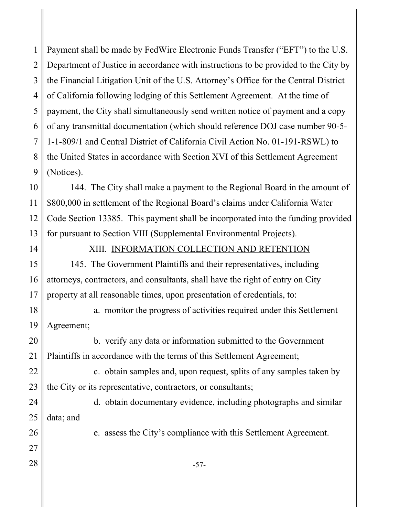1 2 3 4 5 6 7 8 9 Payment shall be made by FedWire Electronic Funds Transfer ("EFT") to the U.S. Department of Justice in accordance with instructions to be provided to the City by the Financial Litigation Unit of the U.S. Attorney's Office for the Central District of California following lodging of this Settlement Agreement. At the time of payment, the City shall simultaneously send written notice of payment and a copy of any transmittal documentation (which should reference DOJ case number 90-5- 1-1-809/1 and Central District of California Civil Action No. 01-191-RSWL) to the United States in accordance with Section XVI of this Settlement Agreement (Notices).

10 11 12 13 144. The City shall make a payment to the Regional Board in the amount of \$800,000 in settlement of the Regional Board's claims under California Water Code Section 13385. This payment shall be incorporated into the funding provided for pursuant to Section VIII (Supplemental Environmental Projects).

14

### XIII. INFORMATION COLLECTION AND RETENTION

15 16 17 145. The Government Plaintiffs and their representatives, including attorneys, contractors, and consultants, shall have the right of entry on City property at all reasonable times, upon presentation of credentials, to:

18 19 a. monitor the progress of activities required under this Settlement Agreement;

20 21 b. verify any data or information submitted to the Government Plaintiffs in accordance with the terms of this Settlement Agreement;

22 23 c. obtain samples and, upon request, splits of any samples taken by the City or its representative, contractors, or consultants;

24 25 d. obtain documentary evidence, including photographs and similar data; and

e. assess the City's compliance with this Settlement Agreement.

27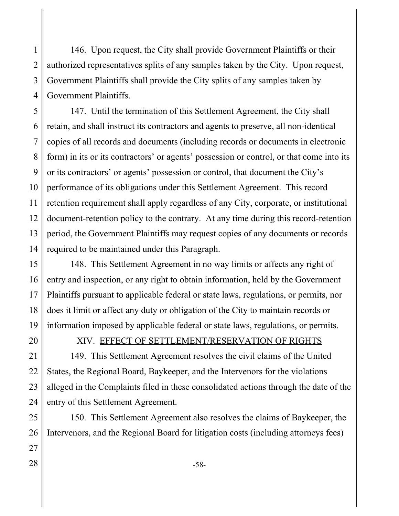1 2 3 4 146. Upon request, the City shall provide Government Plaintiffs or their authorized representatives splits of any samples taken by the City. Upon request, Government Plaintiffs shall provide the City splits of any samples taken by Government Plaintiffs.

5 6 7 8 9 10 11 12 13 14 147. Until the termination of this Settlement Agreement, the City shall retain, and shall instruct its contractors and agents to preserve, all non-identical copies of all records and documents (including records or documents in electronic form) in its or its contractors' or agents' possession or control, or that come into its or its contractors' or agents' possession or control, that document the City's performance of its obligations under this Settlement Agreement. This record retention requirement shall apply regardless of any City, corporate, or institutional document-retention policy to the contrary. At any time during this record-retention period, the Government Plaintiffs may request copies of any documents or records required to be maintained under this Paragraph.

15 16 17 18 19 148. This Settlement Agreement in no way limits or affects any right of entry and inspection, or any right to obtain information, held by the Government Plaintiffs pursuant to applicable federal or state laws, regulations, or permits, nor does it limit or affect any duty or obligation of the City to maintain records or information imposed by applicable federal or state laws, regulations, or permits.

20

#### XIV. EFFECT OF SETTLEMENT/RESERVATION OF RIGHTS

21 22 23 24 149. This Settlement Agreement resolves the civil claims of the United States, the Regional Board, Baykeeper, and the Intervenors for the violations alleged in the Complaints filed in these consolidated actions through the date of the entry of this Settlement Agreement.

25 26 27 150. This Settlement Agreement also resolves the claims of Baykeeper, the Intervenors, and the Regional Board for litigation costs (including attorneys fees)

 $28 \parallel$  -58-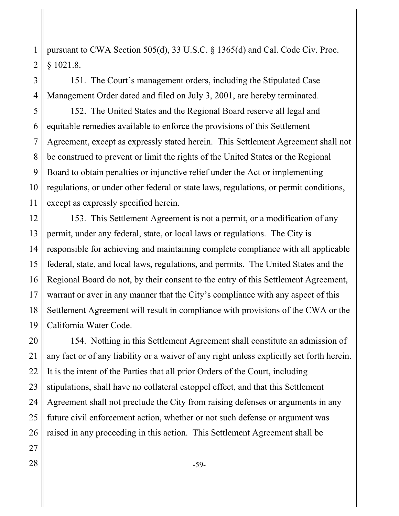1 2 pursuant to CWA Section 505(d), 33 U.S.C. § 1365(d) and Cal. Code Civ. Proc. § 1021.8.

3 4 151. The Court's management orders, including the Stipulated Case Management Order dated and filed on July 3, 2001, are hereby terminated.

5 6 7 8 9 10 11 152. The United States and the Regional Board reserve all legal and equitable remedies available to enforce the provisions of this Settlement Agreement, except as expressly stated herein. This Settlement Agreement shall not be construed to prevent or limit the rights of the United States or the Regional Board to obtain penalties or injunctive relief under the Act or implementing regulations, or under other federal or state laws, regulations, or permit conditions, except as expressly specified herein.

12 13 14 15 16 17 18 19 153. This Settlement Agreement is not a permit, or a modification of any permit, under any federal, state, or local laws or regulations. The City is responsible for achieving and maintaining complete compliance with all applicable federal, state, and local laws, regulations, and permits. The United States and the Regional Board do not, by their consent to the entry of this Settlement Agreement, warrant or aver in any manner that the City's compliance with any aspect of this Settlement Agreement will result in compliance with provisions of the CWA or the California Water Code.

20 21 22 23 24 25 26 154. Nothing in this Settlement Agreement shall constitute an admission of any fact or of any liability or a waiver of any right unless explicitly set forth herein. It is the intent of the Parties that all prior Orders of the Court, including stipulations, shall have no collateral estoppel effect, and that this Settlement Agreement shall not preclude the City from raising defenses or arguments in any future civil enforcement action, whether or not such defense or argument was raised in any proceeding in this action. This Settlement Agreement shall be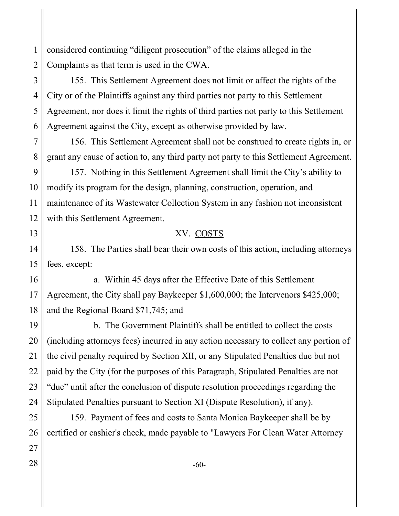1 2 considered continuing "diligent prosecution" of the claims alleged in the Complaints as that term is used in the CWA.

3 4 5 6 155. This Settlement Agreement does not limit or affect the rights of the City or of the Plaintiffs against any third parties not party to this Settlement Agreement, nor does it limit the rights of third parties not party to this Settlement Agreement against the City, except as otherwise provided by law.

7 8 156. This Settlement Agreement shall not be construed to create rights in, or grant any cause of action to, any third party not party to this Settlement Agreement.

9 10 11 12 157. Nothing in this Settlement Agreement shall limit the City's ability to modify its program for the design, planning, construction, operation, and maintenance of its Wastewater Collection System in any fashion not inconsistent with this Settlement Agreement.

## XV. COSTS

14 15 158. The Parties shall bear their own costs of this action, including attorneys fees, except:

16

17

18

13

a. Within 45 days after the Effective Date of this Settlement Agreement, the City shall pay Baykeeper \$1,600,000; the Intervenors \$425,000; and the Regional Board \$71,745; and

19 20 21 22 23 24 b. The Government Plaintiffs shall be entitled to collect the costs (including attorneys fees) incurred in any action necessary to collect any portion of the civil penalty required by Section XII, or any Stipulated Penalties due but not paid by the City (for the purposes of this Paragraph, Stipulated Penalties are not "due" until after the conclusion of dispute resolution proceedings regarding the Stipulated Penalties pursuant to Section XI (Dispute Resolution), if any).

25 26 159. Payment of fees and costs to Santa Monica Baykeeper shall be by certified or cashier's check, made payable to "Lawyers For Clean Water Attorney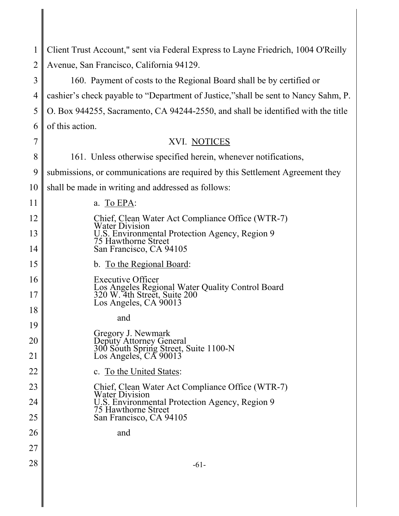| 1              | Client Trust Account," sent via Federal Express to Layne Friedrich, 1004 O'Reilly                         |
|----------------|-----------------------------------------------------------------------------------------------------------|
| $\overline{2}$ | Avenue, San Francisco, California 94129.                                                                  |
| 3              | 160. Payment of costs to the Regional Board shall be by certified or                                      |
| 4              | cashier's check payable to "Department of Justice," shall be sent to Nancy Sahm, P.                       |
| 5              | O. Box 944255, Sacramento, CA 94244-2550, and shall be identified with the title                          |
| 6              | of this action.                                                                                           |
| 7              | XVI. NOTICES                                                                                              |
| 8              | 161. Unless otherwise specified herein, whenever notifications,                                           |
| 9              | submissions, or communications are required by this Settlement Agreement they                             |
| 10             | shall be made in writing and addressed as follows:                                                        |
| 11             | a. To EPA:                                                                                                |
| 12             | Chief, Clean Water Act Compliance Office (WTR-7)<br><b>Water Division</b>                                 |
| 13             | U.S. Environmental Protection Agency, Region 9<br>75 Hawthorne Street                                     |
| 14             | San Francisco, CA 94105                                                                                   |
| 15             | b. To the Regional Board:                                                                                 |
| 16             | <b>Executive Officer</b>                                                                                  |
| 17             | Los Angeles Regional Water Quality Control Board<br>320 W. 4th Street, Suite 200<br>Los Angeles, CA 90013 |
| 18             | and                                                                                                       |
| 19             | Gregory J. Newmark                                                                                        |
| 20             | Deputy Attorney General<br>300 South Spring Street, Suite 1100-N<br>Los Angeles, CA 90013                 |
| 21             |                                                                                                           |
| 22             | c. To the United States:                                                                                  |
| 23             | Chief, Clean Water Act Compliance Office (WTR-7)<br><b>Water Division</b>                                 |
| 24             | U.S. Environmental Protection Agency, Region 9<br>75 Hawthorne Street                                     |
| 25             | San Francisco, CA 94105                                                                                   |
| 26             | and                                                                                                       |
| 27             |                                                                                                           |
| 28             | $-61-$                                                                                                    |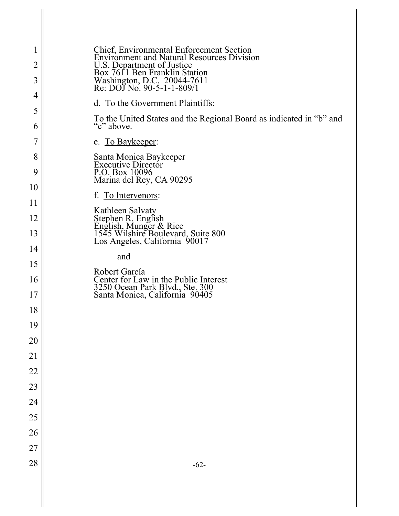| 1              | <b>Chief, Environmental Enforcement Section<br/>Environment and Natural Resources Division</b>                           |
|----------------|--------------------------------------------------------------------------------------------------------------------------|
| $\overline{2}$ |                                                                                                                          |
| 3              | U.S. Department of Justice<br>Box 7611 Ben Franklin Station<br>Washington, D.C. 20044-7611<br>Re: DOJ No. 90-5-1-1-809/1 |
| 4              | d. To the Government Plaintiffs:                                                                                         |
| 5<br>6         | To the United States and the Regional Board as indicated in "b" and<br>"c" above.                                        |
| 7              | e. To Baykeeper:                                                                                                         |
| 8              | Santa Monica Baykeeper<br>Executive Director                                                                             |
| 9              | P.O. Box 10096                                                                                                           |
| 10             | Marina del Rey, CA 90295                                                                                                 |
| 11             | f. To Intervenors:                                                                                                       |
| 12             | Kathleen Salvaty                                                                                                         |
| 13             | Stephen R. English<br>English, Munger & Rice<br>1545 Wilshire Boulevard, Suite 800                                       |
| 14             | Los Angeles, California 90017                                                                                            |
| 15             | and                                                                                                                      |
| 16             | Robert García<br>Center for Law in the Public Interest                                                                   |
| 17             | 3250 Ocean Park Blvd., Ste. 300<br>Santa Monica, California 90405                                                        |
| 18             |                                                                                                                          |
| 19             |                                                                                                                          |
| 20             |                                                                                                                          |
| 21             |                                                                                                                          |
| 22             |                                                                                                                          |
| 23             |                                                                                                                          |
| 24             |                                                                                                                          |
| 25             |                                                                                                                          |
| 26             |                                                                                                                          |
| 27             |                                                                                                                          |
| 28             | $-62-$                                                                                                                   |
|                |                                                                                                                          |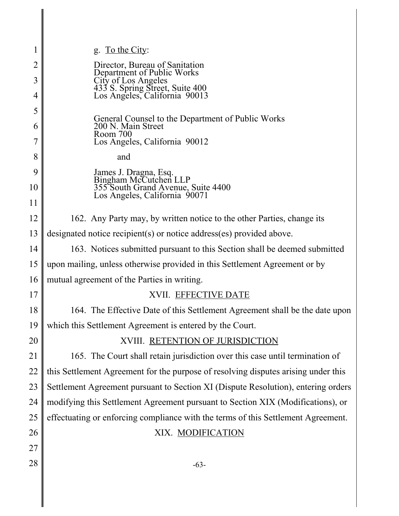| 1              | g. To the City:                                                                         |
|----------------|-----------------------------------------------------------------------------------------|
| $\overline{2}$ | Director, Bureau of Sanitation                                                          |
| $\overline{3}$ | Department of Public Works                                                              |
| 4              | City of Los Angeles<br>433 S. Spring Street, Suite 400<br>Los Angeles, California 90013 |
| 5              |                                                                                         |
| 6              | General Counsel to the Department of Public Works<br>200 N. Main Street                 |
| 7              | Room 700<br>Los Angeles, California 90012                                               |
| 8              | and                                                                                     |
| 9              | James J. Dragna, Esq.<br>Bingham McCutchen LLP                                          |
| 10             | 355 South Grand Avenue, Suite 4400<br>Los Angeles, California 90071                     |
| 11             |                                                                                         |
| 12             | 162. Any Party may, by written notice to the other Parties, change its                  |
| 13             | designated notice recipient(s) or notice address(es) provided above.                    |
| 14             | 163. Notices submitted pursuant to this Section shall be deemed submitted               |
| 15             | upon mailing, unless otherwise provided in this Settlement Agreement or by              |
| 16             | mutual agreement of the Parties in writing.                                             |
| 17             | XVII. EFFECTIVE DATE                                                                    |
| 18             | 164. The Effective Date of this Settlement Agreement shall be the date upon             |
| 19             | which this Settlement Agreement is entered by the Court.                                |
| 20             | XVIII. RETENTION OF JURISDICTION                                                        |
| 21             | 165. The Court shall retain jurisdiction over this case until termination of            |
| 22             | this Settlement Agreement for the purpose of resolving disputes arising under this      |
| 23             | Settlement Agreement pursuant to Section XI (Dispute Resolution), entering orders       |
| 24             | modifying this Settlement Agreement pursuant to Section XIX (Modifications), or         |
| 25             | effectuating or enforcing compliance with the terms of this Settlement Agreement.       |
| 26             | XIX. MODIFICATION                                                                       |
| 27             |                                                                                         |
| 28             | $-63-$                                                                                  |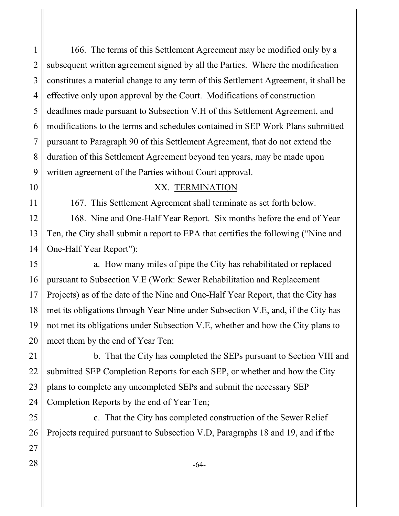1 2 3 4 5 6 7 8 9 166. The terms of this Settlement Agreement may be modified only by a subsequent written agreement signed by all the Parties. Where the modification constitutes a material change to any term of this Settlement Agreement, it shall be effective only upon approval by the Court. Modifications of construction deadlines made pursuant to Subsection V.H of this Settlement Agreement, and modifications to the terms and schedules contained in SEP Work Plans submitted pursuant to Paragraph 90 of this Settlement Agreement, that do not extend the duration of this Settlement Agreement beyond ten years, may be made upon written agreement of the Parties without Court approval.

10

11

#### XX. TERMINATION

167. This Settlement Agreement shall terminate as set forth below.

12 13 14 168. Nine and One-Half Year Report. Six months before the end of Year Ten, the City shall submit a report to EPA that certifies the following ("Nine and One-Half Year Report"):

15 16 17 18 19 20 a. How many miles of pipe the City has rehabilitated or replaced pursuant to Subsection V.E (Work: Sewer Rehabilitation and Replacement Projects) as of the date of the Nine and One-Half Year Report, that the City has met its obligations through Year Nine under Subsection V.E, and, if the City has not met its obligations under Subsection V.E, whether and how the City plans to meet them by the end of Year Ten;

21 22 23 24 b. That the City has completed the SEPs pursuant to Section VIII and submitted SEP Completion Reports for each SEP, or whether and how the City plans to complete any uncompleted SEPs and submit the necessary SEP Completion Reports by the end of Year Ten;

25 26 27 c. That the City has completed construction of the Sewer Relief Projects required pursuant to Subsection V.D, Paragraphs 18 and 19, and if the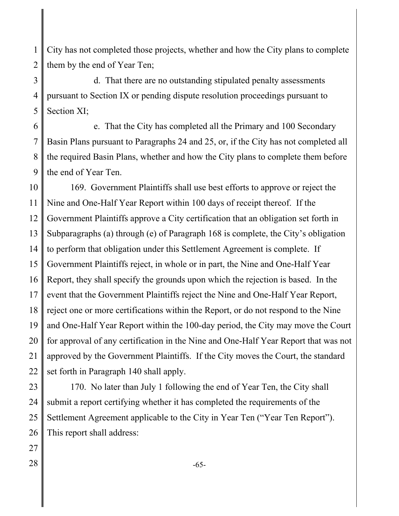1 2 City has not completed those projects, whether and how the City plans to complete them by the end of Year Ten;

3 4 5 d. That there are no outstanding stipulated penalty assessments pursuant to Section IX or pending dispute resolution proceedings pursuant to Section XI;

6 7 8 9 e. That the City has completed all the Primary and 100 Secondary Basin Plans pursuant to Paragraphs 24 and 25, or, if the City has not completed all the required Basin Plans, whether and how the City plans to complete them before the end of Year Ten.

10 11 12 13 14 15 16 17 18 19 20 21 22 169. Government Plaintiffs shall use best efforts to approve or reject the Nine and One-Half Year Report within 100 days of receipt thereof. If the Government Plaintiffs approve a City certification that an obligation set forth in Subparagraphs (a) through (e) of Paragraph 168 is complete, the City's obligation to perform that obligation under this Settlement Agreement is complete. If Government Plaintiffs reject, in whole or in part, the Nine and One-Half Year Report, they shall specify the grounds upon which the rejection is based. In the event that the Government Plaintiffs reject the Nine and One-Half Year Report, reject one or more certifications within the Report, or do not respond to the Nine and One-Half Year Report within the 100-day period, the City may move the Court for approval of any certification in the Nine and One-Half Year Report that was not approved by the Government Plaintiffs. If the City moves the Court, the standard set forth in Paragraph 140 shall apply.

23 24 25 26 170. No later than July 1 following the end of Year Ten, the City shall submit a report certifying whether it has completed the requirements of the Settlement Agreement applicable to the City in Year Ten ("Year Ten Report"). This report shall address: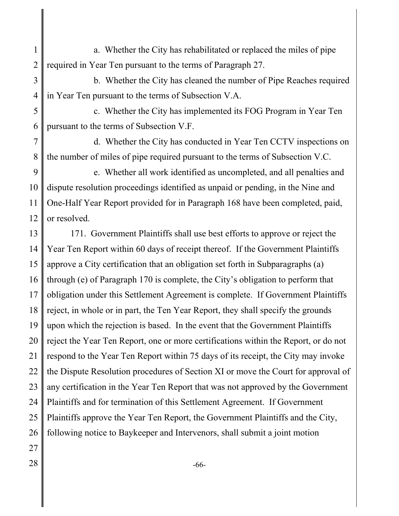- 1 2 a. Whether the City has rehabilitated or replaced the miles of pipe required in Year Ten pursuant to the terms of Paragraph 27.
- 3 4 b. Whether the City has cleaned the number of Pipe Reaches required in Year Ten pursuant to the terms of Subsection V.A.
- 5 6 c. Whether the City has implemented its FOG Program in Year Ten pursuant to the terms of Subsection V.F.

7 8 d. Whether the City has conducted in Year Ten CCTV inspections on the number of miles of pipe required pursuant to the terms of Subsection V.C.

9 10 11 12 e. Whether all work identified as uncompleted, and all penalties and dispute resolution proceedings identified as unpaid or pending, in the Nine and One-Half Year Report provided for in Paragraph 168 have been completed, paid, or resolved.

13 14 15 16 17 18 19 20 21 22 23 24 25 26 171. Government Plaintiffs shall use best efforts to approve or reject the Year Ten Report within 60 days of receipt thereof. If the Government Plaintiffs approve a City certification that an obligation set forth in Subparagraphs (a) through (e) of Paragraph 170 is complete, the City's obligation to perform that obligation under this Settlement Agreement is complete. If Government Plaintiffs reject, in whole or in part, the Ten Year Report, they shall specify the grounds upon which the rejection is based. In the event that the Government Plaintiffs reject the Year Ten Report, one or more certifications within the Report, or do not respond to the Year Ten Report within 75 days of its receipt, the City may invoke the Dispute Resolution procedures of Section XI or move the Court for approval of any certification in the Year Ten Report that was not approved by the Government Plaintiffs and for termination of this Settlement Agreement. If Government Plaintiffs approve the Year Ten Report, the Government Plaintiffs and the City, following notice to Baykeeper and Intervenors, shall submit a joint motion

- 27
-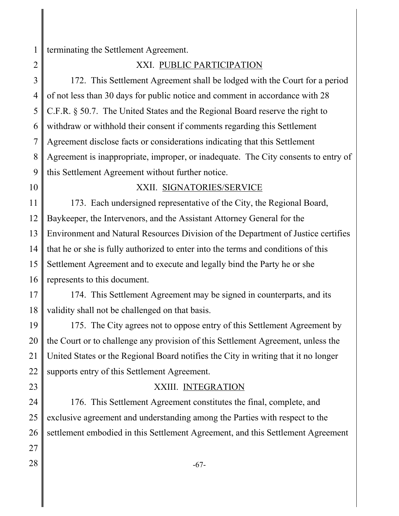1 terminating the Settlement Agreement.

2

XXI. PUBLIC PARTICIPATION

3 4 5 6 7 8 9 172. This Settlement Agreement shall be lodged with the Court for a period of not less than 30 days for public notice and comment in accordance with 28 C.F.R. § 50.7. The United States and the Regional Board reserve the right to withdraw or withhold their consent if comments regarding this Settlement Agreement disclose facts or considerations indicating that this Settlement Agreement is inappropriate, improper, or inadequate. The City consents to entry of this Settlement Agreement without further notice.

10

# XXII. SIGNATORIES/SERVICE

11 12 13 14 15 16 173. Each undersigned representative of the City, the Regional Board, Baykeeper, the Intervenors, and the Assistant Attorney General for the Environment and Natural Resources Division of the Department of Justice certifies that he or she is fully authorized to enter into the terms and conditions of this Settlement Agreement and to execute and legally bind the Party he or she represents to this document.

17 18 174. This Settlement Agreement may be signed in counterparts, and its validity shall not be challenged on that basis.

19 20 21 22 175. The City agrees not to oppose entry of this Settlement Agreement by the Court or to challenge any provision of this Settlement Agreement, unless the United States or the Regional Board notifies the City in writing that it no longer supports entry of this Settlement Agreement.

23

# XXIII. INTEGRATION

24 25 26 176. This Settlement Agreement constitutes the final, complete, and exclusive agreement and understanding among the Parties with respect to the settlement embodied in this Settlement Agreement, and this Settlement Agreement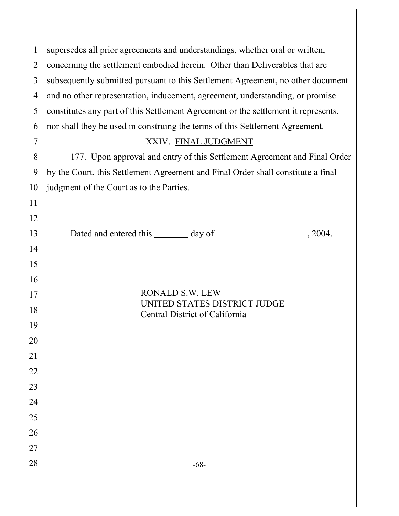| $\mathbf{1}$   | supersedes all prior agreements and understandings, whether oral or written,       |
|----------------|------------------------------------------------------------------------------------|
| $\overline{2}$ | concerning the settlement embodied herein. Other than Deliverables that are        |
| $\overline{3}$ | subsequently submitted pursuant to this Settlement Agreement, no other document    |
| $\overline{4}$ | and no other representation, inducement, agreement, understanding, or promise      |
| 5              | constitutes any part of this Settlement Agreement or the settlement it represents, |
| 6              | nor shall they be used in construing the terms of this Settlement Agreement.       |
| $\overline{7}$ | XXIV. FINAL JUDGMENT                                                               |
| 8              | 177. Upon approval and entry of this Settlement Agreement and Final Order          |
| 9              | by the Court, this Settlement Agreement and Final Order shall constitute a final   |
| 10             | judgment of the Court as to the Parties.                                           |
| 11             |                                                                                    |
| 12             |                                                                                    |
| 13             |                                                                                    |
| 14             |                                                                                    |
| 15             |                                                                                    |
| 16             |                                                                                    |
| 17             | <b>RONALD S.W. LEW</b><br>UNITED STATES DISTRICT JUDGE                             |
| 18             | Central District of California                                                     |
| 19             |                                                                                    |
| 20             |                                                                                    |
| 21             |                                                                                    |
| 22             |                                                                                    |
| 23             |                                                                                    |
| 24             |                                                                                    |
| 25             |                                                                                    |
| 26             |                                                                                    |
| 27             |                                                                                    |
| 28             | $-68-$                                                                             |
|                |                                                                                    |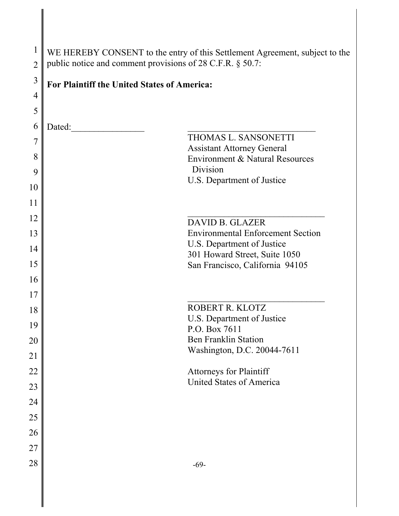| $\mathbf{1}$   | WE HEREBY CONSENT to the entry of this Settlement Agreement, subject to the |  |  |
|----------------|-----------------------------------------------------------------------------|--|--|
| $\overline{2}$ | public notice and comment provisions of 28 C.F.R. § 50.7:                   |  |  |
| $\mathfrak{Z}$ | For Plaintiff the United States of America:                                 |  |  |
| $\overline{4}$ |                                                                             |  |  |
| 5              |                                                                             |  |  |
| 6              | Dated:                                                                      |  |  |
| 7              | THOMAS L. SANSONETTI<br><b>Assistant Attorney General</b>                   |  |  |
| 8              | Environment & Natural Resources                                             |  |  |
| 9              | Division                                                                    |  |  |
| 10             | U.S. Department of Justice                                                  |  |  |
| 11             |                                                                             |  |  |
| 12             | <b>DAVID B. GLAZER</b>                                                      |  |  |
| 13             | <b>Environmental Enforcement Section</b>                                    |  |  |
| 14             | U.S. Department of Justice<br>301 Howard Street, Suite 1050                 |  |  |
| 15             | San Francisco, California 94105                                             |  |  |
| 16             |                                                                             |  |  |
| 17             |                                                                             |  |  |
| 18             | ROBERT R. KLOTZ                                                             |  |  |
| 19             | U.S. Department of Justice<br>P.O. Box 7611                                 |  |  |
| 20             | <b>Ben Franklin Station</b>                                                 |  |  |
| 21             | Washington, D.C. 20044-7611                                                 |  |  |
| 22             | <b>Attorneys for Plaintiff</b>                                              |  |  |
| 23             | <b>United States of America</b>                                             |  |  |
| 24             |                                                                             |  |  |
| 25             |                                                                             |  |  |
| 26             |                                                                             |  |  |
| 27             |                                                                             |  |  |
| 28             | $-69-$                                                                      |  |  |
|                |                                                                             |  |  |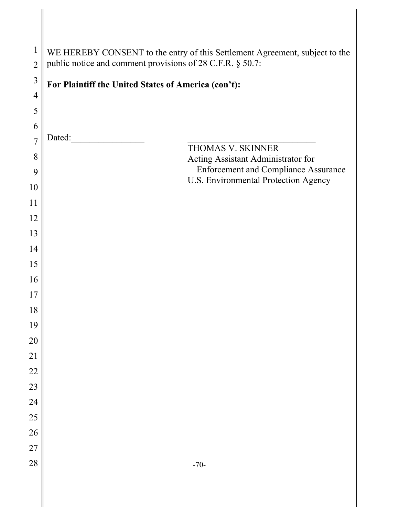| $\mathbf 1$<br>$\overline{2}$ | WE HEREBY CONSENT to the entry of this Settlement Agreement, subject to the<br>public notice and comment provisions of 28 C.F.R. § 50.7: |
|-------------------------------|------------------------------------------------------------------------------------------------------------------------------------------|
| $\mathfrak{Z}$                |                                                                                                                                          |
| $\overline{4}$                | For Plaintiff the United States of America (con't):                                                                                      |
| 5                             |                                                                                                                                          |
| 6                             |                                                                                                                                          |
| $\overline{7}$                | Dated:                                                                                                                                   |
| 8                             | THOMAS V. SKINNER<br>Acting Assistant Administrator for                                                                                  |
| 9                             | <b>Enforcement and Compliance Assurance</b><br>U.S. Environmental Protection Agency                                                      |
| 10                            |                                                                                                                                          |
| 11                            |                                                                                                                                          |
| 12                            |                                                                                                                                          |
| 13                            |                                                                                                                                          |
| 14                            |                                                                                                                                          |
| 15                            |                                                                                                                                          |
| 16                            |                                                                                                                                          |
| 17<br>18                      |                                                                                                                                          |
| 19                            |                                                                                                                                          |
| 20                            |                                                                                                                                          |
| 21                            |                                                                                                                                          |
| 22                            |                                                                                                                                          |
| 23                            |                                                                                                                                          |
| 24                            |                                                                                                                                          |
| 25                            |                                                                                                                                          |
| 26                            |                                                                                                                                          |
| 27                            |                                                                                                                                          |
| 28                            | $-70-$                                                                                                                                   |
|                               |                                                                                                                                          |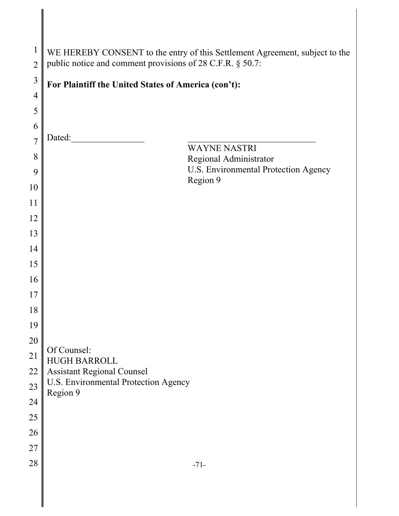| $\mathbf 1$    | WE HEREBY CONSENT to the entry of this Settlement Agreement, subject to the<br>public notice and comment provisions of 28 C.F.R. § 50.7: |  |  |  |  |
|----------------|------------------------------------------------------------------------------------------------------------------------------------------|--|--|--|--|
| $\overline{2}$ |                                                                                                                                          |  |  |  |  |
| 3              | For Plaintiff the United States of America (con't):                                                                                      |  |  |  |  |
| $\overline{4}$ |                                                                                                                                          |  |  |  |  |
| 5              |                                                                                                                                          |  |  |  |  |
| 6              | Dated:                                                                                                                                   |  |  |  |  |
| $\overline{7}$ | <b>WAYNE NASTRI</b>                                                                                                                      |  |  |  |  |
| 8              | Regional Administrator<br>U.S. Environmental Protection Agency                                                                           |  |  |  |  |
| 9              | Region 9                                                                                                                                 |  |  |  |  |
| 10             |                                                                                                                                          |  |  |  |  |
| 11             |                                                                                                                                          |  |  |  |  |
| 12             |                                                                                                                                          |  |  |  |  |
| 13             |                                                                                                                                          |  |  |  |  |
| 14             |                                                                                                                                          |  |  |  |  |
| 15             |                                                                                                                                          |  |  |  |  |
| 16<br>17       |                                                                                                                                          |  |  |  |  |
| 18             |                                                                                                                                          |  |  |  |  |
| 19             |                                                                                                                                          |  |  |  |  |
| 20             |                                                                                                                                          |  |  |  |  |
| 21             | Of Counsel:                                                                                                                              |  |  |  |  |
| 22             | <b>HUGH BARROLL</b><br><b>Assistant Regional Counsel</b>                                                                                 |  |  |  |  |
| 23             | U.S. Environmental Protection Agency                                                                                                     |  |  |  |  |
| 24             | Region 9                                                                                                                                 |  |  |  |  |
| 25             |                                                                                                                                          |  |  |  |  |
| 26             |                                                                                                                                          |  |  |  |  |
| 27             |                                                                                                                                          |  |  |  |  |
| 28             | $-71-$                                                                                                                                   |  |  |  |  |
|                |                                                                                                                                          |  |  |  |  |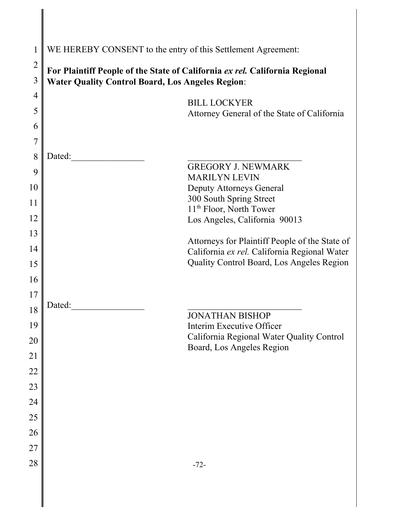| $\mathbf{1}$   | WE HEREBY CONSENT to the entry of this Settlement Agreement:                              |
|----------------|-------------------------------------------------------------------------------------------|
| $\overline{2}$ | For Plaintiff People of the State of California ex rel. California Regional               |
| 3              | <b>Water Quality Control Board, Los Angeles Region:</b>                                   |
| $\overline{4}$ | <b>BILL LOCKYER</b>                                                                       |
| 5              | Attorney General of the State of California                                               |
| 6              |                                                                                           |
| $\overline{7}$ |                                                                                           |
| 8              | Dated:<br><b>GREGORY J. NEWMARK</b>                                                       |
| 9              | <b>MARILYN LEVIN</b>                                                                      |
| 10             | <b>Deputy Attorneys General</b><br>300 South Spring Street                                |
| 11             | 11 <sup>th</sup> Floor, North Tower                                                       |
| 12             | Los Angeles, California 90013                                                             |
| 13             |                                                                                           |
| 14             | Attorneys for Plaintiff People of the State of                                            |
| 15             | California ex rel. California Regional Water<br>Quality Control Board, Los Angeles Region |
| 16             |                                                                                           |
| 17             |                                                                                           |
| 18             | Dated:                                                                                    |
| 19             | <b>JONATHAN BISHOP</b><br>Interim Executive Officer                                       |
| 20             | California Regional Water Quality Control                                                 |
| 21             | Board, Los Angeles Region                                                                 |
| 22             |                                                                                           |
| 23             |                                                                                           |
| 24             |                                                                                           |
| 25             |                                                                                           |
| 26             |                                                                                           |
| 27             |                                                                                           |
| 28             | $-72-$                                                                                    |
|                |                                                                                           |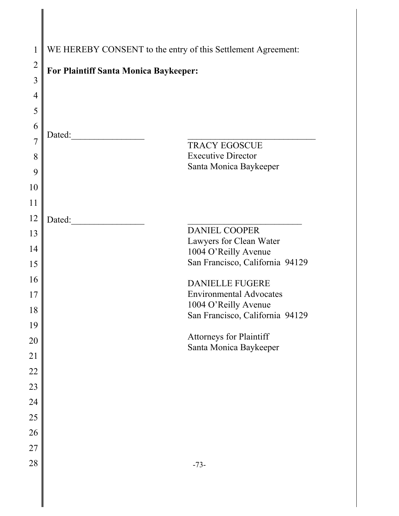| 1              | WE HEREBY CONSENT to the entry of this Settlement Agreement: |  |  |
|----------------|--------------------------------------------------------------|--|--|
| $\overline{2}$ | <b>For Plaintiff Santa Monica Baykeeper:</b>                 |  |  |
| $\overline{3}$ |                                                              |  |  |
| $\overline{4}$ |                                                              |  |  |
| 5              |                                                              |  |  |
| 6              |                                                              |  |  |
| 7              | Dated:<br><b>TRACY EGOSCUE</b>                               |  |  |
| 8              | <b>Executive Director</b>                                    |  |  |
| 9              | Santa Monica Baykeeper                                       |  |  |
| 10             |                                                              |  |  |
| 11             |                                                              |  |  |
| 12             | Dated:                                                       |  |  |
| 13             | <b>DANIEL COOPER</b><br>Lawyers for Clean Water              |  |  |
| 14             | 1004 O'Reilly Avenue                                         |  |  |
| 15             | San Francisco, California 94129                              |  |  |
| 16             | <b>DANIELLE FUGERE</b>                                       |  |  |
| 17             | <b>Environmental Advocates</b>                               |  |  |
| 18             | 1004 O'Reilly Avenue<br>San Francisco, California 94129      |  |  |
| 19             |                                                              |  |  |
| 20             | Attorneys for Plaintiff<br>Santa Monica Baykeeper            |  |  |
| 21             |                                                              |  |  |
| $22\,$         |                                                              |  |  |
| 23             |                                                              |  |  |
| 24             |                                                              |  |  |
| 25             |                                                              |  |  |
| 26             |                                                              |  |  |
| 27             |                                                              |  |  |
| 28             | $-73-$                                                       |  |  |
|                |                                                              |  |  |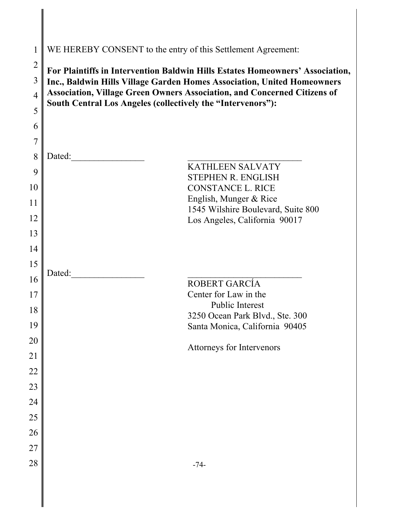| 1              | WE HEREBY CONSENT to the entry of this Settlement Agreement:                                                                                             |  |  |  |
|----------------|----------------------------------------------------------------------------------------------------------------------------------------------------------|--|--|--|
| $\overline{2}$ |                                                                                                                                                          |  |  |  |
| 3              | For Plaintiffs in Intervention Baldwin Hills Estates Homeowners' Association,<br>Inc., Baldwin Hills Village Garden Homes Association, United Homeowners |  |  |  |
| $\overline{4}$ | <b>Association, Village Green Owners Association, and Concerned Citizens of</b>                                                                          |  |  |  |
| 5              | South Central Los Angeles (collectively the "Intervenors"):                                                                                              |  |  |  |
| 6              |                                                                                                                                                          |  |  |  |
| $\overline{7}$ |                                                                                                                                                          |  |  |  |
| 8              | Dated:                                                                                                                                                   |  |  |  |
| 9              | <b>KATHLEEN SALVATY</b>                                                                                                                                  |  |  |  |
|                | <b>STEPHEN R. ENGLISH</b>                                                                                                                                |  |  |  |
| 10             | <b>CONSTANCE L. RICE</b><br>English, Munger & Rice                                                                                                       |  |  |  |
| 11             | 1545 Wilshire Boulevard, Suite 800                                                                                                                       |  |  |  |
| 12             | Los Angeles, California 90017                                                                                                                            |  |  |  |
| 13             |                                                                                                                                                          |  |  |  |
| 14             |                                                                                                                                                          |  |  |  |
| 15             | Dated:                                                                                                                                                   |  |  |  |
| 16             | ROBERT GARCÍA                                                                                                                                            |  |  |  |
| 17             | Center for Law in the                                                                                                                                    |  |  |  |
| 18             | <b>Public Interest</b>                                                                                                                                   |  |  |  |
| 19             | 3250 Ocean Park Blvd., Ste. 300<br>Santa Monica, California 90405                                                                                        |  |  |  |
| 20             |                                                                                                                                                          |  |  |  |
| 21             | Attorneys for Intervenors                                                                                                                                |  |  |  |
| 22             |                                                                                                                                                          |  |  |  |
| 23             |                                                                                                                                                          |  |  |  |
| 24             |                                                                                                                                                          |  |  |  |
| 25             |                                                                                                                                                          |  |  |  |
| 26             |                                                                                                                                                          |  |  |  |
| $27\,$         |                                                                                                                                                          |  |  |  |
| 28             | $-74-$                                                                                                                                                   |  |  |  |
|                |                                                                                                                                                          |  |  |  |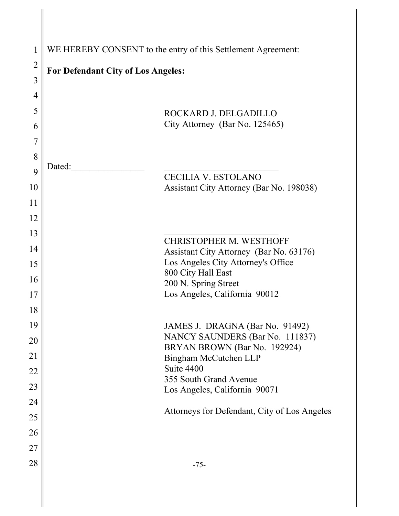| $\mathbf{1}$   | WE HEREBY CONSENT to the entry of this Settlement Agreement: |                                                                 |  |  |  |
|----------------|--------------------------------------------------------------|-----------------------------------------------------------------|--|--|--|
| $\overline{2}$ | For Defendant City of Los Angeles:                           |                                                                 |  |  |  |
| 3              |                                                              |                                                                 |  |  |  |
| 4              |                                                              |                                                                 |  |  |  |
| 5              |                                                              | ROCKARD J. DELGADILLO                                           |  |  |  |
| 6              |                                                              | City Attorney (Bar No. 125465)                                  |  |  |  |
| 7              |                                                              |                                                                 |  |  |  |
| 8              |                                                              |                                                                 |  |  |  |
| 9              | Dated:                                                       | <b>CECILIA V. ESTOLANO</b>                                      |  |  |  |
| 10             |                                                              | Assistant City Attorney (Bar No. 198038)                        |  |  |  |
| 11             |                                                              |                                                                 |  |  |  |
| 12             |                                                              |                                                                 |  |  |  |
| 13             |                                                              | <b>CHRISTOPHER M. WESTHOFF</b>                                  |  |  |  |
| 14             |                                                              | Assistant City Attorney (Bar No. 63176)                         |  |  |  |
| 15             |                                                              | Los Angeles City Attorney's Office                              |  |  |  |
| 16             |                                                              | 800 City Hall East<br>200 N. Spring Street                      |  |  |  |
| 17             |                                                              | Los Angeles, California 90012                                   |  |  |  |
| 18             |                                                              |                                                                 |  |  |  |
| 19             |                                                              | JAMES J. DRAGNA (Bar No. 91492)                                 |  |  |  |
| 20             |                                                              | NANCY SAUNDERS (Bar No. 111837)<br>BRYAN BROWN (Bar No. 192924) |  |  |  |
| 21             |                                                              | Bingham McCutchen LLP                                           |  |  |  |
| 22             |                                                              | Suite 4400<br>355 South Grand Avenue                            |  |  |  |
| 23             |                                                              | Los Angeles, California 90071                                   |  |  |  |
| 24             |                                                              |                                                                 |  |  |  |
| 25             |                                                              | Attorneys for Defendant, City of Los Angeles                    |  |  |  |
| 26             |                                                              |                                                                 |  |  |  |
| 27             |                                                              |                                                                 |  |  |  |
| 28             |                                                              | $-75-$                                                          |  |  |  |
|                |                                                              |                                                                 |  |  |  |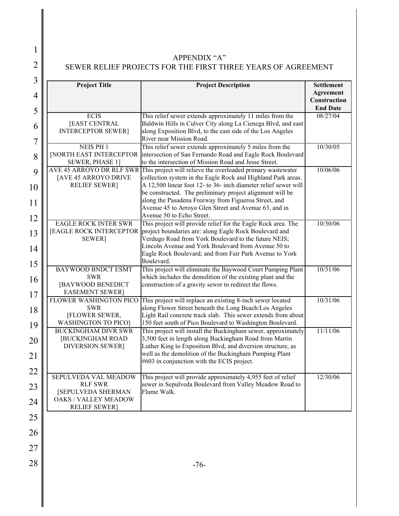1

2

## APPENDIX "A" SEWER RELIEF PROJECTS FOR THE FIRST THREE YEARS OF AGREEMENT

| 3              |                                                          |                                                                                                                                                                                                         |                                 |  |  |
|----------------|----------------------------------------------------------|---------------------------------------------------------------------------------------------------------------------------------------------------------------------------------------------------------|---------------------------------|--|--|
| 4              | <b>Project Title</b>                                     | <b>Project Description</b>                                                                                                                                                                              | <b>Settlement</b><br>Agreement  |  |  |
|                |                                                          |                                                                                                                                                                                                         | Construction<br><b>End Date</b> |  |  |
| 5              | <b>ECIS</b>                                              | This relief sewer extends approximately 11 miles from the                                                                                                                                               | 08/27/04                        |  |  |
| 6              | [EAST CENTRAL<br><b>INTERCEPTOR SEWER]</b>               | Baldwin Hills in Culver City along La Cienega Blvd, and east<br>along Exposition Blvd, to the east side of the Los Angeles                                                                              |                                 |  |  |
| $\overline{7}$ | <b>NEIS PH1</b>                                          | River near Mission Road.<br>This relief sewer extends approximately 5 miles from the                                                                                                                    | 10/30/05                        |  |  |
| 8              | <b>[NORTH EAST INTERCEPTOR</b><br>SEWER, PHASE 1]        | intersection of San Fernando Road and Eagle Rock Boulevard<br>to the intersection of Mission Road and Jesse Street.                                                                                     |                                 |  |  |
| 9              | AVE 45 ARROYO DR RLF SWR<br>[AVE 45 ARROYO DRIVE         | This project will relieve the overloaded primary wastewater<br>collection system in the Eagle Rock and Highland Park areas.                                                                             | 10/06/06                        |  |  |
| 10             | <b>RELIEF SEWER]</b>                                     | A 12,500 linear foot 12- to 36- inch diameter relief sewer will<br>be constructed. The preliminary project alignment will be<br>along the Pasadena Freeway from Figueroa Street, and                    |                                 |  |  |
| 11<br>12       |                                                          | Avenue 45 to Arroyo Glen Street and Avenue 63, and in<br>Avenue 50 to Echo Street.                                                                                                                      |                                 |  |  |
| 13             | <b>EAGLE ROCK INTER SWR</b><br><b>SEWER</b> ]            | This project will provide relief for the Eagle Rock area. The<br>[EAGLE ROCK INTERCEPTOR project boundaries are: along Eagle Rock Boulevard and<br>Verdugo Road from York Boulevard to the future NEIS; | 10/30/06                        |  |  |
| 14             |                                                          | Lincoln Avenue and York Boulevard from Avenue 50 to<br>Eagle Rock Boulevard; and from Fair Park Avenue to York                                                                                          |                                 |  |  |
| 15             | <b>BAYWOOD BNDCT ESMT</b>                                | Boulevard.<br>This project will eliminate the Baywood Court Pumping Plant                                                                                                                               | 10/31/06                        |  |  |
| 16             | <b>SWR</b><br>[BAYWOOD BENEDICT                          | which includes the demolition of the existing plant and the<br>construction of a gravity sewer to redirect the flows.                                                                                   |                                 |  |  |
| 17             | <b>EASEMENT SEWER</b><br>FLOWER WASHINGTON PICO          | This project will replace an existing 8-inch sewer located                                                                                                                                              | 10/31/06                        |  |  |
| 18             | <b>SWR</b><br>[FLOWER SEWER,                             | along Flower Street beneath the Long Beach/Los Angeles<br>Light Rail concrete track slab. This sewer extends from about                                                                                 |                                 |  |  |
| 19             | <b>WASHINGTON TO PICO]</b><br><b>BUCKINGHAM DIVR SWR</b> | 150 feet south of Pico Boulevard to Washington Boulevard.<br>This project will install the Buckingham sewer, approximately                                                                              | 11/11/06                        |  |  |
| 20             | <b>[BUCKINGHAM ROAD</b><br><b>DIVERSION SEWER]</b>       | 3,500 feet in length along Buckingham Road from Martin<br>Luther King to Exposition Blvd, and diversion structure, as                                                                                   |                                 |  |  |
| 21             |                                                          | well as the demolition of the Buckingham Pumping Plant<br>#603 in conjunction with the ECIS project.                                                                                                    |                                 |  |  |
| 22             | <b>SEPULVEDA VAL MEADOW</b>                              | This project will provide approximately 4,955 feet of relief                                                                                                                                            | 12/30/06                        |  |  |
| 23             | <b>RLF SWR</b><br>[SEPULVEDA SHERMAN                     | sewer in Sepulveda Boulevard from Valley Meadow Road to<br>Flume Walk.                                                                                                                                  |                                 |  |  |
| 24             | <b>OAKS / VALLEY MEADOW</b><br><b>RELIEF SEWER</b>       |                                                                                                                                                                                                         |                                 |  |  |
| 25             |                                                          |                                                                                                                                                                                                         |                                 |  |  |
| 26             |                                                          |                                                                                                                                                                                                         |                                 |  |  |
| 27             |                                                          |                                                                                                                                                                                                         |                                 |  |  |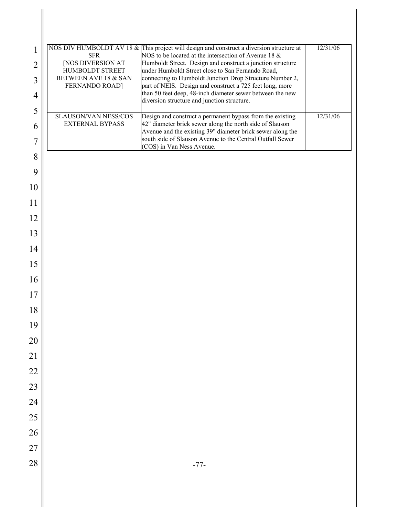| 1<br>$\overline{2}$ | <b>SFR</b><br><b>[NOS DIVERSION AT</b>                           | NOS DIV HUMBOLDT AV 18 & This project will design and construct a diversion structure at<br>NOS to be located at the intersection of Avenue 18 &<br>Humboldt Street. Design and construct a junction structure | 12/31/06 |
|---------------------|------------------------------------------------------------------|----------------------------------------------------------------------------------------------------------------------------------------------------------------------------------------------------------------|----------|
| 3                   | HUMBOLDT STREET<br>BETWEEN AVE 18 & SAN<br><b>FERNANDO ROAD]</b> | under Humboldt Street close to San Fernando Road,<br>connecting to Humboldt Junction Drop Structure Number 2,<br>part of NEIS. Design and construct a 725 feet long, more                                      |          |
| $\overline{4}$      |                                                                  | than 50 feet deep, 48-inch diameter sewer between the new<br>diversion structure and junction structure.                                                                                                       |          |
| 5                   |                                                                  |                                                                                                                                                                                                                | 12/31/06 |
| 6                   | SLAUSON/VAN NESS/COS<br><b>EXTERNAL BYPASS</b>                   | Design and construct a permanent bypass from the existing<br>42" diameter brick sewer along the north side of Slauson<br>Avenue and the existing 39" diameter brick sewer along the                            |          |
| 7                   |                                                                  | south side of Slauson Avenue to the Central Outfall Sewer<br>(COS) in Van Ness Avenue.                                                                                                                         |          |
| 8                   |                                                                  |                                                                                                                                                                                                                |          |
| 9                   |                                                                  |                                                                                                                                                                                                                |          |
| 10                  |                                                                  |                                                                                                                                                                                                                |          |
| 11                  |                                                                  |                                                                                                                                                                                                                |          |
| 12                  |                                                                  |                                                                                                                                                                                                                |          |
| 13                  |                                                                  |                                                                                                                                                                                                                |          |
| 14                  |                                                                  |                                                                                                                                                                                                                |          |
| 15                  |                                                                  |                                                                                                                                                                                                                |          |
| 16                  |                                                                  |                                                                                                                                                                                                                |          |
| 17                  |                                                                  |                                                                                                                                                                                                                |          |
| 18                  |                                                                  |                                                                                                                                                                                                                |          |
| 19                  |                                                                  |                                                                                                                                                                                                                |          |
| 20                  |                                                                  |                                                                                                                                                                                                                |          |
| 21                  |                                                                  |                                                                                                                                                                                                                |          |
| 22<br>23            |                                                                  |                                                                                                                                                                                                                |          |
| 24                  |                                                                  |                                                                                                                                                                                                                |          |
| 25                  |                                                                  |                                                                                                                                                                                                                |          |
| 26                  |                                                                  |                                                                                                                                                                                                                |          |
| 27                  |                                                                  |                                                                                                                                                                                                                |          |
| 28                  |                                                                  | $-77-$                                                                                                                                                                                                         |          |
|                     |                                                                  |                                                                                                                                                                                                                |          |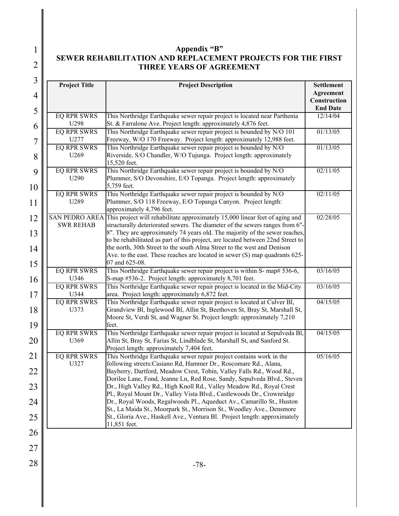1 2

## **Appendix "B" SEWER REHABILITATION AND REPLACEMENT PROJECTS FOR THE FIRST THREE YEARS OF AGREEMENT**

| 3<br>$\overline{4}$<br>5 | <b>Project Title</b>               | <b>Project Description</b>                                                                                                                                                                                                                                 | <b>Settlement</b><br>Agreement<br>Construction<br><b>End Date</b> |
|--------------------------|------------------------------------|------------------------------------------------------------------------------------------------------------------------------------------------------------------------------------------------------------------------------------------------------------|-------------------------------------------------------------------|
|                          | <b>EQ RPR SWRS</b><br>U298         | This Northridge Earthquake sewer repair project is located near Parthenia<br>St. & Farralone Ave. Project length: approximately 4,876 feet.                                                                                                                | 12/14/04                                                          |
| 6<br>$\overline{7}$      | <b>EQ RPR SWRS</b><br>U277         | This Northridge Earthquake sewer repair project is bounded by N/O 101<br>Freeway, W/O 170 Freeway. Project length: approximately 12,988 feet.                                                                                                              | 01/13/05                                                          |
| 8                        | <b>EQ RPR SWRS</b><br>U269         | This Northridge Earthquake sewer repair project is bounded by N/O<br>Riverside, S/O Chandler, W/O Tujunga. Project length: approximately<br>15,520 feet.                                                                                                   | 01/13/05                                                          |
| 9                        | <b>EQ RPR SWRS</b><br>U290         | This Northridge Earthquake sewer repair project is bounded by N/O<br>Plummer, S/O Devonshire, E/O Topanga. Project length: approximately<br>5,759 feet.                                                                                                    | 02/11/05                                                          |
| 10<br>11                 | <b>EQ RPR SWRS</b><br>U289         | This Northridge Earthquake sewer repair project is bounded by N/O<br>Plummer, S/O 118 Freeway, E/O Topanga Canyon. Project length:<br>approximately 4,796 feet.                                                                                            | 02/11/05                                                          |
| 12<br>13                 | <b>SWR REHAB</b>                   | SAN PEDRO AREA This project will rehabilitate approximately 15,000 linear feet of aging and<br>structurally deteriorated sewers. The diameter of the sewers ranges from 6"-<br>8". They are approximately 74 years old. The majority of the sewer reaches, | 02/28/05                                                          |
| 14                       |                                    | to be rehabilitated as part of this project, are located between 22nd Street to<br>the north, 30th Street to the south Alma Street to the west and Denison<br>Ave. to the east. These reaches are located in sewer (S) map quadrants 625-                  |                                                                   |
| 15                       | <b>EQ RPR SWRS</b>                 | 07 and 625-08.<br>This Northridge Earthquake sewer repair project is within S- map# 536-6,                                                                                                                                                                 | 03/16/05                                                          |
| 16<br>17                 | U346<br><b>EQ RPR SWRS</b><br>U344 | S-map #536-2. Project length: approximately 8,701 feet.<br>This Northridge Earthquake sewer repair project is located in the Mid-City<br>area. Project length: approximately 6,872 feet.                                                                   | 03/16/05                                                          |
| 18                       | <b>EQ RPR SWRS</b><br>U373         | This Northridge Earthquake sewer repair project is located at Culver Bl,<br>Grandview Bl, Inglewood Bl, Allin St, Beethoven St, Bray St, Marshall St,<br>Moore St, Verdi St, and Wagner St. Project length: approximately 7,210                            | 04/15/05                                                          |
| 19<br>20                 | <b>EQ RPR SWRS</b><br>U369         | feet.<br>This Northridge Earthquake sewer repair project is located at Sepulveda Bl,<br>Allin St, Bray St, Farias St, Lindblade St, Marshall St, and Sanford St.<br>Project length: approximately 7,404 feet.                                              | 04/15/05                                                          |
| 21                       | <b>EQ RPR SWRS</b><br>U327         | This Northridge Earthquake sewer repair project contains work in the<br>following streets: Casiano Rd, Hammer Dr., Roscomare Rd., Alana,                                                                                                                   | 05/16/05                                                          |
| 22                       |                                    | Bayberry, Dartford, Meadow Crest, Tobin, Valley Falls Rd., Wood Rd.,<br>Dorilee Lane, Fond, Jeanne Ln, Red Rose, Sandy, Sepulveda Blvd., Steven                                                                                                            |                                                                   |
| 23                       |                                    | Dr., High Valley Rd., High Knoll Rd., Valley Meadow Rd., Royal Crest<br>Pl., Royal Mount Dr., Valley Vista Blvd., Castlewoods Dr., Crownridge                                                                                                              |                                                                   |
| 24                       |                                    | Dr., Royal Woods, Regalwoods Pl., Aqueduct Av., Camarillo St., Huston<br>St., La Maida St., Moorpark St., Morrison St., Woodley Ave., Densmore                                                                                                             |                                                                   |
| 25                       |                                    | St., Gloria Ave., Haskell Ave., Ventura Bl. Project length: approximately<br>11,851 feet.                                                                                                                                                                  |                                                                   |
| 26                       |                                    |                                                                                                                                                                                                                                                            |                                                                   |
| 27                       |                                    |                                                                                                                                                                                                                                                            |                                                                   |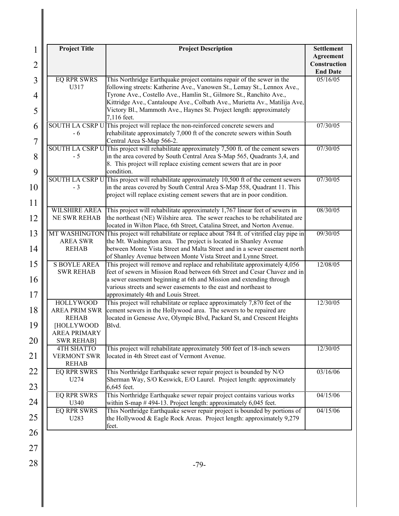| 1<br>$\overline{2}$ | <b>Project Title</b>                                                                          | <b>Project Description</b>                                                                                                                                                                                                                                                                                                               | <b>Settlement</b><br>Agreement<br>Construction<br><b>End Date</b> |
|---------------------|-----------------------------------------------------------------------------------------------|------------------------------------------------------------------------------------------------------------------------------------------------------------------------------------------------------------------------------------------------------------------------------------------------------------------------------------------|-------------------------------------------------------------------|
| 3<br>$\overline{4}$ | <b>EQ RPR SWRS</b><br>U317                                                                    | This Northridge Earthquake project contains repair of the sewer in the<br>following streets: Katherine Ave., Vanowen St., Lemay St., Lennox Ave.,<br>Tyrone Ave., Costello Ave., Hamlin St., Gilmore St., Ranchito Ave.,<br>Kittridge Ave., Cantaloupe Ave., Colbath Ave., Murietta Av., Matilija Ave,                                   | 05/16/05                                                          |
| 5                   |                                                                                               | Victory Bl., Mammoth Ave., Haynes St. Project length: approximately<br>7,116 feet.                                                                                                                                                                                                                                                       |                                                                   |
| 6<br>$\overline{7}$ | - 6                                                                                           | SOUTH LA CSRP U This project will replace the non-reinforced concrete sewers and<br>rehabilitate approximately 7,000 ft of the concrete sewers within South<br>Central Area S-Map 566-2.                                                                                                                                                 | 07/30/05                                                          |
| 8<br>9              | $-5$                                                                                          | SOUTH LA CSRP U This project will rehabilitate approximately 7,500 ft. of the cement sewers<br>in the area covered by South Central Area S-Map 565, Quadrants 3,4, and<br>8. This project will replace existing cement sewers that are in poor<br>condition.                                                                             | 07/30/05                                                          |
| 10<br>11            | $-3$                                                                                          | SOUTH LA CSRP U This project will rehabilitate approximately 10,500 ft of the cement sewers<br>in the areas covered by South Central Area S-Map 558, Quadrant 11. This<br>project will replace existing cement sewers that are in poor condition.                                                                                        | 07/30/05                                                          |
| 12                  | <b>WILSHIRE AREA</b><br><b>NE SWR REHAB</b>                                                   | This project will rehabilitate approximately 1,767 linear feet of sewers in<br>the northeast (NE) Wilshire area. The sewer reaches to be rehabilitated are<br>located in Wilton Place, 6th Street, Catalina Street, and Norton Avenue.                                                                                                   | 08/30/05                                                          |
| 13<br>14            | MT WASHINGTON<br><b>AREA SWR</b><br><b>REHAB</b>                                              | This project will rehabilitate or replace about 784 ft. of vitrified clay pipe in<br>the Mt. Washington area. The project is located in Shanley Avenue<br>between Monte Vista Street and Malta Street and in a sewer easement north<br>of Shanley Avenue between Monte Vista Street and Lynne Street.                                    | 09/30/05                                                          |
| 15<br>16<br>17      | <b>S BOYLE AREA</b><br><b>SWR REHAB</b>                                                       | This project will remove and replace and rehabilitate approximately 4,056<br>feet of sewers in Mission Road between 6th Street and Cesar Chavez and in<br>a sewer easement beginning at 6th and Mission and extending through<br>various streets and sewer easements to the east and northeast to<br>approximately 4th and Louis Street. | 12/08/05                                                          |
| 18<br>19            | <b>HOLLYWOOD</b><br><b>AREA PRIM SWR</b><br><b>REHAB</b><br>[HOLLYWOOD<br><b>AREA PRIMARY</b> | This project will rehabilitate or replace approximately 7,870 feet of the<br>cement sewers in the Hollywood area. The sewers to be repaired are<br>located in Genesse Ave, Olympic Blvd, Packard St, and Crescent Heights<br>Blvd.                                                                                                       | 12/30/05                                                          |
| 20<br>21            | <b>SWR REHAB]</b><br><b>4TH SHATTO</b><br><b>VERMONT SWR</b>                                  | This project will rehabilitate approximately 500 feet of 18-inch sewers<br>located in 4th Street east of Vermont Avenue.                                                                                                                                                                                                                 | 12/30/05                                                          |
|                     | <b>REHAB</b>                                                                                  |                                                                                                                                                                                                                                                                                                                                          |                                                                   |
| 22<br>23            | <b>EQ RPR SWRS</b><br>U274                                                                    | This Northridge Earthquake sewer repair project is bounded by N/O<br>Sherman Way, S/O Keswick, E/O Laurel. Project length: approximately<br>6,645 feet.                                                                                                                                                                                  | 03/16/06                                                          |
| 24                  | <b>EQ RPR SWRS</b><br>U340                                                                    | This Northridge Earthquake sewer repair project contains various works<br>within S-map #494-13. Project length: approximately 6,045 feet.                                                                                                                                                                                                | 04/15/06                                                          |
| 25                  | <b>EQ RPR SWRS</b><br>U283                                                                    | This Northridge Earthquake sewer repair project is bounded by portions of<br>the Hollywood & Eagle Rock Areas. Project length: approximately 9,279<br>feet.                                                                                                                                                                              | 04/15/06                                                          |
| 26<br>27            |                                                                                               |                                                                                                                                                                                                                                                                                                                                          |                                                                   |
| 28                  |                                                                                               | $-79-$                                                                                                                                                                                                                                                                                                                                   |                                                                   |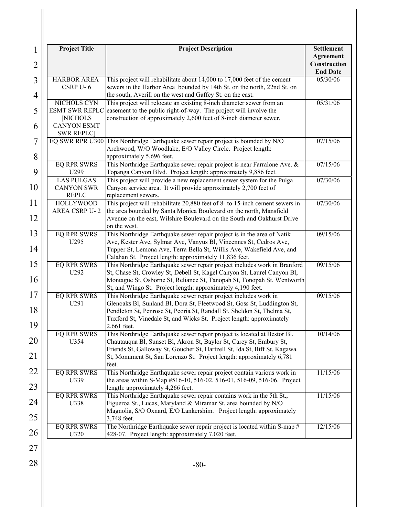| <b>HARBOR AREA</b><br>CSRP U-6<br>NICHOLS CYN<br><b>[NICHOLS</b><br><b>CANYON ESMT</b><br><b>SWR REPLC</b><br><b>EQ RPR SWRS</b><br>U299<br><b>LAS PULGAS</b><br><b>CANYON SWR</b><br><b>REPLC</b><br><b>HOLLYWOOD</b><br><b>AREA CSRP U-2</b> | This project will rehabilitate about 14,000 to 17,000 feet of the cement<br>sewers in the Harbor Area bounded by 14th St. on the north, 22nd St. on<br>the south, Averill on the west and Gaffey St. on the east.<br>This project will relocate an existing 8-inch diameter sewer from an<br>ESMT SWR REPLC easement to the public right-of-way. The project will involve the<br>construction of approximately 2,600 feet of 8-inch diameter sewer.<br>EQ SWR RPR U300 This Northridge Earthquake sewer repair project is bounded by N/O<br>Archwood, W/O Woodlake, E/O Valley Circle. Project length:<br>approximately 5,696 feet.<br>This Northridge Earthquake sewer repair project is near Farralone Ave. &<br>Topanga Canyon Blvd. Project length: approximately 9,886 feet.<br>This project will provide a new replacement sewer system for the Pulga<br>Canyon service area. It will provide approximately 2,700 feet of<br>replacement sewers.<br>This project will rehabilitate 20,880 feet of 8- to 15-inch cement sewers in<br>the area bounded by Santa Monica Boulevard on the north, Mansfield | <b>End Date</b><br>05/30/06<br>05/31/06<br>07/15/06<br>07/15/06<br>07/30/06<br>07/30/06                                                                                                                                                                                                                                                                                                                                                                                               |
|------------------------------------------------------------------------------------------------------------------------------------------------------------------------------------------------------------------------------------------------|--------------------------------------------------------------------------------------------------------------------------------------------------------------------------------------------------------------------------------------------------------------------------------------------------------------------------------------------------------------------------------------------------------------------------------------------------------------------------------------------------------------------------------------------------------------------------------------------------------------------------------------------------------------------------------------------------------------------------------------------------------------------------------------------------------------------------------------------------------------------------------------------------------------------------------------------------------------------------------------------------------------------------------------------------------------------------------------------------------------|---------------------------------------------------------------------------------------------------------------------------------------------------------------------------------------------------------------------------------------------------------------------------------------------------------------------------------------------------------------------------------------------------------------------------------------------------------------------------------------|
|                                                                                                                                                                                                                                                |                                                                                                                                                                                                                                                                                                                                                                                                                                                                                                                                                                                                                                                                                                                                                                                                                                                                                                                                                                                                                                                                                                              |                                                                                                                                                                                                                                                                                                                                                                                                                                                                                       |
|                                                                                                                                                                                                                                                |                                                                                                                                                                                                                                                                                                                                                                                                                                                                                                                                                                                                                                                                                                                                                                                                                                                                                                                                                                                                                                                                                                              |                                                                                                                                                                                                                                                                                                                                                                                                                                                                                       |
|                                                                                                                                                                                                                                                |                                                                                                                                                                                                                                                                                                                                                                                                                                                                                                                                                                                                                                                                                                                                                                                                                                                                                                                                                                                                                                                                                                              |                                                                                                                                                                                                                                                                                                                                                                                                                                                                                       |
|                                                                                                                                                                                                                                                |                                                                                                                                                                                                                                                                                                                                                                                                                                                                                                                                                                                                                                                                                                                                                                                                                                                                                                                                                                                                                                                                                                              |                                                                                                                                                                                                                                                                                                                                                                                                                                                                                       |
|                                                                                                                                                                                                                                                |                                                                                                                                                                                                                                                                                                                                                                                                                                                                                                                                                                                                                                                                                                                                                                                                                                                                                                                                                                                                                                                                                                              |                                                                                                                                                                                                                                                                                                                                                                                                                                                                                       |
|                                                                                                                                                                                                                                                | Avenue on the east, Wilshire Boulevard on the South and Oakhurst Drive<br>on the west.                                                                                                                                                                                                                                                                                                                                                                                                                                                                                                                                                                                                                                                                                                                                                                                                                                                                                                                                                                                                                       |                                                                                                                                                                                                                                                                                                                                                                                                                                                                                       |
| <b>EQ RPR SWRS</b><br>U <sub>295</sub>                                                                                                                                                                                                         | This Northridge Earthquake sewer repair project is in the area of Natik<br>Ave, Kester Ave, Sylmar Ave, Vanyus Bl, Vincennes St, Cedros Ave,<br>Tupper St, Lemona Ave, Terra Bella St, Willis Ave, Wakefield Ave, and                                                                                                                                                                                                                                                                                                                                                                                                                                                                                                                                                                                                                                                                                                                                                                                                                                                                                        | 09/15/06                                                                                                                                                                                                                                                                                                                                                                                                                                                                              |
| <b>EQ RPR SWRS</b><br>U292                                                                                                                                                                                                                     | This Northridge Earthquake sewer repair project includes work in Branford<br>St, Chase St, Crowley St, Debell St, Kagel Canyon St, Laurel Canyon Bl,<br>Montague St, Osborne St, Reliance St, Tanopah St, Tonopah St, Wentworth                                                                                                                                                                                                                                                                                                                                                                                                                                                                                                                                                                                                                                                                                                                                                                                                                                                                              | 09/15/06                                                                                                                                                                                                                                                                                                                                                                                                                                                                              |
| <b>EQ RPR SWRS</b><br>U291                                                                                                                                                                                                                     | This Northridge Earthquake sewer repair project includes work in<br>Glenoaks Bl, Sunland Bl, Dora St, Fleetwood St, Goss St, Luddington St,<br>Pendleton St, Penrose St, Peoria St, Randall St, Sheldon St, Thelma St,<br>Tuxford St, Vinedale St, and Wicks St. Project length: approximately                                                                                                                                                                                                                                                                                                                                                                                                                                                                                                                                                                                                                                                                                                                                                                                                               | 09/15/06                                                                                                                                                                                                                                                                                                                                                                                                                                                                              |
| <b>EQ RPR SWRS</b><br>U354                                                                                                                                                                                                                     | This Northridge Earthquake sewer repair project is located at Bestor Bl,<br>Chautauqua Bl, Sunset Bl, Akron St, Baylor St, Carey St, Embury St,<br>Friends St, Galloway St, Goucher St, Hartzell St, Ida St, Iliff St, Kagawa<br>St, Monument St, San Lorenzo St. Project length: approximately 6,781                                                                                                                                                                                                                                                                                                                                                                                                                                                                                                                                                                                                                                                                                                                                                                                                        | 10/14/06                                                                                                                                                                                                                                                                                                                                                                                                                                                                              |
| <b>EQ RPR SWRS</b><br>U339                                                                                                                                                                                                                     | This Northridge Earthquake sewer repair project contain various work in                                                                                                                                                                                                                                                                                                                                                                                                                                                                                                                                                                                                                                                                                                                                                                                                                                                                                                                                                                                                                                      | 11/15/06                                                                                                                                                                                                                                                                                                                                                                                                                                                                              |
| <b>EQ RPR SWRS</b><br>U338                                                                                                                                                                                                                     | This Northridge Earthquake sewer repair contains work in the 5th St.,                                                                                                                                                                                                                                                                                                                                                                                                                                                                                                                                                                                                                                                                                                                                                                                                                                                                                                                                                                                                                                        | 11/15/06                                                                                                                                                                                                                                                                                                                                                                                                                                                                              |
| <b>EQ RPR SWRS</b><br>U320                                                                                                                                                                                                                     | The Northridge Earthquake sewer repair project is located within S-map #                                                                                                                                                                                                                                                                                                                                                                                                                                                                                                                                                                                                                                                                                                                                                                                                                                                                                                                                                                                                                                     | 12/15/06                                                                                                                                                                                                                                                                                                                                                                                                                                                                              |
|                                                                                                                                                                                                                                                |                                                                                                                                                                                                                                                                                                                                                                                                                                                                                                                                                                                                                                                                                                                                                                                                                                                                                                                                                                                                                                                                                                              | Calahan St. Project length: approximately 11,836 feet.<br>St, and Wingo St. Project length: approximately 4,190 feet.<br>2,661 feet.<br>feet.<br>the areas within S-Map #516-10, 516-02, 516-01, 516-09, 516-06. Project<br>length: approximately 4,266 feet.<br>Figueroa St., Lucas, Maryland & Miramar St. area bounded by N/O<br>Magnolia, S/O Oxnard, E/O Lankershim. Project length: approximately<br>3,748 feet.<br>428-07. Project length: approximately 7,020 feet.<br>$-80-$ |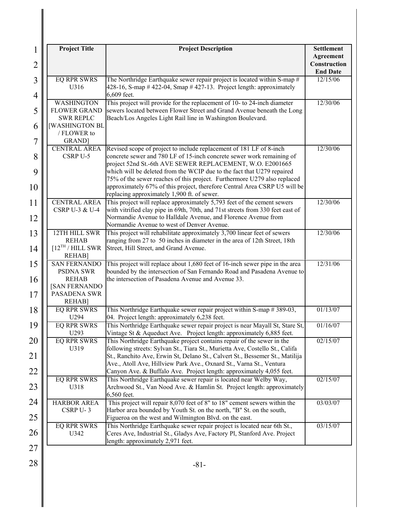| $\mathbf{1}$<br>$\overline{2}$ | <b>Project Title</b>                                                                                             | <b>Project Description</b>                                                                                                                                                                                                                                                                                              | <b>Settlement</b><br>Agreement<br>Construction<br><b>End Date</b> |
|--------------------------------|------------------------------------------------------------------------------------------------------------------|-------------------------------------------------------------------------------------------------------------------------------------------------------------------------------------------------------------------------------------------------------------------------------------------------------------------------|-------------------------------------------------------------------|
| 3<br>4                         | <b>EQ RPR SWRS</b><br>U316                                                                                       | The Northridge Earthquake sewer repair project is located within S-map #<br>428-16, S-map # 422-04, Smap # 427-13. Project length: approximately<br>6,609 feet.                                                                                                                                                         | 12/15/06                                                          |
| 5                              | <b>WASHINGTON</b><br><b>FLOWER GRAND</b><br><b>SWR REPLC</b>                                                     | This project will provide for the replacement of 10- to 24-inch diameter<br>sewers located between Flower Street and Grand Avenue beneath the Long<br>Beach/Los Angeles Light Rail line in Washington Boulevard.                                                                                                        | 12/30/06                                                          |
| 6<br>$\overline{7}$            | <b>[WASHINGTON BL</b><br>/ FLOWER to<br><b>GRAND</b>                                                             |                                                                                                                                                                                                                                                                                                                         |                                                                   |
| 8                              | <b>CENTRAL AREA</b><br>CSRP U-5                                                                                  | Revised scope of project to include replacement of 181 LF of 8-inch<br>concrete sewer and 780 LF of 15-inch concrete sewer work remaining of<br>project 52nd St.-6th AVE SEWER REPLACEMENT, W.O. E2001665                                                                                                               | 12/30/06                                                          |
| 9<br>10                        |                                                                                                                  | which will be deleted from the WCIP due to the fact that U279 repaired<br>75% of the sewer reaches of this project. Furthermore U279 also replaced<br>approximately 67% of this project, therefore Central Area CSRP U5 will be                                                                                         |                                                                   |
| 11<br>12                       | <b>CENTRAL AREA</b><br><b>CSRP U-3 &amp; U-4</b>                                                                 | replacing approximately 1,900 ft. of sewer.<br>This project will replace approximately 5,793 feet of the cement sewers<br>with vitrified clay pipe in 69th, 70th, and 71st streets from 330 feet east of<br>Normandie Avenue to Halldale Avenue, and Florence Avenue from<br>Normandie Avenue to west of Denver Avenue. | 12/30/06                                                          |
| 13<br>14                       | 12TH HILL SWR<br><b>REHAB</b><br>$[12^{TH}/HILL$ SWR                                                             | This project will rehabilitate approximately 3,700 linear feet of sewers<br>ranging from 27 to 50 inches in diameter in the area of 12th Street, 18th<br>Street, Hill Street, and Grand Avenue.                                                                                                                         | 12/30/06                                                          |
| 15<br>16                       | <b>REHAB]</b><br><b>SAN FERNANDO</b><br><b>PSDNA SWR</b><br><b>REHAB</b><br><b>[SAN FERNANDO</b><br>PASADENA SWR | This project will replace about 1,680 feet of 16-inch sewer pipe in the area<br>bounded by the intersection of San Fernando Road and Pasadena Avenue to<br>the intersection of Pasadena Avenue and Avenue 33.                                                                                                           | 12/31/06                                                          |
| 17<br>18                       | <b>REHAB]</b><br><b>EQ RPR SWRS</b><br>U294                                                                      | This Northridge Earthquake sewer repair project within S-map #389-03,                                                                                                                                                                                                                                                   | $\overline{01/13/07}$                                             |
| 19                             | <b>EQ RPR SWRS</b><br>U293                                                                                       | 04. Project length: approximately 6,238 feet.<br>This Northridge Earthquake sewer repair project is near Mayall St, Stare St,<br>Vintage St & Aqueduct Ave. Project length: approximately 6,885 feet.                                                                                                                   | 01/16/07                                                          |
| 20<br>21                       | <b>EQ RPR SWRS</b><br>U319                                                                                       | This Northridge Earthquake project contains repair of the sewer in the<br>following streets: Sylvan St., Tiara St., Murietta Ave, Costello St., Califa<br>St., Ranchito Ave, Erwin St, Delano St., Calvert St., Bessemer St., Matilija<br>Ave., Atoll Ave, Hillview Park Ave., Oxnard St., Varna St., Ventura           | 02/15/07                                                          |
| 22<br>23                       | <b>EQ RPR SWRS</b><br>U318                                                                                       | Canyon Ave. & Buffalo Ave. Project length: approximately 4,055 feet.<br>This Northridge Earthquake sewer repair is located near Welby Way,<br>Archwood St., Van Nood Ave. & Hamlin St. Project length: approximately<br>6,560 feet.                                                                                     | 02/15/07                                                          |
| 24<br>25                       | <b>HARBOR AREA</b><br>CSRP U-3                                                                                   | This project will repair 8,070 feet of 8" to 18" cement sewers within the<br>Harbor area bounded by Youth St. on the north, "B" St. on the south,<br>Figueroa on the west and Wilmington Blvd. on the east.                                                                                                             | 03/03/07                                                          |
| 26                             | <b>EQ RPR SWRS</b><br>U342                                                                                       | This Northridge Earthquake sewer repair project is located near 6th St.,<br>Ceres Ave, Industrial St., Gladys Ave, Factory Pl, Stanford Ave. Project<br>length: approximately 2,971 feet.                                                                                                                               | 03/15/07                                                          |
| 27<br>28                       |                                                                                                                  | $-81-$                                                                                                                                                                                                                                                                                                                  |                                                                   |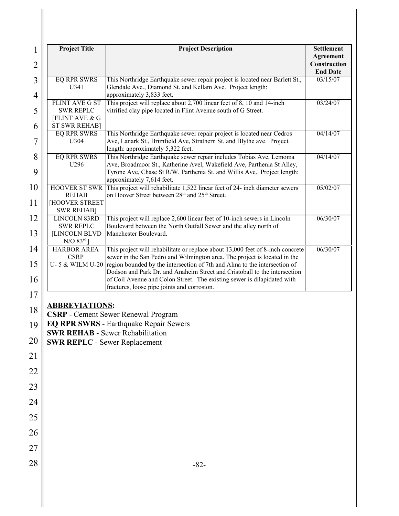| 1                                | <b>Project Title</b>                              | <b>Project Description</b>                                                                                                                                                                                                                            | <b>Settlement</b>                            |
|----------------------------------|---------------------------------------------------|-------------------------------------------------------------------------------------------------------------------------------------------------------------------------------------------------------------------------------------------------------|----------------------------------------------|
| $\overline{2}$                   |                                                   |                                                                                                                                                                                                                                                       | Agreement<br>Construction<br><b>End Date</b> |
| $\overline{3}$<br>$\overline{4}$ | <b>EQ RPR SWRS</b><br>U341                        | This Northridge Earthquake sewer repair project is located near Barlett St.,<br>Glendale Ave., Diamond St. and Kellam Ave. Project length:<br>approximately 3,833 feet.                                                                               | 03/15/07                                     |
| 5                                | <b>FLINT AVE G ST</b><br><b>SWR REPLC</b>         | This project will replace about 2,700 linear feet of 8, 10 and 14-inch<br>vitrified clay pipe located in Flint Avenue south of G Street.                                                                                                              | 03/24/07                                     |
| 6                                | <b>[FLINT AVE &amp; G</b><br><b>ST SWR REHAB]</b> |                                                                                                                                                                                                                                                       |                                              |
| 7                                | <b>EQ RPR SWRS</b><br>U304                        | This Northridge Earthquake sewer repair project is located near Cedros<br>Ave, Lanark St., Brimfield Ave, Strathern St. and Blythe ave. Project<br>length: approximately 5,322 feet.                                                                  | 04/14/07                                     |
| 8<br>9                           | <b>EQ RPR SWRS</b><br>U296                        | This Northridge Earthquake sewer repair includes Tobias Ave, Lemoma<br>Ave, Broadmoor St., Katherine Avel, Wakefield Ave, Parthenia St Alley,<br>Tyrone Ave, Chase St R/W, Parthenia St. and Willis Ave. Project length:<br>approximately 7,614 feet. | 04/14/07                                     |
| 10<br>11                         | <b>REHAB</b><br>HOOVER STREET                     | HOOVER ST SWR This project will rehabilitate 1,522 linear feet of 24- inch diameter sewers<br>on Hoover Street between 28 <sup>th</sup> and 25 <sup>th</sup> Street.                                                                                  | 05/02/07                                     |
|                                  | <b>SWR REHAB]</b>                                 |                                                                                                                                                                                                                                                       |                                              |
| 12                               | <b>LINCOLN 83RD</b><br><b>SWR REPLC</b>           | This project will replace 2,600 linear feet of 10-inch sewers in Lincoln<br>Boulevard between the North Outfall Sewer and the alley north of                                                                                                          | 06/30/07                                     |
| 13                               | <b>[LINCOLN BLVD</b><br>$N/O$ 83 $rd$ ]           | Manchester Boulevard.                                                                                                                                                                                                                                 |                                              |
| 14                               | <b>HARBOR AREA</b><br><b>CSRP</b>                 | This project will rehabilitate or replace about 13,000 feet of 8-inch concrete<br>sewer in the San Pedro and Wilmington area. The project is located in the                                                                                           | 06/30/07                                     |
| 15                               | U-5 & WILM U-20                                   | region bounded by the intersection of 7th and Alma to the intersection of<br>Dodson and Park Dr. and Anaheim Street and Cristoball to the intersection                                                                                                |                                              |
| 16<br>17                         |                                                   | of Coil Avenue and Colon Street. The existing sewer is dilapidated with<br>fractures, loose pipe joints and corrosion.                                                                                                                                |                                              |
| 18                               | <b>ABBREVIATIONS:</b>                             |                                                                                                                                                                                                                                                       |                                              |
| 19                               |                                                   | CSRP - Cement Sewer Renewal Program<br><b>EQ RPR SWRS - Earthquake Repair Sewers</b>                                                                                                                                                                  |                                              |
| 20                               | <b>SWR REPLC - Sewer Replacement</b>              | <b>SWR REHAB - Sewer Rehabilitation</b>                                                                                                                                                                                                               |                                              |
| 21                               |                                                   |                                                                                                                                                                                                                                                       |                                              |
| 22                               |                                                   |                                                                                                                                                                                                                                                       |                                              |
| 23                               |                                                   |                                                                                                                                                                                                                                                       |                                              |
| 24                               |                                                   |                                                                                                                                                                                                                                                       |                                              |
| 25                               |                                                   |                                                                                                                                                                                                                                                       |                                              |
| 26                               |                                                   |                                                                                                                                                                                                                                                       |                                              |
| 27                               |                                                   |                                                                                                                                                                                                                                                       |                                              |
| 28                               |                                                   | $-82-$                                                                                                                                                                                                                                                |                                              |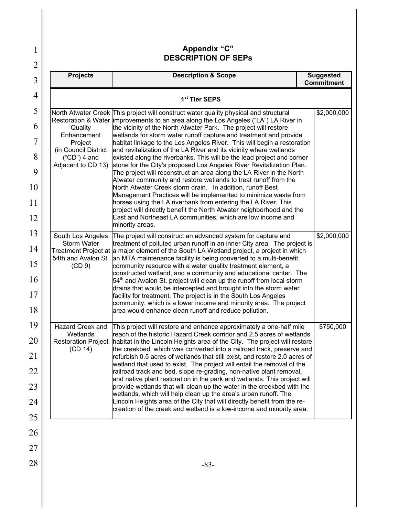| 1                   |                                      | <b>Appendix "C"</b><br><b>DESCRIPTION OF SEPS</b>                                                                                                                                                                      |                                       |
|---------------------|--------------------------------------|------------------------------------------------------------------------------------------------------------------------------------------------------------------------------------------------------------------------|---------------------------------------|
| $\overline{2}$<br>3 | <b>Projects</b>                      | <b>Description &amp; Scope</b>                                                                                                                                                                                         | <b>Suggested</b><br><b>Commitment</b> |
| 4                   |                                      | 1 <sup>st</sup> Tier SEPS                                                                                                                                                                                              |                                       |
| 5                   |                                      | North Atwater Creek This project will construct water quality physical and structural<br>Restoration & Water limprovements to an area along the Los Angeles ("LA") LA River in                                         | \$2,000,000                           |
| 6                   | Quality<br>Enhancement               | the vicinity of the North Atwater Park. The project will restore<br>wetlands for storm water runoff capture and treatment and provide                                                                                  |                                       |
| $\overline{7}$      | Project<br>(in Council District      | habitat linkage to the Los Angeles River. This will begin a restoration<br>and revitalization of the LA River and its vicinity where wetlands                                                                          |                                       |
| 8<br>9              | $("CD")$ 4 and<br>Adjacent to CD 13) | existed along the riverbanks. This will be the lead project and corner<br>stone for the City's proposed Los Angeles River Revitalization Plan.<br>The project will reconstruct an area along the LA River in the North |                                       |
| 10                  |                                      | Atwater community and restore wetlands to treat runoff from the<br>North Atwater Creek storm drain. In addition, runoff Best<br>Management Practices will be implemented to minimize waste from                        |                                       |
| 11                  |                                      | horses using the LA riverbank from entering the LA River. This<br>project will directly benefit the North Atwater neighborhood and the                                                                                 |                                       |
| 12                  |                                      | East and Northeast LA communities, which are low income and<br>minority areas.                                                                                                                                         |                                       |
| 13                  | South Los Angeles<br>Storm Water     | The project will construct an advanced system for capture and<br>treatment of polluted urban runoff in an inner City area. The project is                                                                              | \$2,000,000                           |
| 14                  | 54th and Avalon St.                  | Treatment Project at a major element of the South LA Wetland project, a project in which<br>an MTA maintenance facility is being converted to a multi-benefit                                                          |                                       |
| 15<br>16            | (CD9)                                | community resource with a water quality treatment element, a<br>constructed wetland, and a community and educational center. The<br>54 <sup>th</sup> and Avalon St. project will clean up the runoff from local storm  |                                       |
| 17                  |                                      | drains that would be intercepted and brought into the storm water<br>facility for treatment. The project is in the South Los Angeles                                                                                   |                                       |
| 18                  |                                      | community, which is a lower income and minority area. The project<br>area would enhance clean runoff and reduce pollution.                                                                                             |                                       |
| 19                  | Hazard Creek and<br>Wetlands         | This project will restore and enhance approximately a one-half mile<br>reach of the historic Hazard Creek corridor and 2.5 acres of wetlands                                                                           | \$750,000                             |
| 20                  | (CD 14)                              | Restoration Project   habitat in the Lincoln Heights area of the City. The project will restore<br>the creekbed, which was converted into a railroad track, preserve and                                               |                                       |
| 21                  |                                      | refurbish 0.5 acres of wetlands that still exist, and restore 2.0 acres of<br>wetland that used to exist. The project will entail the removal of the                                                                   |                                       |
| 22                  |                                      | railroad track and bed, slope re-grading, non-native plant removal,<br>and native plant restoration in the park and wetlands. This project will                                                                        |                                       |
| 23                  |                                      | provide wetlands that will clean up the water in the creekbed with the<br>wetlands, which will help clean up the area's urban runoff. The                                                                              |                                       |
| 24                  |                                      | Lincoln Heights area of the City that will directly benefit from the re-<br>creation of the creek and wetland is a low-income and minority area.                                                                       |                                       |
| 25<br>26            |                                      |                                                                                                                                                                                                                        |                                       |
| 27                  |                                      |                                                                                                                                                                                                                        |                                       |
| 28                  |                                      | $-83-$                                                                                                                                                                                                                 |                                       |
|                     |                                      |                                                                                                                                                                                                                        |                                       |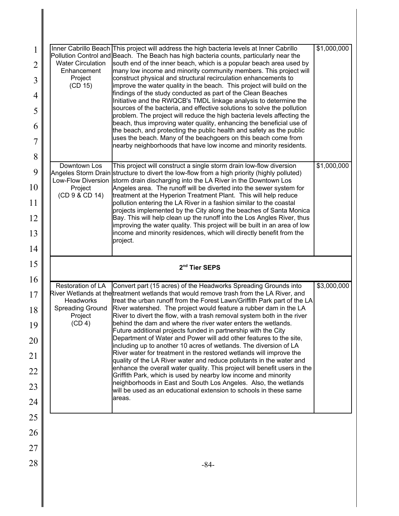| 1<br>$\overline{2}$ | <b>Water Circulation</b>      | Inner Cabrillo Beach This project will address the high bacteria levels at Inner Cabrillo<br>Pollution Control and Beach. The Beach has high bacteria counts, particularly near the<br>south end of the inner beach, which is a popular beach area used by | \$1,000,000 |
|---------------------|-------------------------------|------------------------------------------------------------------------------------------------------------------------------------------------------------------------------------------------------------------------------------------------------------|-------------|
| 3                   | Enhancement<br>Project        | many low income and minority community members. This project will<br>construct physical and structural recirculation enhancements to                                                                                                                       |             |
| 4                   | (CD 15)                       | improve the water quality in the beach. This project will build on the<br>findings of the study conducted as part of the Clean Beaches                                                                                                                     |             |
| 5                   |                               | Initiative and the RWQCB's TMDL linkage analysis to determine the<br>sources of the bacteria, and effective solutions to solve the pollution                                                                                                               |             |
| 6                   |                               | problem. The project will reduce the high bacteria levels affecting the<br>beach, thus improving water quality, enhancing the beneficial use of                                                                                                            |             |
| 7                   |                               | the beach, and protecting the public health and safety as the public<br>uses the beach. Many of the beachgoers on this beach come from                                                                                                                     |             |
| 8                   |                               | nearby neighborhoods that have low income and minority residents.                                                                                                                                                                                          |             |
| 9                   | Downtown Los                  | This project will construct a single storm drain low-flow diversion<br>Angeles Storm Drain structure to divert the low-flow from a high priority (highly polluted)                                                                                         | \$1,000,000 |
| 10                  | Low-Flow Diversion<br>Project | storm drain discharging into the LA River in the Downtown Los<br>Angeles area. The runoff will be diverted into the sewer system for                                                                                                                       |             |
| 11                  | (CD 9 & CD 14)                | treatment at the Hyperion Treatment Plant. This will help reduce<br>pollution entering the LA River in a fashion similar to the coastal                                                                                                                    |             |
| 12                  |                               | projects implemented by the City along the beaches of Santa Monica<br>Bay. This will help clean up the runoff into the Los Angles River, thus                                                                                                              |             |
| 13                  |                               | improving the water quality. This project will be built in an area of low<br>income and minority residences, which will directly benefit from the                                                                                                          |             |
| 14                  |                               | project.                                                                                                                                                                                                                                                   |             |
|                     |                               |                                                                                                                                                                                                                                                            |             |
|                     |                               |                                                                                                                                                                                                                                                            |             |
| 15                  |                               | 2 <sup>nd</sup> Tier SEPS                                                                                                                                                                                                                                  |             |
| 16<br>17            | Restoration of LA             | Convert part (15 acres) of the Headworks Spreading Grounds into<br>River Wetlands at the treatment wetlands that would remove trash from the LA River, and                                                                                                 | \$3,000,000 |
| 18                  | Headworks<br>Spreading Ground | treat the urban runoff from the Forest Lawn/Griffith Park part of the LA<br>River watershed. The project would feature a rubber dam in the LA                                                                                                              |             |
| 19                  | Project<br>(CD 4)             | River to divert the flow, with a trash removal system both in the river<br>behind the dam and where the river water enters the wetlands.                                                                                                                   |             |
| 20                  |                               | Future additional projects funded in partnership with the City<br>Department of Water and Power will add other features to the site,                                                                                                                       |             |
| 21                  |                               | including up to another 10 acres of wetlands. The diversion of LA<br>River water for treatment in the restored wetlands will improve the                                                                                                                   |             |
| 22                  |                               | quality of the LA River water and reduce pollutants in the water and<br>enhance the overall water quality. This project will benefit users in the                                                                                                          |             |
| 23                  |                               | Griffith Park, which is used by nearby low income and minority<br>neighborhoods in East and South Los Angeles. Also, the wetlands                                                                                                                          |             |
| 24                  |                               | will be used as an educational extension to schools in these same<br>areas.                                                                                                                                                                                |             |
| 25                  |                               |                                                                                                                                                                                                                                                            |             |
| 26                  |                               |                                                                                                                                                                                                                                                            |             |
| 27                  |                               |                                                                                                                                                                                                                                                            |             |
| 28                  |                               | $-84-$                                                                                                                                                                                                                                                     |             |